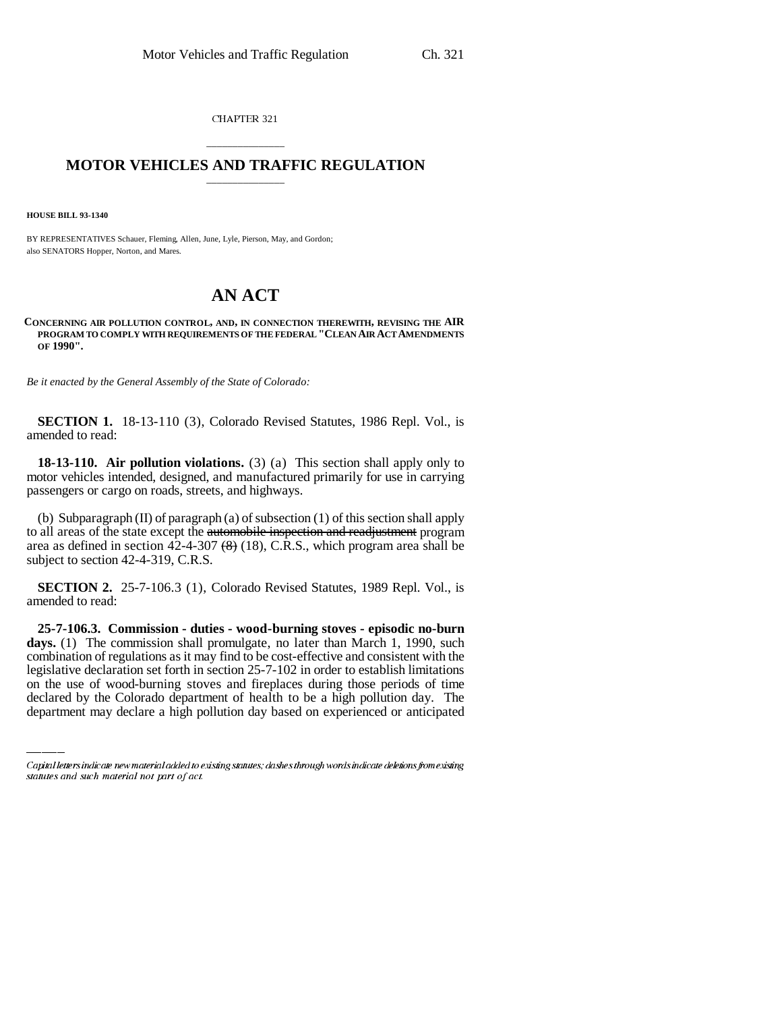CHAPTER 321

## \_\_\_\_\_\_\_\_\_\_\_\_\_\_\_ **MOTOR VEHICLES AND TRAFFIC REGULATION** \_\_\_\_\_\_\_\_\_\_\_\_\_\_\_

**HOUSE BILL 93-1340**

BY REPRESENTATIVES Schauer, Fleming, Allen, June, Lyle, Pierson, May, and Gordon; also SENATORS Hopper, Norton, and Mares.

# **AN ACT**

**CONCERNING AIR POLLUTION CONTROL, AND, IN CONNECTION THEREWITH, REVISING THE AIR PROGRAM TO COMPLY WITH REQUIREMENTS OF THE FEDERAL "CLEAN AIR ACT AMENDMENTS OF 1990".**

*Be it enacted by the General Assembly of the State of Colorado:*

**SECTION 1.** 18-13-110 (3), Colorado Revised Statutes, 1986 Repl. Vol., is amended to read:

**18-13-110. Air pollution violations.** (3) (a) This section shall apply only to motor vehicles intended, designed, and manufactured primarily for use in carrying passengers or cargo on roads, streets, and highways.

(b) Subparagraph (II) of paragraph (a) of subsection (1) of this section shall apply to all areas of the state except the automobile inspection and readjustment program area as defined in section  $42-4-307$   $(8)$  (18), C.R.S., which program area shall be subject to section 42-4-319, C.R.S.

**SECTION 2.** 25-7-106.3 (1), Colorado Revised Statutes, 1989 Repl. Vol., is amended to read:

combination of regulations as it may find to be cost-effective and consistent with the **25-7-106.3. Commission - duties - wood-burning stoves - episodic no-burn** days. (1) The commission shall promulgate, no later than March 1, 1990, such legislative declaration set forth in section 25-7-102 in order to establish limitations on the use of wood-burning stoves and fireplaces during those periods of time declared by the Colorado department of health to be a high pollution day. The department may declare a high pollution day based on experienced or anticipated

Capital letters indicate new material added to existing statutes; dashes through words indicate deletions from existing statutes and such material not part of act.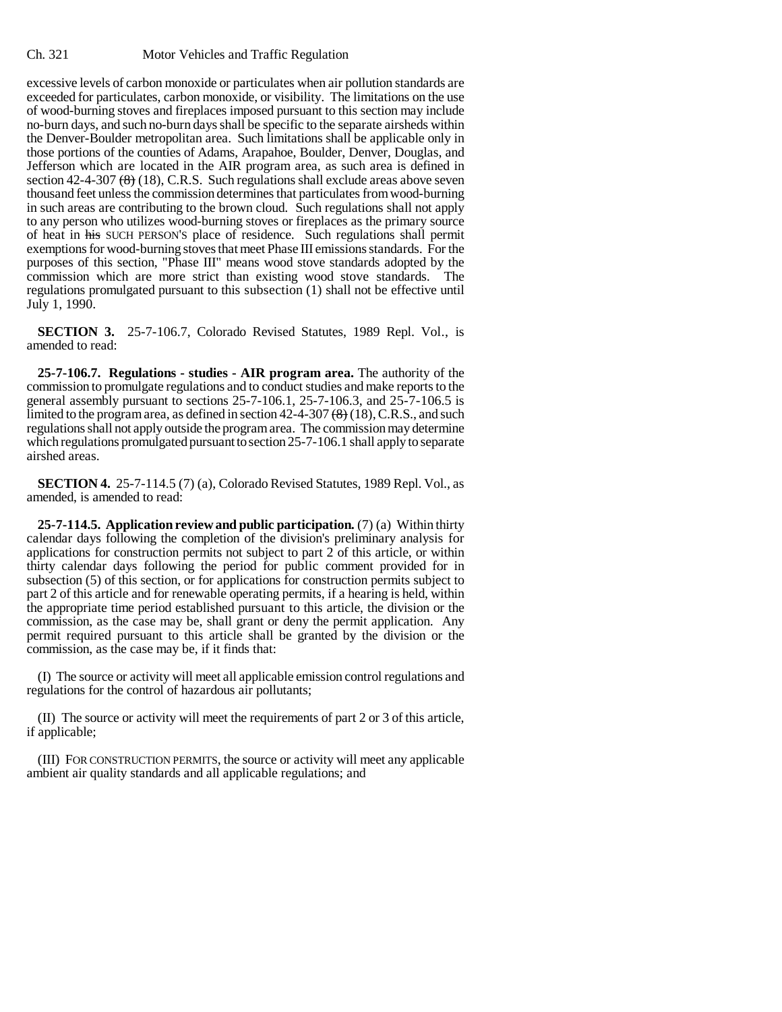excessive levels of carbon monoxide or particulates when air pollution standards are exceeded for particulates, carbon monoxide, or visibility. The limitations on the use of wood-burning stoves and fireplaces imposed pursuant to this section may include no-burn days, and such no-burn days shall be specific to the separate airsheds within the Denver-Boulder metropolitan area. Such limitations shall be applicable only in those portions of the counties of Adams, Arapahoe, Boulder, Denver, Douglas, and Jefferson which are located in the AIR program area, as such area is defined in section  $42-4-307$   $(8)(18)$ , C.R.S. Such regulations shall exclude areas above seven thousand feet unless the commission determines that particulates from wood-burning in such areas are contributing to the brown cloud. Such regulations shall not apply to any person who utilizes wood-burning stoves or fireplaces as the primary source of heat in his SUCH PERSON'S place of residence. Such regulations shall permit exemptions for wood-burning stoves that meet Phase III emissions standards. For the purposes of this section, "Phase III" means wood stove standards adopted by the commission which are more strict than existing wood stove standards. The regulations promulgated pursuant to this subsection (1) shall not be effective until July 1, 1990.

**SECTION 3.** 25-7-106.7, Colorado Revised Statutes, 1989 Repl. Vol., is amended to read:

**25-7-106.7. Regulations - studies - AIR program area.** The authority of the commission to promulgate regulations and to conduct studies and make reports to the general assembly pursuant to sections 25-7-106.1, 25-7-106.3, and 25-7-106.5 is limited to the program area, as defined in section  $42-4-307 \left(\frac{8}{6}\right) (18)$ , C.R.S., and such regulations shall not apply outside the program area. The commission may determine which regulations promulgated pursuant to section 25-7-106.1 shall apply to separate airshed areas.

**SECTION 4.** 25-7-114.5 (7) (a), Colorado Revised Statutes, 1989 Repl. Vol., as amended, is amended to read:

**25-7-114.5. Application review and public participation.** (7) (a) Within thirty calendar days following the completion of the division's preliminary analysis for applications for construction permits not subject to part 2 of this article, or within thirty calendar days following the period for public comment provided for in subsection (5) of this section, or for applications for construction permits subject to part 2 of this article and for renewable operating permits, if a hearing is held, within the appropriate time period established pursuant to this article, the division or the commission, as the case may be, shall grant or deny the permit application. Any permit required pursuant to this article shall be granted by the division or the commission, as the case may be, if it finds that:

(I) The source or activity will meet all applicable emission control regulations and regulations for the control of hazardous air pollutants;

(II) The source or activity will meet the requirements of part 2 or 3 of this article, if applicable;

(III) FOR CONSTRUCTION PERMITS, the source or activity will meet any applicable ambient air quality standards and all applicable regulations; and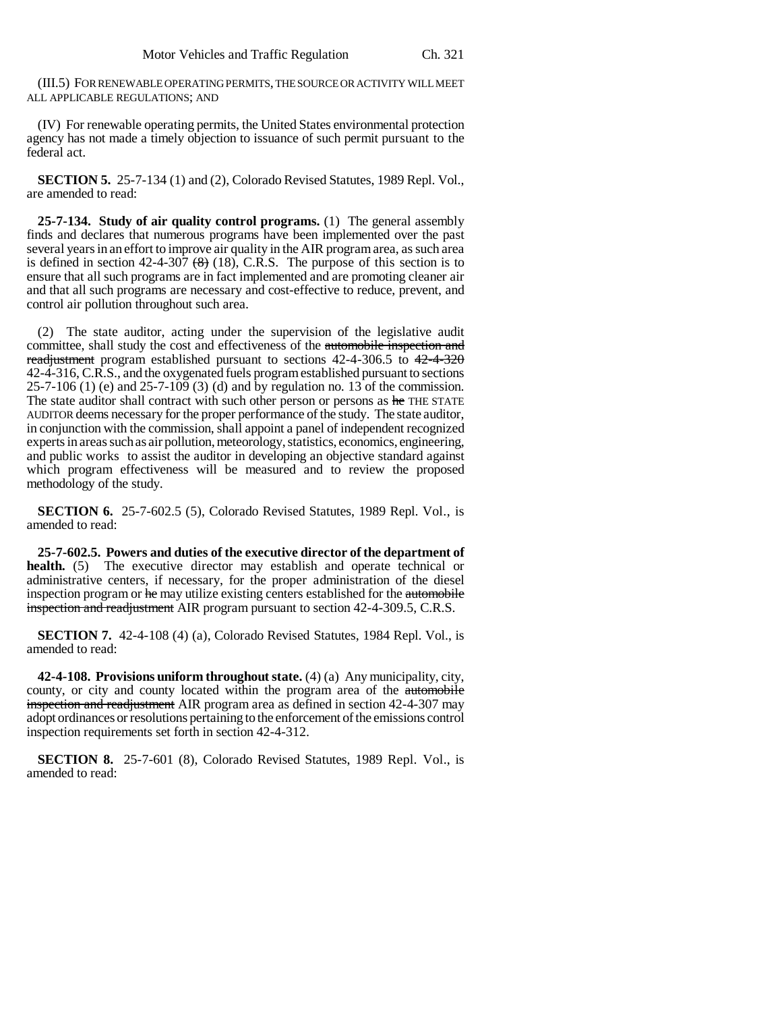(III.5) FOR RENEWABLE OPERATING PERMITS, THE SOURCE OR ACTIVITY WILL MEET ALL APPLICABLE REGULATIONS; AND

(IV) For renewable operating permits, the United States environmental protection agency has not made a timely objection to issuance of such permit pursuant to the federal act.

**SECTION 5.** 25-7-134 (1) and (2), Colorado Revised Statutes, 1989 Repl. Vol., are amended to read:

**25-7-134. Study of air quality control programs.** (1) The general assembly finds and declares that numerous programs have been implemented over the past several years in an effort to improve air quality in the AIR program area, as such area is defined in section 42-4-307  $(8)$  (18), C.R.S. The purpose of this section is to ensure that all such programs are in fact implemented and are promoting cleaner air and that all such programs are necessary and cost-effective to reduce, prevent, and control air pollution throughout such area.

(2) The state auditor, acting under the supervision of the legislative audit committee, shall study the cost and effectiveness of the automobile inspection and readjustment program established pursuant to sections 42-4-306.5 to 42-4-320 42-4-316, C.R.S., and the oxygenated fuels program established pursuant to sections 25-7-106 (1) (e) and 25-7-109 (3) (d) and by regulation no. 13 of the commission. The state auditor shall contract with such other person or persons as he THE STATE AUDITOR deems necessary for the proper performance of the study. The state auditor, in conjunction with the commission, shall appoint a panel of independent recognized experts in areas such as air pollution, meteorology, statistics, economics, engineering, and public works to assist the auditor in developing an objective standard against which program effectiveness will be measured and to review the proposed methodology of the study.

**SECTION 6.** 25-7-602.5 (5), Colorado Revised Statutes, 1989 Repl. Vol., is amended to read:

**25-7-602.5. Powers and duties of the executive director of the department of health.** (5) The executive director may establish and operate technical or administrative centers, if necessary, for the proper administration of the diesel inspection program or he may utilize existing centers established for the automobile inspection and readjustment AIR program pursuant to section 42-4-309.5, C.R.S.

**SECTION 7.** 42-4-108 (4) (a), Colorado Revised Statutes, 1984 Repl. Vol., is amended to read:

**42-4-108. Provisions uniform throughout state.** (4) (a) Any municipality, city, county, or city and county located within the program area of the automobile inspection and readjustment AIR program area as defined in section 42-4-307 may adopt ordinances or resolutions pertaining to the enforcement of the emissions control inspection requirements set forth in section 42-4-312.

**SECTION 8.** 25-7-601 (8), Colorado Revised Statutes, 1989 Repl. Vol., is amended to read: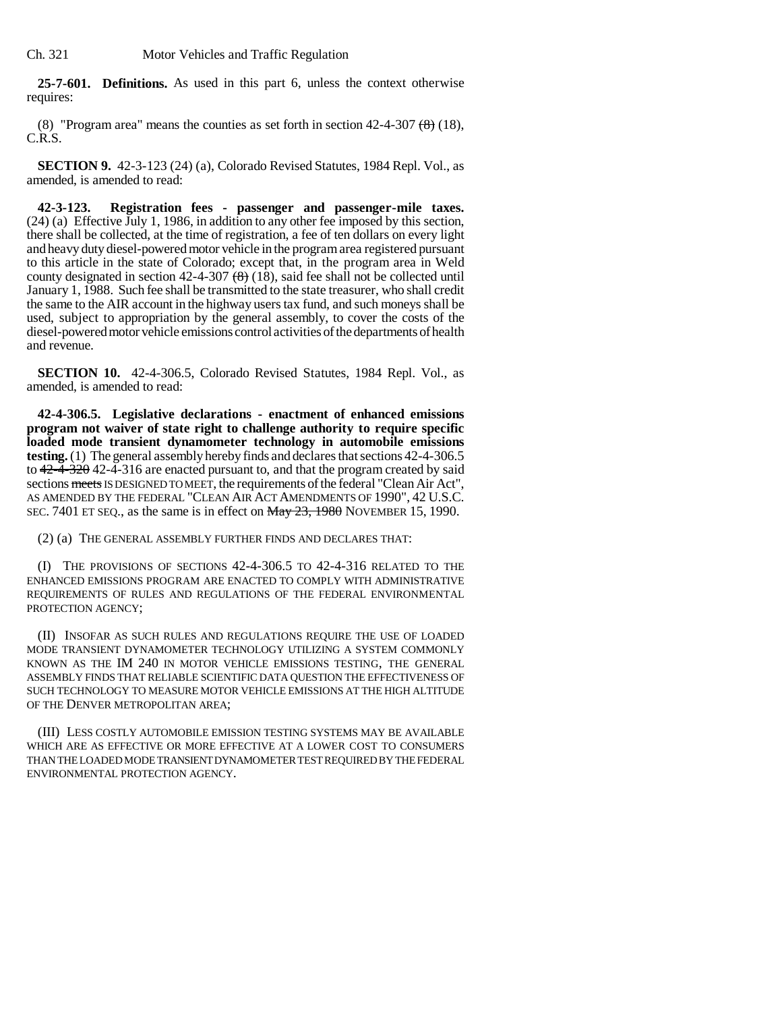**25-7-601. Definitions.** As used in this part 6, unless the context otherwise requires:

(8) "Program area" means the counties as set forth in section  $42-4-307 \left(\frac{8}{6}\right)$  (18), C.R.S.

**SECTION 9.** 42-3-123 (24) (a), Colorado Revised Statutes, 1984 Repl. Vol., as amended, is amended to read:

**42-3-123. Registration fees - passenger and passenger-mile taxes.** (24) (a) Effective July 1, 1986, in addition to any other fee imposed by this section, there shall be collected, at the time of registration, a fee of ten dollars on every light and heavy duty diesel-powered motor vehicle in the program area registered pursuant to this article in the state of Colorado; except that, in the program area in Weld county designated in section  $42-4-307$   $(8)$  (18), said fee shall not be collected until January 1, 1988. Such fee shall be transmitted to the state treasurer, who shall credit the same to the AIR account in the highway users tax fund, and such moneys shall be used, subject to appropriation by the general assembly, to cover the costs of the diesel-powered motor vehicle emissions control activities of the departments of health and revenue.

**SECTION 10.** 42-4-306.5, Colorado Revised Statutes, 1984 Repl. Vol., as amended, is amended to read:

**42-4-306.5. Legislative declarations - enactment of enhanced emissions program not waiver of state right to challenge authority to require specific loaded mode transient dynamometer technology in automobile emissions testing.** (1) The general assembly hereby finds and declares that sections 42-4-306.5 to  $42-\overline{4}-32\theta$  42-4-316 are enacted pursuant to, and that the program created by said sections meets IS DESIGNED TO MEET, the requirements of the federal "Clean Air Act", AS AMENDED BY THE FEDERAL "CLEAN AIR ACT AMENDMENTS OF 1990", 42 U.S.C. SEC. 7401 ET SEQ., as the same is in effect on  $\frac{\text{May } 23, 1980}{\text{Now } 15, 1990}$ .

(2) (a) THE GENERAL ASSEMBLY FURTHER FINDS AND DECLARES THAT:

(I) THE PROVISIONS OF SECTIONS 42-4-306.5 TO 42-4-316 RELATED TO THE ENHANCED EMISSIONS PROGRAM ARE ENACTED TO COMPLY WITH ADMINISTRATIVE REQUIREMENTS OF RULES AND REGULATIONS OF THE FEDERAL ENVIRONMENTAL PROTECTION AGENCY;

(II) INSOFAR AS SUCH RULES AND REGULATIONS REQUIRE THE USE OF LOADED MODE TRANSIENT DYNAMOMETER TECHNOLOGY UTILIZING A SYSTEM COMMONLY KNOWN AS THE IM 240 IN MOTOR VEHICLE EMISSIONS TESTING, THE GENERAL ASSEMBLY FINDS THAT RELIABLE SCIENTIFIC DATA QUESTION THE EFFECTIVENESS OF SUCH TECHNOLOGY TO MEASURE MOTOR VEHICLE EMISSIONS AT THE HIGH ALTITUDE OF THE DENVER METROPOLITAN AREA;

(III) LESS COSTLY AUTOMOBILE EMISSION TESTING SYSTEMS MAY BE AVAILABLE WHICH ARE AS EFFECTIVE OR MORE EFFECTIVE AT A LOWER COST TO CONSUMERS THAN THE LOADED MODE TRANSIENT DYNAMOMETER TEST REQUIRED BY THE FEDERAL ENVIRONMENTAL PROTECTION AGENCY.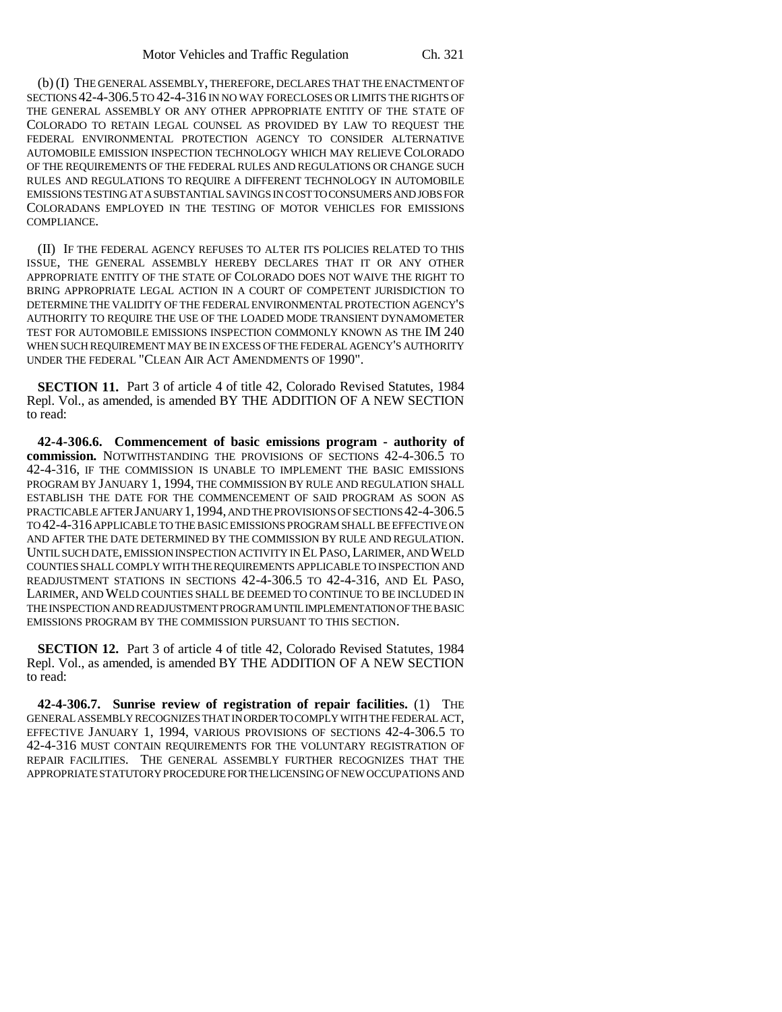(b) (I) THE GENERAL ASSEMBLY, THEREFORE, DECLARES THAT THE ENACTMENT OF SECTIONS 42-4-306.5 TO 42-4-316 IN NO WAY FORECLOSES OR LIMITS THE RIGHTS OF THE GENERAL ASSEMBLY OR ANY OTHER APPROPRIATE ENTITY OF THE STATE OF COLORADO TO RETAIN LEGAL COUNSEL AS PROVIDED BY LAW TO REQUEST THE FEDERAL ENVIRONMENTAL PROTECTION AGENCY TO CONSIDER ALTERNATIVE AUTOMOBILE EMISSION INSPECTION TECHNOLOGY WHICH MAY RELIEVE COLORADO OF THE REQUIREMENTS OF THE FEDERAL RULES AND REGULATIONS OR CHANGE SUCH RULES AND REGULATIONS TO REQUIRE A DIFFERENT TECHNOLOGY IN AUTOMOBILE EMISSIONS TESTING AT A SUBSTANTIAL SAVINGS IN COST TO CONSUMERS AND JOBS FOR COLORADANS EMPLOYED IN THE TESTING OF MOTOR VEHICLES FOR EMISSIONS COMPLIANCE.

(II) IF THE FEDERAL AGENCY REFUSES TO ALTER ITS POLICIES RELATED TO THIS ISSUE, THE GENERAL ASSEMBLY HEREBY DECLARES THAT IT OR ANY OTHER APPROPRIATE ENTITY OF THE STATE OF COLORADO DOES NOT WAIVE THE RIGHT TO BRING APPROPRIATE LEGAL ACTION IN A COURT OF COMPETENT JURISDICTION TO DETERMINE THE VALIDITY OF THE FEDERAL ENVIRONMENTAL PROTECTION AGENCY'S AUTHORITY TO REQUIRE THE USE OF THE LOADED MODE TRANSIENT DYNAMOMETER TEST FOR AUTOMOBILE EMISSIONS INSPECTION COMMONLY KNOWN AS THE IM 240 WHEN SUCH REQUIREMENT MAY BE IN EXCESS OF THE FEDERAL AGENCY'S AUTHORITY UNDER THE FEDERAL "CLEAN AIR ACT AMENDMENTS OF 1990".

**SECTION 11.** Part 3 of article 4 of title 42, Colorado Revised Statutes, 1984 Repl. Vol., as amended, is amended BY THE ADDITION OF A NEW SECTION to read:

**42-4-306.6. Commencement of basic emissions program - authority of commission.** NOTWITHSTANDING THE PROVISIONS OF SECTIONS 42-4-306.5 TO 42-4-316, IF THE COMMISSION IS UNABLE TO IMPLEMENT THE BASIC EMISSIONS PROGRAM BY JANUARY 1, 1994, THE COMMISSION BY RULE AND REGULATION SHALL ESTABLISH THE DATE FOR THE COMMENCEMENT OF SAID PROGRAM AS SOON AS PRACTICABLE AFTER JANUARY 1,1994, AND THE PROVISIONS OF SECTIONS 42-4-306.5 TO 42-4-316 APPLICABLE TO THE BASIC EMISSIONS PROGRAM SHALL BE EFFECTIVE ON AND AFTER THE DATE DETERMINED BY THE COMMISSION BY RULE AND REGULATION. UNTIL SUCH DATE, EMISSION INSPECTION ACTIVITY IN EL PASO,LARIMER, AND WELD COUNTIES SHALL COMPLY WITH THE REQUIREMENTS APPLICABLE TO INSPECTION AND READJUSTMENT STATIONS IN SECTIONS 42-4-306.5 TO 42-4-316, AND EL PASO, LARIMER, AND WELD COUNTIES SHALL BE DEEMED TO CONTINUE TO BE INCLUDED IN THE INSPECTION AND READJUSTMENT PROGRAM UNTIL IMPLEMENTATION OF THE BASIC EMISSIONS PROGRAM BY THE COMMISSION PURSUANT TO THIS SECTION.

**SECTION 12.** Part 3 of article 4 of title 42, Colorado Revised Statutes, 1984 Repl. Vol., as amended, is amended BY THE ADDITION OF A NEW SECTION to read:

**42-4-306.7. Sunrise review of registration of repair facilities.** (1) THE GENERAL ASSEMBLY RECOGNIZES THAT IN ORDER TO COMPLY WITH THE FEDERAL ACT, EFFECTIVE JANUARY 1, 1994, VARIOUS PROVISIONS OF SECTIONS 42-4-306.5 TO 42-4-316 MUST CONTAIN REQUIREMENTS FOR THE VOLUNTARY REGISTRATION OF REPAIR FACILITIES. THE GENERAL ASSEMBLY FURTHER RECOGNIZES THAT THE APPROPRIATE STATUTORY PROCEDURE FOR THE LICENSING OF NEW OCCUPATIONS AND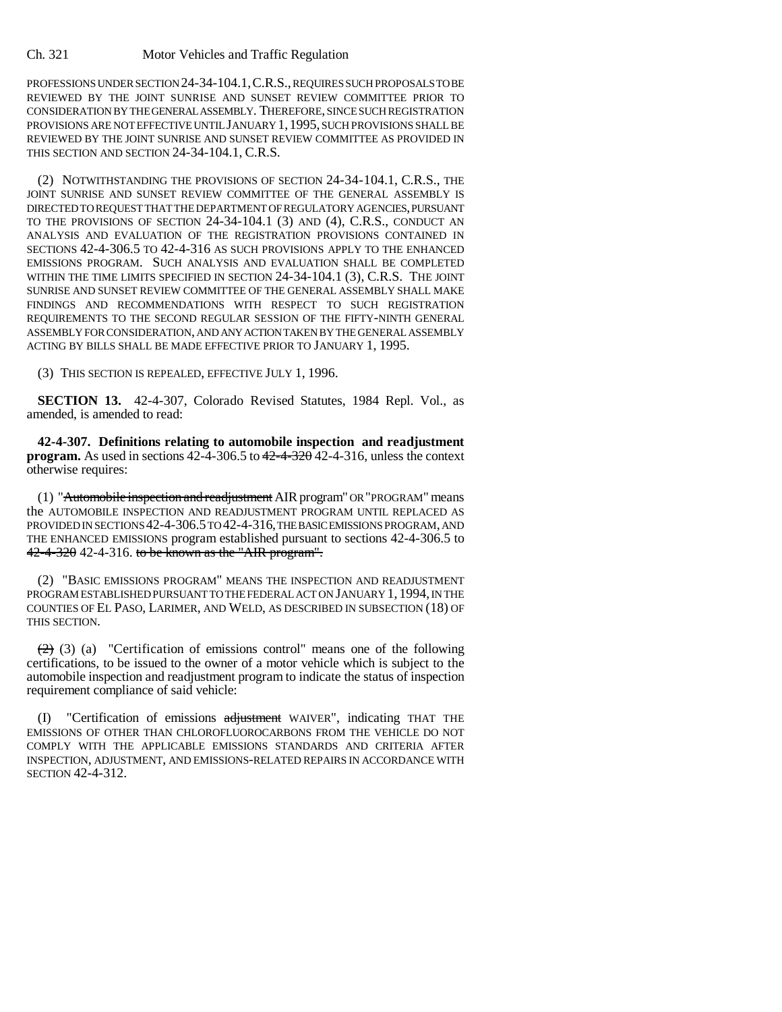PROFESSIONS UNDER SECTION 24-34-104.1,C.R.S., REQUIRES SUCH PROPOSALS TO BE REVIEWED BY THE JOINT SUNRISE AND SUNSET REVIEW COMMITTEE PRIOR TO CONSIDERATION BY THE GENERAL ASSEMBLY. THEREFORE, SINCE SUCH REGISTRATION PROVISIONS ARE NOT EFFECTIVE UNTIL JANUARY 1,1995, SUCH PROVISIONS SHALL BE REVIEWED BY THE JOINT SUNRISE AND SUNSET REVIEW COMMITTEE AS PROVIDED IN THIS SECTION AND SECTION 24-34-104.1, C.R.S.

(2) NOTWITHSTANDING THE PROVISIONS OF SECTION 24-34-104.1, C.R.S., THE JOINT SUNRISE AND SUNSET REVIEW COMMITTEE OF THE GENERAL ASSEMBLY IS DIRECTED TO REQUEST THAT THE DEPARTMENT OF REGULATORY AGENCIES, PURSUANT TO THE PROVISIONS OF SECTION 24-34-104.1 (3) AND (4), C.R.S., CONDUCT AN ANALYSIS AND EVALUATION OF THE REGISTRATION PROVISIONS CONTAINED IN SECTIONS 42-4-306.5 TO 42-4-316 AS SUCH PROVISIONS APPLY TO THE ENHANCED EMISSIONS PROGRAM. SUCH ANALYSIS AND EVALUATION SHALL BE COMPLETED WITHIN THE TIME LIMITS SPECIFIED IN SECTION 24-34-104.1 (3), C.R.S. THE JOINT SUNRISE AND SUNSET REVIEW COMMITTEE OF THE GENERAL ASSEMBLY SHALL MAKE FINDINGS AND RECOMMENDATIONS WITH RESPECT TO SUCH REGISTRATION REQUIREMENTS TO THE SECOND REGULAR SESSION OF THE FIFTY-NINTH GENERAL ASSEMBLY FOR CONSIDERATION, AND ANY ACTION TAKEN BY THE GENERAL ASSEMBLY ACTING BY BILLS SHALL BE MADE EFFECTIVE PRIOR TO JANUARY 1, 1995.

(3) THIS SECTION IS REPEALED, EFFECTIVE JULY 1, 1996.

**SECTION 13.** 42-4-307, Colorado Revised Statutes, 1984 Repl. Vol., as amended, is amended to read:

**42-4-307. Definitions relating to automobile inspection and readjustment program.** As used in sections 42-4-306.5 to  $42-4-320$  42-4-316, unless the context otherwise requires:

(1) "Automobile inspection and readjustment AIR program" OR "PROGRAM" means the AUTOMOBILE INSPECTION AND READJUSTMENT PROGRAM UNTIL REPLACED AS PROVIDED IN SECTIONS 42-4-306.5 TO 42-4-316, THE BASIC EMISSIONS PROGRAM, AND THE ENHANCED EMISSIONS program established pursuant to sections 42-4-306.5 to 42-4-320 42-4-316. to be known as the "AIR program".

(2) "BASIC EMISSIONS PROGRAM" MEANS THE INSPECTION AND READJUSTMENT PROGRAM ESTABLISHED PURSUANT TO THE FEDERAL ACT ON JANUARY 1, 1994, IN THE COUNTIES OF EL PASO, LARIMER, AND WELD, AS DESCRIBED IN SUBSECTION (18) OF THIS SECTION.

 $(2)$  (3) (a) "Certification of emissions control" means one of the following certifications, to be issued to the owner of a motor vehicle which is subject to the automobile inspection and readjustment program to indicate the status of inspection requirement compliance of said vehicle:

"Certification of emissions adjustment WAIVER", indicating THAT THE EMISSIONS OF OTHER THAN CHLOROFLUOROCARBONS FROM THE VEHICLE DO NOT COMPLY WITH THE APPLICABLE EMISSIONS STANDARDS AND CRITERIA AFTER INSPECTION, ADJUSTMENT, AND EMISSIONS-RELATED REPAIRS IN ACCORDANCE WITH SECTION 42-4-312.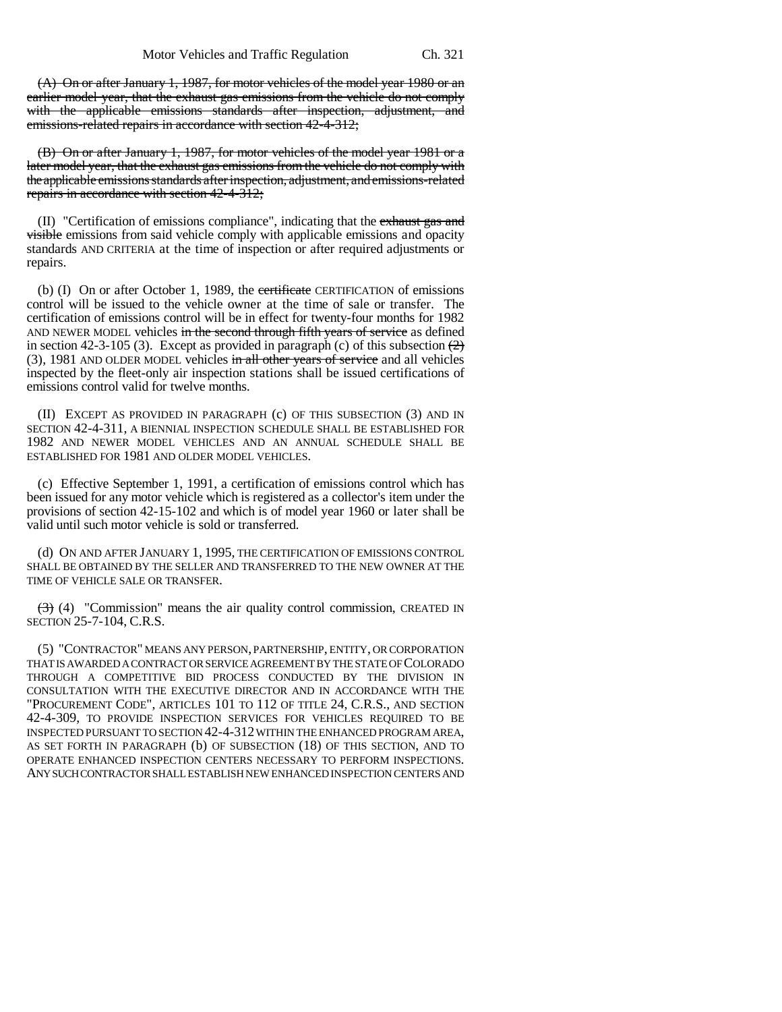(A) On or after January 1, 1987, for motor vehicles of the model year 1980 or an earlier model year, that the exhaust gas emissions from the vehicle do not comply with the applicable emissions standards after inspection, adjustment, and emissions-related repairs in accordance with section 42-4-312;

(B) On or after January 1, 1987, for motor vehicles of the model year 1981 or a later model year, that the exhaust gas emissions from the vehicle do not comply with the applicable emissions standards after inspection, adjustment, and emissions-related repairs in accordance with section 42-4-312;

(II) "Certification of emissions compliance", indicating that the exhaust gas and visible emissions from said vehicle comply with applicable emissions and opacity standards AND CRITERIA at the time of inspection or after required adjustments or repairs.

(b) (I) On or after October 1, 1989, the certificate CERTIFICATION of emissions control will be issued to the vehicle owner at the time of sale or transfer. The certification of emissions control will be in effect for twenty-four months for 1982 AND NEWER MODEL vehicles in the second through fifth years of service as defined in section 42-3-105 (3). Except as provided in paragraph (c) of this subsection  $\left(\frac{2}{2}\right)$ (3), 1981 AND OLDER MODEL vehicles in all other years of service and all vehicles inspected by the fleet-only air inspection stations shall be issued certifications of emissions control valid for twelve months.

(II) EXCEPT AS PROVIDED IN PARAGRAPH (c) OF THIS SUBSECTION (3) AND IN SECTION 42-4-311, A BIENNIAL INSPECTION SCHEDULE SHALL BE ESTABLISHED FOR 1982 AND NEWER MODEL VEHICLES AND AN ANNUAL SCHEDULE SHALL BE ESTABLISHED FOR 1981 AND OLDER MODEL VEHICLES.

(c) Effective September 1, 1991, a certification of emissions control which has been issued for any motor vehicle which is registered as a collector's item under the provisions of section 42-15-102 and which is of model year 1960 or later shall be valid until such motor vehicle is sold or transferred.

(d) ON AND AFTER JANUARY 1, 1995, THE CERTIFICATION OF EMISSIONS CONTROL SHALL BE OBTAINED BY THE SELLER AND TRANSFERRED TO THE NEW OWNER AT THE TIME OF VEHICLE SALE OR TRANSFER.

 $(3)$  (4) "Commission" means the air quality control commission, CREATED IN SECTION 25-7-104, C.R.S.

(5) "CONTRACTOR" MEANS ANY PERSON, PARTNERSHIP, ENTITY, OR CORPORATION THAT IS AWARDED A CONTRACT OR SERVICE AGREEMENT BY THE STATE OF COLORADO THROUGH A COMPETITIVE BID PROCESS CONDUCTED BY THE DIVISION IN CONSULTATION WITH THE EXECUTIVE DIRECTOR AND IN ACCORDANCE WITH THE "PROCUREMENT CODE", ARTICLES 101 TO 112 OF TITLE 24, C.R.S., AND SECTION 42-4-309, TO PROVIDE INSPECTION SERVICES FOR VEHICLES REQUIRED TO BE INSPECTED PURSUANT TO SECTION 42-4-312 WITHIN THE ENHANCED PROGRAM AREA, AS SET FORTH IN PARAGRAPH (b) OF SUBSECTION (18) OF THIS SECTION, AND TO OPERATE ENHANCED INSPECTION CENTERS NECESSARY TO PERFORM INSPECTIONS. ANY SUCH CONTRACTOR SHALL ESTABLISH NEW ENHANCED INSPECTION CENTERS AND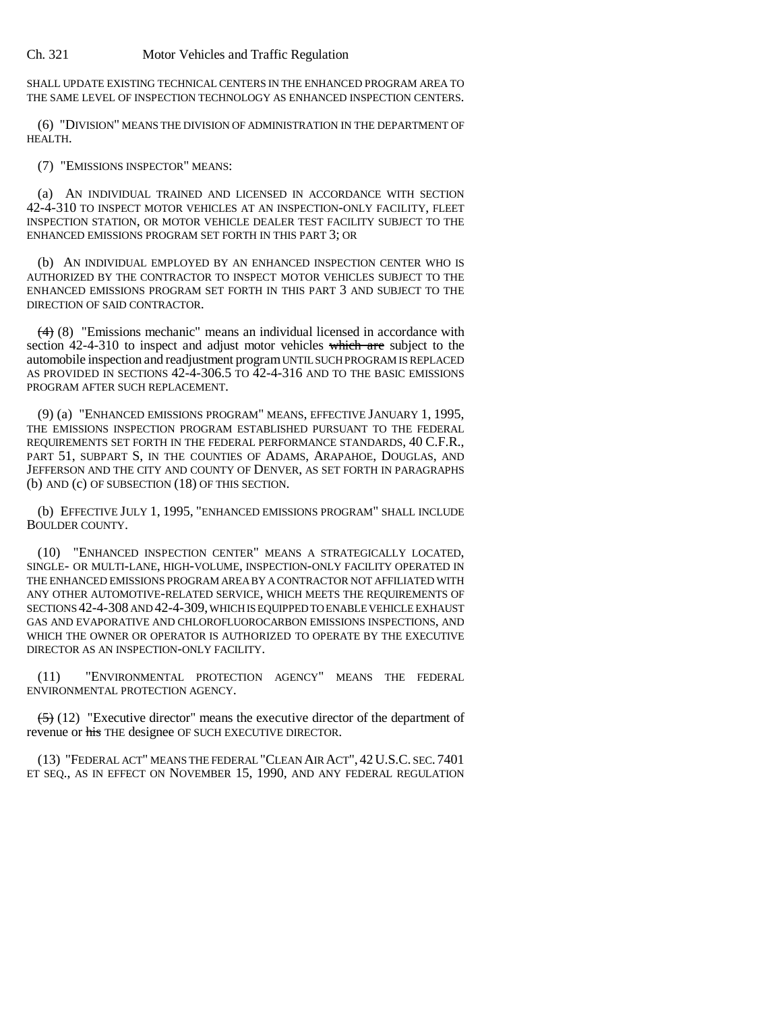SHALL UPDATE EXISTING TECHNICAL CENTERS IN THE ENHANCED PROGRAM AREA TO THE SAME LEVEL OF INSPECTION TECHNOLOGY AS ENHANCED INSPECTION CENTERS.

(6) "DIVISION" MEANS THE DIVISION OF ADMINISTRATION IN THE DEPARTMENT OF HEALTH.

(7) "EMISSIONS INSPECTOR" MEANS:

(a) AN INDIVIDUAL TRAINED AND LICENSED IN ACCORDANCE WITH SECTION 42-4-310 TO INSPECT MOTOR VEHICLES AT AN INSPECTION-ONLY FACILITY, FLEET INSPECTION STATION, OR MOTOR VEHICLE DEALER TEST FACILITY SUBJECT TO THE ENHANCED EMISSIONS PROGRAM SET FORTH IN THIS PART 3; OR

(b) AN INDIVIDUAL EMPLOYED BY AN ENHANCED INSPECTION CENTER WHO IS AUTHORIZED BY THE CONTRACTOR TO INSPECT MOTOR VEHICLES SUBJECT TO THE ENHANCED EMISSIONS PROGRAM SET FORTH IN THIS PART 3 AND SUBJECT TO THE DIRECTION OF SAID CONTRACTOR.

(4) (8) "Emissions mechanic" means an individual licensed in accordance with section 42-4-310 to inspect and adjust motor vehicles which are subject to the automobile inspection and readjustment program UNTIL SUCH PROGRAM IS REPLACED AS PROVIDED IN SECTIONS 42-4-306.5 TO 42-4-316 AND TO THE BASIC EMISSIONS PROGRAM AFTER SUCH REPLACEMENT.

(9) (a) "ENHANCED EMISSIONS PROGRAM" MEANS, EFFECTIVE JANUARY 1, 1995, THE EMISSIONS INSPECTION PROGRAM ESTABLISHED PURSUANT TO THE FEDERAL REQUIREMENTS SET FORTH IN THE FEDERAL PERFORMANCE STANDARDS, 40 C.F.R., PART 51, SUBPART S, IN THE COUNTIES OF ADAMS, ARAPAHOE, DOUGLAS, AND JEFFERSON AND THE CITY AND COUNTY OF DENVER, AS SET FORTH IN PARAGRAPHS (b) AND (c) OF SUBSECTION (18) OF THIS SECTION.

(b) EFFECTIVE JULY 1, 1995, "ENHANCED EMISSIONS PROGRAM" SHALL INCLUDE BOULDER COUNTY.

(10) "ENHANCED INSPECTION CENTER" MEANS A STRATEGICALLY LOCATED, SINGLE- OR MULTI-LANE, HIGH-VOLUME, INSPECTION-ONLY FACILITY OPERATED IN THE ENHANCED EMISSIONS PROGRAM AREA BY A CONTRACTOR NOT AFFILIATED WITH ANY OTHER AUTOMOTIVE-RELATED SERVICE, WHICH MEETS THE REQUIREMENTS OF SECTIONS 42-4-308 AND 42-4-309, WHICH IS EQUIPPED TO ENABLE VEHICLE EXHAUST GAS AND EVAPORATIVE AND CHLOROFLUOROCARBON EMISSIONS INSPECTIONS, AND WHICH THE OWNER OR OPERATOR IS AUTHORIZED TO OPERATE BY THE EXECUTIVE DIRECTOR AS AN INSPECTION-ONLY FACILITY.

(11) "ENVIRONMENTAL PROTECTION AGENCY" MEANS THE FEDERAL ENVIRONMENTAL PROTECTION AGENCY.

 $(5)(12)$  "Executive director" means the executive director of the department of revenue or his THE designee OF SUCH EXECUTIVE DIRECTOR.

(13) "FEDERAL ACT" MEANS THE FEDERAL "CLEAN AIR ACT", 42U.S.C. SEC. 7401 ET SEQ., AS IN EFFECT ON NOVEMBER 15, 1990, AND ANY FEDERAL REGULATION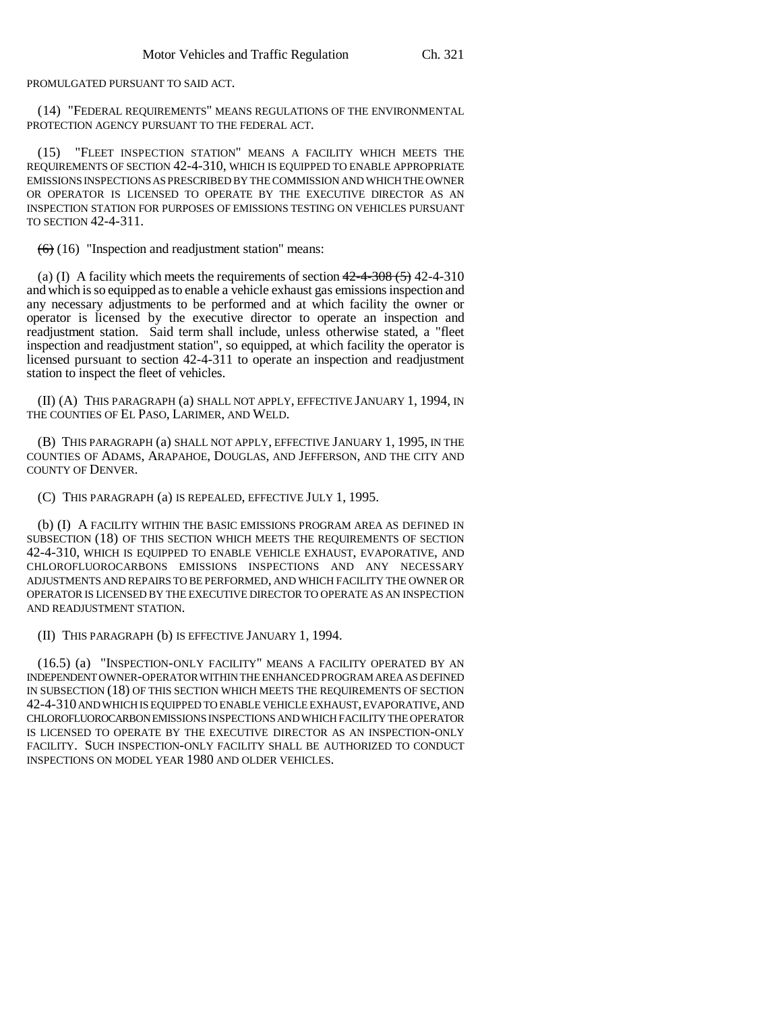PROMULGATED PURSUANT TO SAID ACT.

(14) "FEDERAL REQUIREMENTS" MEANS REGULATIONS OF THE ENVIRONMENTAL PROTECTION AGENCY PURSUANT TO THE FEDERAL ACT.

(15) "FLEET INSPECTION STATION" MEANS A FACILITY WHICH MEETS THE REQUIREMENTS OF SECTION 42-4-310, WHICH IS EQUIPPED TO ENABLE APPROPRIATE EMISSIONS INSPECTIONS AS PRESCRIBED BY THE COMMISSION AND WHICH THE OWNER OR OPERATOR IS LICENSED TO OPERATE BY THE EXECUTIVE DIRECTOR AS AN INSPECTION STATION FOR PURPOSES OF EMISSIONS TESTING ON VEHICLES PURSUANT TO SECTION 42-4-311.

 $(6)$  (16) "Inspection and readjustment station" means:

(a) (I) A facility which meets the requirements of section  $42-4-308(5)$  42-4-310 and which is so equipped as to enable a vehicle exhaust gas emissions inspection and any necessary adjustments to be performed and at which facility the owner or operator is licensed by the executive director to operate an inspection and readjustment station. Said term shall include, unless otherwise stated, a "fleet inspection and readjustment station", so equipped, at which facility the operator is licensed pursuant to section 42-4-311 to operate an inspection and readjustment station to inspect the fleet of vehicles.

(II) (A) THIS PARAGRAPH (a) SHALL NOT APPLY, EFFECTIVE JANUARY 1, 1994, IN THE COUNTIES OF EL PASO, LARIMER, AND WELD.

(B) THIS PARAGRAPH (a) SHALL NOT APPLY, EFFECTIVE JANUARY 1, 1995, IN THE COUNTIES OF ADAMS, ARAPAHOE, DOUGLAS, AND JEFFERSON, AND THE CITY AND COUNTY OF DENVER.

(C) THIS PARAGRAPH (a) IS REPEALED, EFFECTIVE JULY 1, 1995.

(b) (I) A FACILITY WITHIN THE BASIC EMISSIONS PROGRAM AREA AS DEFINED IN SUBSECTION (18) OF THIS SECTION WHICH MEETS THE REQUIREMENTS OF SECTION 42-4-310, WHICH IS EQUIPPED TO ENABLE VEHICLE EXHAUST, EVAPORATIVE, AND CHLOROFLUOROCARBONS EMISSIONS INSPECTIONS AND ANY NECESSARY ADJUSTMENTS AND REPAIRS TO BE PERFORMED, AND WHICH FACILITY THE OWNER OR OPERATOR IS LICENSED BY THE EXECUTIVE DIRECTOR TO OPERATE AS AN INSPECTION AND READJUSTMENT STATION.

(II) THIS PARAGRAPH (b) IS EFFECTIVE JANUARY 1, 1994.

(16.5) (a) "INSPECTION-ONLY FACILITY" MEANS A FACILITY OPERATED BY AN INDEPENDENT OWNER-OPERATOR WITHIN THE ENHANCED PROGRAM AREA AS DEFINED IN SUBSECTION (18) OF THIS SECTION WHICH MEETS THE REQUIREMENTS OF SECTION 42-4-310 AND WHICH IS EQUIPPED TO ENABLE VEHICLE EXHAUST, EVAPORATIVE, AND CHLOROFLUOROCARBON EMISSIONS INSPECTIONS AND WHICH FACILITY THE OPERATOR IS LICENSED TO OPERATE BY THE EXECUTIVE DIRECTOR AS AN INSPECTION-ONLY FACILITY. SUCH INSPECTION-ONLY FACILITY SHALL BE AUTHORIZED TO CONDUCT INSPECTIONS ON MODEL YEAR 1980 AND OLDER VEHICLES.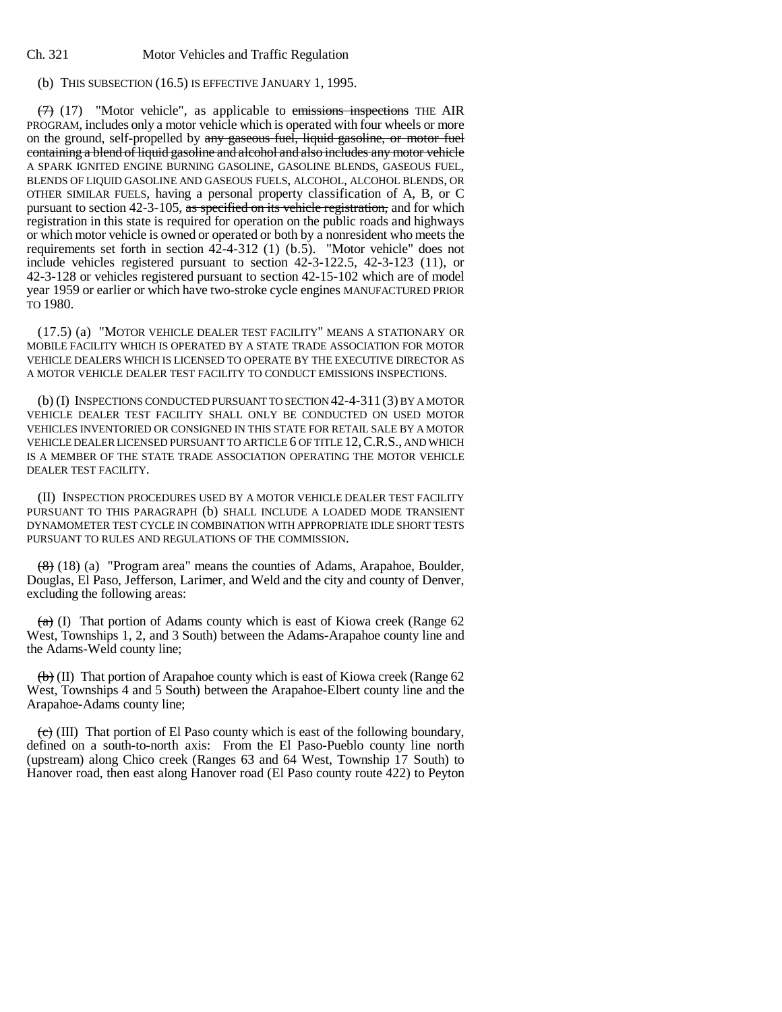## (b) THIS SUBSECTION (16.5) IS EFFECTIVE JANUARY 1, 1995.

 $(7)$  (17) "Motor vehicle", as applicable to emissions inspections THE AIR PROGRAM, includes only a motor vehicle which is operated with four wheels or more on the ground, self-propelled by any gaseous fuel, liquid gasoline, or motor fuel containing a blend of liquid gasoline and alcohol and also includes any motor vehicle A SPARK IGNITED ENGINE BURNING GASOLINE, GASOLINE BLENDS, GASEOUS FUEL, BLENDS OF LIQUID GASOLINE AND GASEOUS FUELS, ALCOHOL, ALCOHOL BLENDS, OR OTHER SIMILAR FUELS, having a personal property classification of A, B, or C pursuant to section 42-3-105, as specified on its vehicle registration, and for which registration in this state is required for operation on the public roads and highways or which motor vehicle is owned or operated or both by a nonresident who meets the requirements set forth in section 42-4-312 (1) (b.5). "Motor vehicle" does not include vehicles registered pursuant to section 42-3-122.5, 42-3-123 (11), or 42-3-128 or vehicles registered pursuant to section 42-15-102 which are of model year 1959 or earlier or which have two-stroke cycle engines MANUFACTURED PRIOR TO 1980.

(17.5) (a) "MOTOR VEHICLE DEALER TEST FACILITY" MEANS A STATIONARY OR MOBILE FACILITY WHICH IS OPERATED BY A STATE TRADE ASSOCIATION FOR MOTOR VEHICLE DEALERS WHICH IS LICENSED TO OPERATE BY THE EXECUTIVE DIRECTOR AS A MOTOR VEHICLE DEALER TEST FACILITY TO CONDUCT EMISSIONS INSPECTIONS.

(b) (I) INSPECTIONS CONDUCTED PURSUANT TO SECTION 42-4-311 (3) BY A MOTOR VEHICLE DEALER TEST FACILITY SHALL ONLY BE CONDUCTED ON USED MOTOR VEHICLES INVENTORIED OR CONSIGNED IN THIS STATE FOR RETAIL SALE BY A MOTOR VEHICLE DEALER LICENSED PURSUANT TO ARTICLE 6 OF TITLE 12,C.R.S., AND WHICH IS A MEMBER OF THE STATE TRADE ASSOCIATION OPERATING THE MOTOR VEHICLE DEALER TEST FACILITY.

(II) INSPECTION PROCEDURES USED BY A MOTOR VEHICLE DEALER TEST FACILITY PURSUANT TO THIS PARAGRAPH (b) SHALL INCLUDE A LOADED MODE TRANSIENT DYNAMOMETER TEST CYCLE IN COMBINATION WITH APPROPRIATE IDLE SHORT TESTS PURSUANT TO RULES AND REGULATIONS OF THE COMMISSION.

 $(8)$  (18) (a) "Program area" means the counties of Adams, Arapahoe, Boulder, Douglas, El Paso, Jefferson, Larimer, and Weld and the city and county of Denver, excluding the following areas:

 $(a)$  (I) That portion of Adams county which is east of Kiowa creek (Range 62) West, Townships 1, 2, and 3 South) between the Adams-Arapahoe county line and the Adams-Weld county line;

 $\left(\frac{b}{b}\right)$  (II) That portion of Arapahoe county which is east of Kiowa creek (Range 62) West, Townships 4 and 5 South) between the Arapahoe-Elbert county line and the Arapahoe-Adams county line;

 $\overline{(c)}$  (III) That portion of El Paso county which is east of the following boundary, defined on a south-to-north axis: From the El Paso-Pueblo county line north (upstream) along Chico creek (Ranges 63 and 64 West, Township 17 South) to Hanover road, then east along Hanover road (El Paso county route 422) to Peyton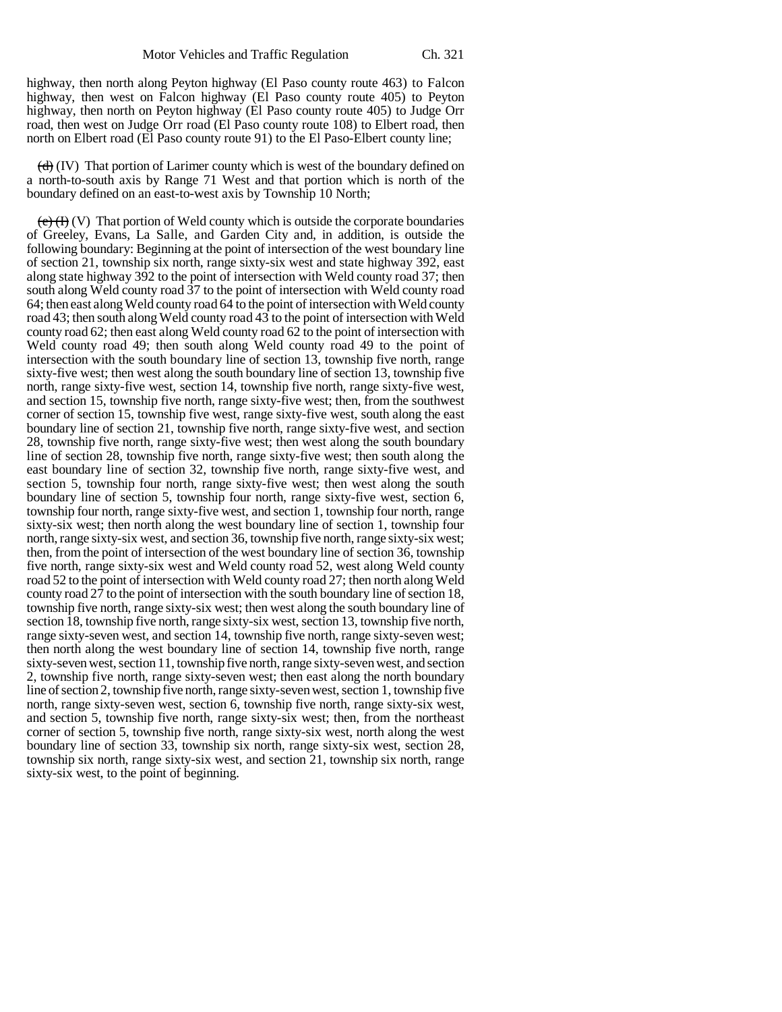highway, then north along Peyton highway (El Paso county route 463) to Falcon highway, then west on Falcon highway (El Paso county route 405) to Peyton highway, then north on Peyton highway (El Paso county route 405) to Judge Orr road, then west on Judge Orr road (El Paso county route 108) to Elbert road, then north on Elbert road (El Paso county route 91) to the El Paso-Elbert county line;

 $(d)$  (IV) That portion of Larimer county which is west of the boundary defined on a north-to-south axis by Range 71 West and that portion which is north of the boundary defined on an east-to-west axis by Township 10 North;

 $(e)$  (**F**) (**V**) That portion of Weld county which is outside the corporate boundaries of Greeley, Evans, La Salle, and Garden City and, in addition, is outside the following boundary: Beginning at the point of intersection of the west boundary line of section 21, township six north, range sixty-six west and state highway 392, east along state highway 392 to the point of intersection with Weld county road 37; then south along Weld county road 37 to the point of intersection with Weld county road 64; then east along Weld county road 64 to the point of intersection with Weld county road 43; then south along Weld county road 43 to the point of intersection with Weld county road 62; then east along Weld county road 62 to the point of intersection with Weld county road 49; then south along Weld county road 49 to the point of intersection with the south boundary line of section 13, township five north, range sixty-five west; then west along the south boundary line of section 13, township five north, range sixty-five west, section 14, township five north, range sixty-five west, and section 15, township five north, range sixty-five west; then, from the southwest corner of section 15, township five west, range sixty-five west, south along the east boundary line of section 21, township five north, range sixty-five west, and section 28, township five north, range sixty-five west; then west along the south boundary line of section 28, township five north, range sixty-five west; then south along the east boundary line of section 32, township five north, range sixty-five west, and section 5, township four north, range sixty-five west; then west along the south boundary line of section 5, township four north, range sixty-five west, section 6, township four north, range sixty-five west, and section 1, township four north, range sixty-six west; then north along the west boundary line of section 1, township four north, range sixty-six west, and section 36, township five north, range sixty-six west; then, from the point of intersection of the west boundary line of section 36, township five north, range sixty-six west and Weld county road 52, west along Weld county road 52 to the point of intersection with Weld county road 27; then north along Weld county road 27 to the point of intersection with the south boundary line of section 18, township five north, range sixty-six west; then west along the south boundary line of section 18, township five north, range sixty-six west, section 13, township five north, range sixty-seven west, and section 14, township five north, range sixty-seven west; then north along the west boundary line of section 14, township five north, range sixty-seven west, section 11, township five north, range sixty-seven west, and section 2, township five north, range sixty-seven west; then east along the north boundary line of section 2, township five north, range sixty-seven west, section 1, township five north, range sixty-seven west, section 6, township five north, range sixty-six west, and section 5, township five north, range sixty-six west; then, from the northeast corner of section 5, township five north, range sixty-six west, north along the west boundary line of section 33, township six north, range sixty-six west, section 28, township six north, range sixty-six west, and section 21, township six north, range sixty-six west, to the point of beginning.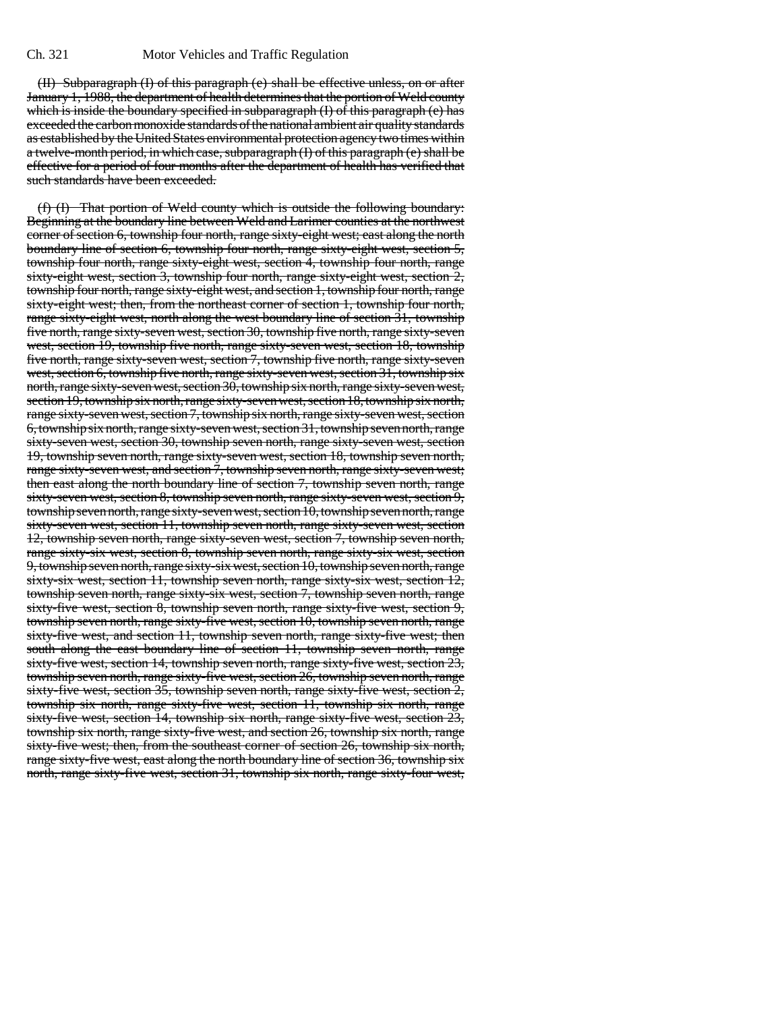(II) Subparagraph (I) of this paragraph (e) shall be effective unless, on or after January 1, 1988, the department of health determines that the portion of Weld county which is inside the boundary specified in subparagraph (I) of this paragraph (e) has exceeded the carbon monoxide standards of the national ambient air quality standards as established by the United States environmental protection agency two times within a twelve-month period, in which case, subparagraph (I) of this paragraph (e) shall be effective for a period of four months after the department of health has verified that such standards have been exceeded.

(f) (I) That portion of Weld county which is outside the following boundary: Beginning at the boundary line between Weld and Larimer counties at the northwest corner of section 6, township four north, range sixty-eight west; east along the north boundary line of section 6, township four north, range sixty-eight west, section 5, township four north, range sixty-eight west, section 4, township four north, range sixty-eight west, section 3, township four north, range sixty-eight west, section 2, township four north, range sixty-eight west, and section 1, township four north, range sixty-eight west; then, from the northeast corner of section 1, township four north, range sixty-eight west, north along the west boundary line of section 31, township five north, range sixty-seven west, section 30, township five north, range sixty-seven west, section 19, township five north, range sixty-seven west, section 18, township five north, range sixty-seven west, section 7, township five north, range sixty-seven west, section 6, township five north, range sixty-seven west, section 31, township six north, range sixty-seven west, section 30, township six north, range sixty-seven west, section 19, township six north, range sixty-seven west, section 18, township six north, range sixty-seven west, section 7, township six north, range sixty-seven west, section 6, township six north, range sixty-seven west, section 31, township seven north, range sixty-seven west, section 30, township seven north, range sixty-seven west, section 19, township seven north, range sixty-seven west, section 18, township seven north, range sixty-seven west, and section 7, township seven north, range sixty-seven west; then east along the north boundary line of section 7, township seven north, range sixty-seven west, section 8, township seven north, range sixty-seven west, section 9, township seven north, range sixty-seven west, section 10, township seven north, range sixty-seven west, section 11, township seven north, range sixty-seven west, section 12, township seven north, range sixty-seven west, section 7, township seven north, range sixty-six west, section 8, township seven north, range sixty-six west, section 9, township seven north, range sixty-six west, section 10, township seven north, range sixty-six west, section 11, township seven north, range sixty-six west, section 12, township seven north, range sixty-six west, section 7, township seven north, range sixty-five west, section 8, township seven north, range sixty-five west, section 9, township seven north, range sixty-five west, section 10, township seven north, range sixty-five west, and section 11, township seven north, range sixty-five west; then south along the east boundary line of section 11, township seven north, range sixty-five west, section 14, township seven north, range sixty-five west, section 23, township seven north, range sixty-five west, section 26, township seven north, range sixty-five west, section 35, township seven north, range sixty-five west, section 2, township six north, range sixty-five west, section 11, township six north, range sixty-five west, section 14, township six north, range sixty-five west, section 23, township six north, range sixty-five west, and section 26, township six north, range sixty-five west; then, from the southeast corner of section 26, township six north, range sixty-five west, east along the north boundary line of section 36, township six north, range sixty-five west, section 31, township six north, range sixty-four west,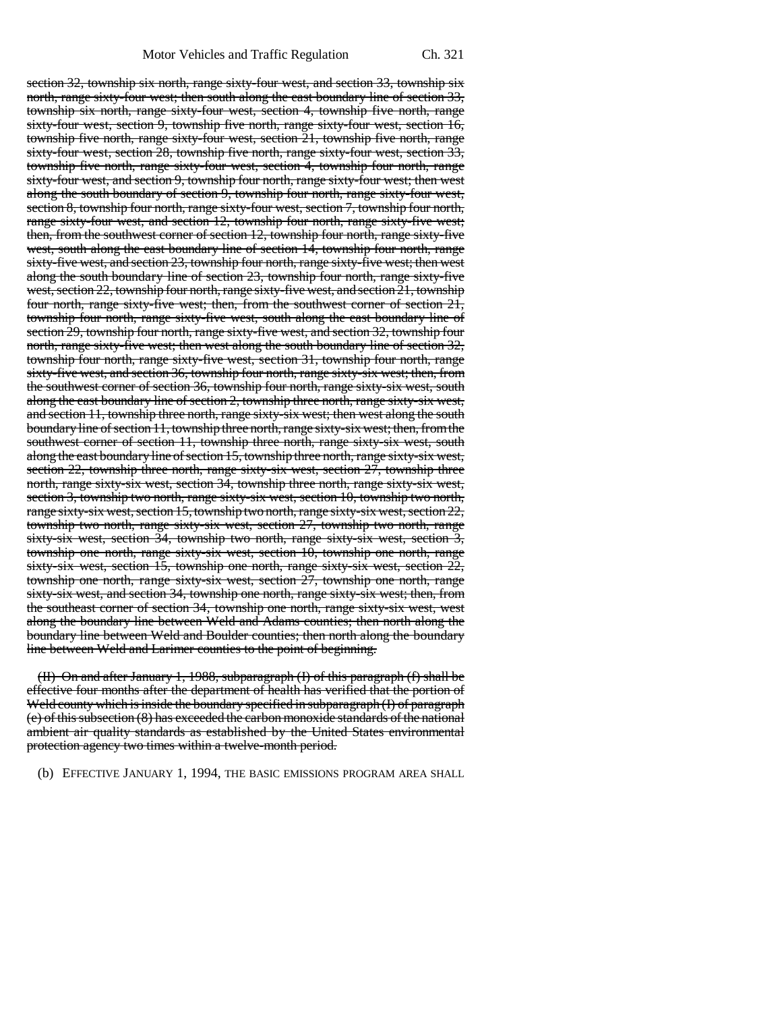section 32, township six north, range sixty-four west, and section 33, township six north, range sixty-four west; then south along the east boundary line of section 33, township six north, range sixty-four west, section 4, township five north, range sixty-four west, section 9, township five north, range sixty-four west, section 16, township five north, range sixty-four west, section 21, township five north, range sixty-four west, section 28, township five north, range sixty-four west, section 33, township five north, range sixty-four west, section 4, township four north, range sixty-four west, and section 9, township four north, range sixty-four west; then west along the south boundary of section 9, township four north, range sixty-four west, section 8, township four north, range sixty-four west, section 7, township four north, range sixty-four west, and section 12, township four north, range sixty-five west; then, from the southwest corner of section 12, township four north, range sixty-five west, south along the east boundary line of section 14, township four north, range sixty-five west, and section 23, township four north, range sixty-five west; then west along the south boundary line of section 23, township four north, range sixty-five west, section 22, township four north, range sixty-five west, and section 21, township four north, range sixty-five west; then, from the southwest corner of section 21, township four north, range sixty-five west, south along the east boundary line of section 29, township four north, range sixty-five west, and section 32, township four north, range sixty-five west; then west along the south boundary line of section 32, township four north, range sixty-five west, section 31, township four north, range sixty-five west, and section 36, township four north, range sixty-six west; then, from the southwest corner of section 36, township four north, range sixty-six west, south along the east boundary line of section 2, township three north, range sixty-six west, and section 11, township three north, range sixty-six west; then west along the south boundary line of section 11, township three north, range sixty-six west; then, from the southwest corner of section 11, township three north, range sixty-six west, south along the east boundary line of section 15, township three north, range sixty-six west, section  $22$ , township three north, range sixty-six west, section  $27$ , township three north, range sixty-six west, section 34, township three north, range sixty-six west, section 3, township two north, range sixty-six west, section 10, township two north, range sixty-six west, section 15, township two north, range sixty-six west, section 22, township two north, range sixty-six west, section 27, township two north, range sixty-six west, section 34, township two north, range sixty-six west, section 3, township one north, range sixty-six west, section 10, township one north, range sixty-six west, section 15, township one north, range sixty-six west, section 22, township one north, range sixty-six west, section 27, township one north, range sixty-six west, and section 34, township one north, range sixty-six west; then, from the southeast corner of section 34, township one north, range sixty-six west, west along the boundary line between Weld and Adams counties; then north along the boundary line between Weld and Boulder counties; then north along the boundary line between Weld and Larimer counties to the point of beginning.

(II) On and after January 1, 1988, subparagraph (I) of this paragraph (f) shall be effective four months after the department of health has verified that the portion of Weld county which is inside the boundary specified in subparagraph (I) of paragraph (e) of this subsection (8) has exceeded the carbon monoxide standards of the national ambient air quality standards as established by the United States environmental protection agency two times within a twelve-month period.

(b) EFFECTIVE JANUARY 1, 1994, THE BASIC EMISSIONS PROGRAM AREA SHALL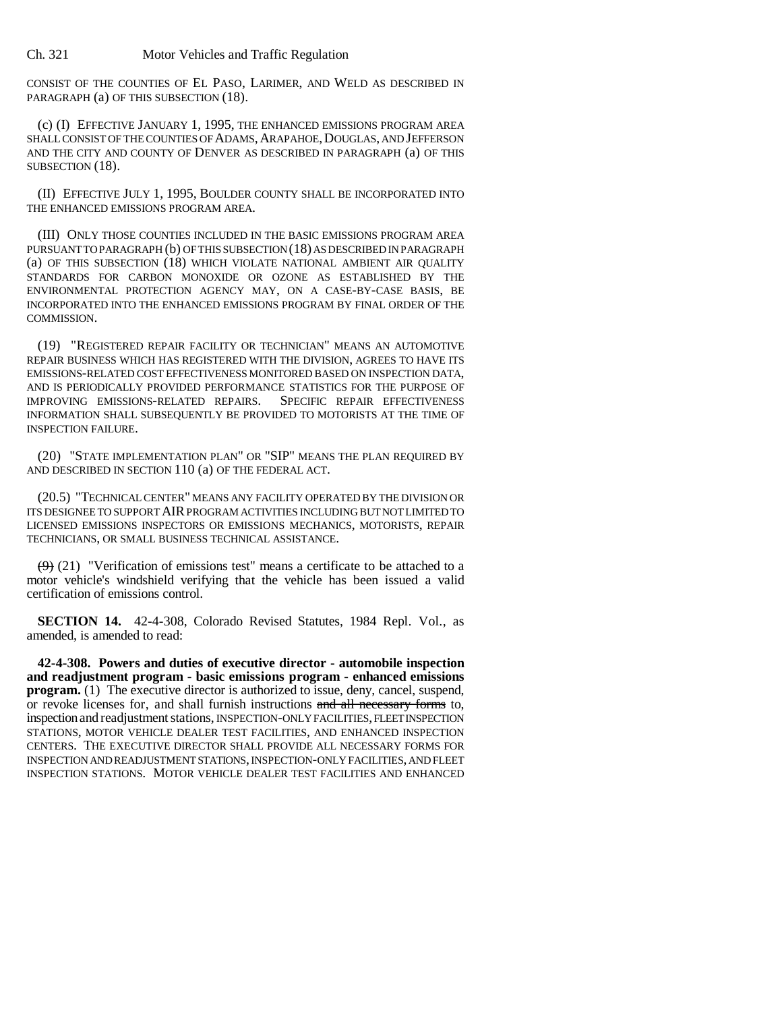CONSIST OF THE COUNTIES OF EL PASO, LARIMER, AND WELD AS DESCRIBED IN PARAGRAPH (a) OF THIS SUBSECTION (18).

(c) (I) EFFECTIVE JANUARY 1, 1995, THE ENHANCED EMISSIONS PROGRAM AREA SHALL CONSIST OF THE COUNTIES OF ADAMS, ARAPAHOE, DOUGLAS, AND JEFFERSON AND THE CITY AND COUNTY OF DENVER AS DESCRIBED IN PARAGRAPH (a) OF THIS SUBSECTION (18).

(II) EFFECTIVE JULY 1, 1995, BOULDER COUNTY SHALL BE INCORPORATED INTO THE ENHANCED EMISSIONS PROGRAM AREA.

(III) ONLY THOSE COUNTIES INCLUDED IN THE BASIC EMISSIONS PROGRAM AREA PURSUANT TO PARAGRAPH (b) OF THIS SUBSECTION (18) AS DESCRIBED IN PARAGRAPH (a) OF THIS SUBSECTION (18) WHICH VIOLATE NATIONAL AMBIENT AIR QUALITY STANDARDS FOR CARBON MONOXIDE OR OZONE AS ESTABLISHED BY THE ENVIRONMENTAL PROTECTION AGENCY MAY, ON A CASE-BY-CASE BASIS, BE INCORPORATED INTO THE ENHANCED EMISSIONS PROGRAM BY FINAL ORDER OF THE COMMISSION.

(19) "REGISTERED REPAIR FACILITY OR TECHNICIAN" MEANS AN AUTOMOTIVE REPAIR BUSINESS WHICH HAS REGISTERED WITH THE DIVISION, AGREES TO HAVE ITS EMISSIONS-RELATED COST EFFECTIVENESS MONITORED BASED ON INSPECTION DATA, AND IS PERIODICALLY PROVIDED PERFORMANCE STATISTICS FOR THE PURPOSE OF IMPROVING EMISSIONS-RELATED REPAIRS. SPECIFIC REPAIR EFFECTIVENESS INFORMATION SHALL SUBSEQUENTLY BE PROVIDED TO MOTORISTS AT THE TIME OF INSPECTION FAILURE.

(20) "STATE IMPLEMENTATION PLAN" OR "SIP" MEANS THE PLAN REQUIRED BY AND DESCRIBED IN SECTION 110 (a) OF THE FEDERAL ACT.

(20.5) "TECHNICAL CENTER" MEANS ANY FACILITY OPERATED BY THE DIVISION OR ITS DESIGNEE TO SUPPORT AIR PROGRAM ACTIVITIES INCLUDING BUT NOT LIMITED TO LICENSED EMISSIONS INSPECTORS OR EMISSIONS MECHANICS, MOTORISTS, REPAIR TECHNICIANS, OR SMALL BUSINESS TECHNICAL ASSISTANCE.

 $(9)$  (21) "Verification of emissions test" means a certificate to be attached to a motor vehicle's windshield verifying that the vehicle has been issued a valid certification of emissions control.

**SECTION 14.** 42-4-308, Colorado Revised Statutes, 1984 Repl. Vol., as amended, is amended to read:

**42-4-308. Powers and duties of executive director - automobile inspection and readjustment program - basic emissions program - enhanced emissions program.** (1) The executive director is authorized to issue, deny, cancel, suspend, or revoke licenses for, and shall furnish instructions and all necessary forms to, inspection and readjustment stations, INSPECTION-ONLY FACILITIES, FLEET INSPECTION STATIONS, MOTOR VEHICLE DEALER TEST FACILITIES, AND ENHANCED INSPECTION CENTERS. THE EXECUTIVE DIRECTOR SHALL PROVIDE ALL NECESSARY FORMS FOR INSPECTION AND READJUSTMENT STATIONS, INSPECTION-ONLY FACILITIES, AND FLEET INSPECTION STATIONS. MOTOR VEHICLE DEALER TEST FACILITIES AND ENHANCED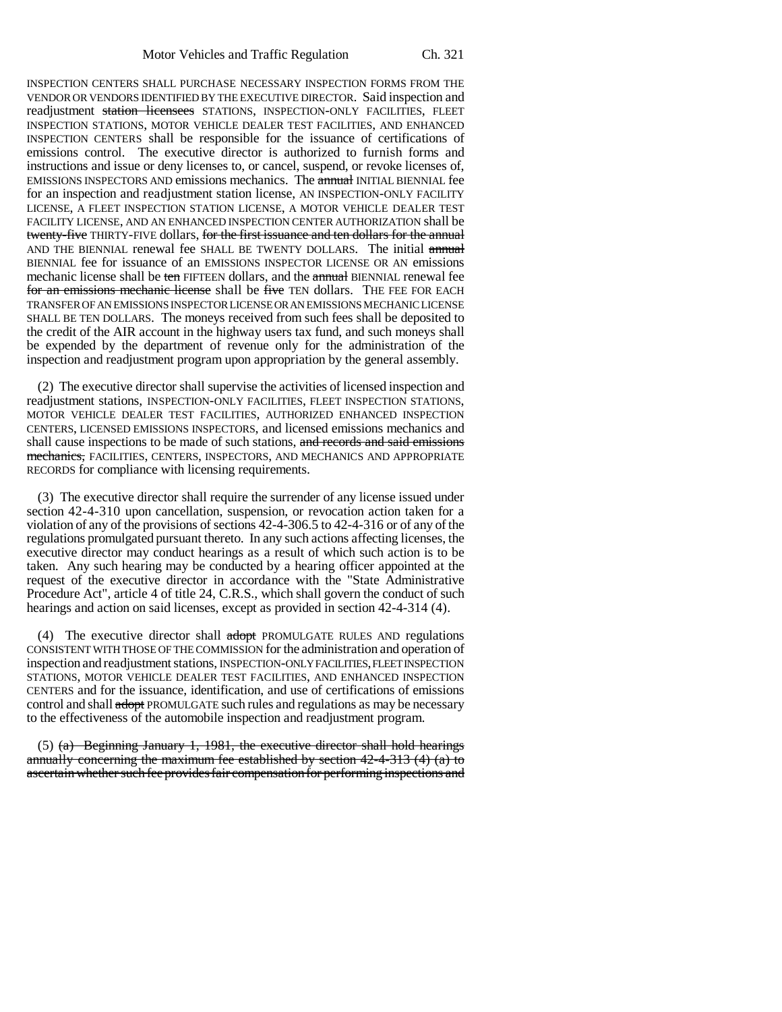INSPECTION CENTERS SHALL PURCHASE NECESSARY INSPECTION FORMS FROM THE VENDOR OR VENDORS IDENTIFIED BY THE EXECUTIVE DIRECTOR. Said inspection and readjustment station licensees STATIONS, INSPECTION-ONLY FACILITIES, FLEET INSPECTION STATIONS, MOTOR VEHICLE DEALER TEST FACILITIES, AND ENHANCED INSPECTION CENTERS shall be responsible for the issuance of certifications of emissions control. The executive director is authorized to furnish forms and instructions and issue or deny licenses to, or cancel, suspend, or revoke licenses of, EMISSIONS INSPECTORS AND emissions mechanics. The annual INITIAL BIENNIAL fee for an inspection and readjustment station license, AN INSPECTION-ONLY FACILITY LICENSE, A FLEET INSPECTION STATION LICENSE, A MOTOR VEHICLE DEALER TEST FACILITY LICENSE, AND AN ENHANCED INSPECTION CENTER AUTHORIZATION shall be twenty-five THIRTY-FIVE dollars, for the first issuance and ten dollars for the annual AND THE BIENNIAL renewal fee SHALL BE TWENTY DOLLARS. The initial annual BIENNIAL fee for issuance of an EMISSIONS INSPECTOR LICENSE OR AN emissions mechanic license shall be ten FIFTEEN dollars, and the annual BIENNIAL renewal fee for an emissions mechanic license shall be five TEN dollars. THE FEE FOR EACH TRANSFER OF AN EMISSIONS INSPECTOR LICENSE OR AN EMISSIONS MECHANIC LICENSE SHALL BE TEN DOLLARS. The moneys received from such fees shall be deposited to the credit of the AIR account in the highway users tax fund, and such moneys shall be expended by the department of revenue only for the administration of the inspection and readjustment program upon appropriation by the general assembly.

(2) The executive director shall supervise the activities of licensed inspection and readjustment stations, INSPECTION-ONLY FACILITIES, FLEET INSPECTION STATIONS, MOTOR VEHICLE DEALER TEST FACILITIES, AUTHORIZED ENHANCED INSPECTION CENTERS, LICENSED EMISSIONS INSPECTORS, and licensed emissions mechanics and shall cause inspections to be made of such stations, and records and said emissions mechanics, FACILITIES, CENTERS, INSPECTORS, AND MECHANICS AND APPROPRIATE RECORDS for compliance with licensing requirements.

(3) The executive director shall require the surrender of any license issued under section 42-4-310 upon cancellation, suspension, or revocation action taken for a violation of any of the provisions of sections 42-4-306.5 to 42-4-316 or of any of the regulations promulgated pursuant thereto. In any such actions affecting licenses, the executive director may conduct hearings as a result of which such action is to be taken. Any such hearing may be conducted by a hearing officer appointed at the request of the executive director in accordance with the "State Administrative Procedure Act", article 4 of title 24, C.R.S., which shall govern the conduct of such hearings and action on said licenses, except as provided in section 42-4-314 (4).

(4) The executive director shall adopt PROMULGATE RULES AND regulations CONSISTENT WITH THOSE OF THE COMMISSION for the administration and operation of inspection and readjustment stations, INSPECTION-ONLY FACILITIES, FLEET INSPECTION STATIONS, MOTOR VEHICLE DEALER TEST FACILITIES, AND ENHANCED INSPECTION CENTERS and for the issuance, identification, and use of certifications of emissions control and shall adopt PROMULGATE such rules and regulations as may be necessary to the effectiveness of the automobile inspection and readjustment program.

(5) (a) Beginning January 1, 1981, the executive director shall hold hearings annually concerning the maximum fee established by section 42-4-313 (4) (a) to ascertain whether such fee provides fair compensation for performing inspections and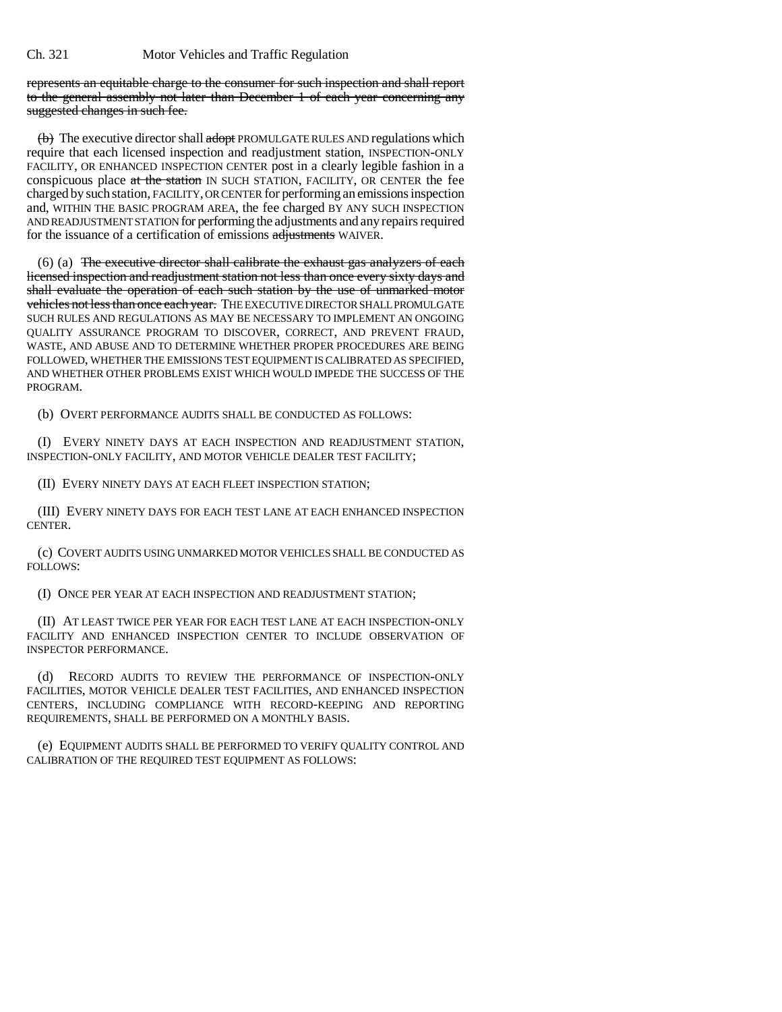represents an equitable charge to the consumer for such inspection and shall report to the general assembly not later than December 1 of each year concerning any suggested changes in such fee.

 $\leftrightarrow$  The executive director shall adopt PROMULGATE RULES AND regulations which require that each licensed inspection and readjustment station, INSPECTION-ONLY FACILITY, OR ENHANCED INSPECTION CENTER post in a clearly legible fashion in a conspicuous place at the station IN SUCH STATION, FACILITY, OR CENTER the fee charged by such station, FACILITY, OR CENTER for performing an emissions inspection and, WITHIN THE BASIC PROGRAM AREA, the fee charged BY ANY SUCH INSPECTION AND READJUSTMENT STATION for performing the adjustments and any repairs required for the issuance of a certification of emissions adjustments WAIVER.

(6) (a) The executive director shall calibrate the exhaust gas analyzers of each licensed inspection and readjustment station not less than once every sixty days and shall evaluate the operation of each such station by the use of unmarked motor vehicles not less than once each year. THE EXECUTIVE DIRECTOR SHALL PROMULGATE SUCH RULES AND REGULATIONS AS MAY BE NECESSARY TO IMPLEMENT AN ONGOING QUALITY ASSURANCE PROGRAM TO DISCOVER, CORRECT, AND PREVENT FRAUD, WASTE, AND ABUSE AND TO DETERMINE WHETHER PROPER PROCEDURES ARE BEING FOLLOWED, WHETHER THE EMISSIONS TEST EQUIPMENT IS CALIBRATED AS SPECIFIED, AND WHETHER OTHER PROBLEMS EXIST WHICH WOULD IMPEDE THE SUCCESS OF THE PROGRAM.

(b) OVERT PERFORMANCE AUDITS SHALL BE CONDUCTED AS FOLLOWS:

(I) EVERY NINETY DAYS AT EACH INSPECTION AND READJUSTMENT STATION, INSPECTION-ONLY FACILITY, AND MOTOR VEHICLE DEALER TEST FACILITY;

(II) EVERY NINETY DAYS AT EACH FLEET INSPECTION STATION;

(III) EVERY NINETY DAYS FOR EACH TEST LANE AT EACH ENHANCED INSPECTION **CENTER** 

(c) COVERT AUDITS USING UNMARKED MOTOR VEHICLES SHALL BE CONDUCTED AS FOLLOWS:

(I) ONCE PER YEAR AT EACH INSPECTION AND READJUSTMENT STATION;

(II) AT LEAST TWICE PER YEAR FOR EACH TEST LANE AT EACH INSPECTION-ONLY FACILITY AND ENHANCED INSPECTION CENTER TO INCLUDE OBSERVATION OF INSPECTOR PERFORMANCE.

(d) RECORD AUDITS TO REVIEW THE PERFORMANCE OF INSPECTION-ONLY FACILITIES, MOTOR VEHICLE DEALER TEST FACILITIES, AND ENHANCED INSPECTION CENTERS, INCLUDING COMPLIANCE WITH RECORD-KEEPING AND REPORTING REQUIREMENTS, SHALL BE PERFORMED ON A MONTHLY BASIS.

(e) EQUIPMENT AUDITS SHALL BE PERFORMED TO VERIFY QUALITY CONTROL AND CALIBRATION OF THE REQUIRED TEST EQUIPMENT AS FOLLOWS: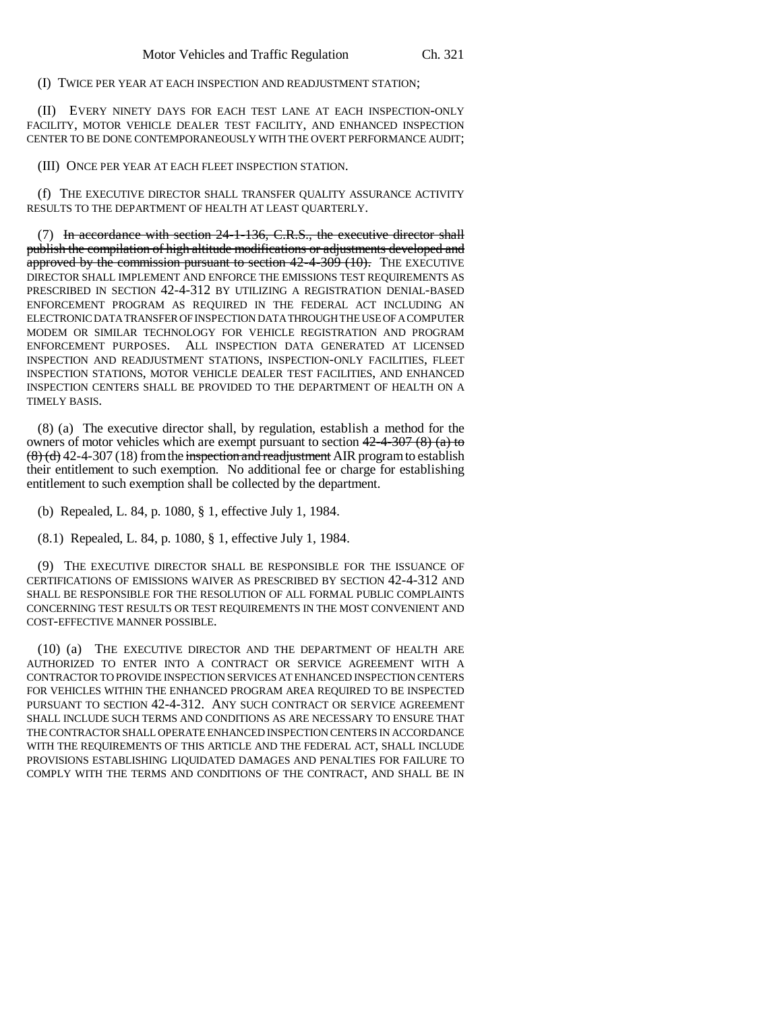(I) TWICE PER YEAR AT EACH INSPECTION AND READJUSTMENT STATION;

(II) EVERY NINETY DAYS FOR EACH TEST LANE AT EACH INSPECTION-ONLY FACILITY, MOTOR VEHICLE DEALER TEST FACILITY, AND ENHANCED INSPECTION CENTER TO BE DONE CONTEMPORANEOUSLY WITH THE OVERT PERFORMANCE AUDIT;

(III) ONCE PER YEAR AT EACH FLEET INSPECTION STATION.

(f) THE EXECUTIVE DIRECTOR SHALL TRANSFER QUALITY ASSURANCE ACTIVITY RESULTS TO THE DEPARTMENT OF HEALTH AT LEAST QUARTERLY.

(7) In accordance with section 24-1-136, C.R.S., the executive director shall publish the compilation of high altitude modifications or adjustments developed and approved by the commission pursuant to section  $42-4-309$  (10). The EXECUTIVE DIRECTOR SHALL IMPLEMENT AND ENFORCE THE EMISSIONS TEST REQUIREMENTS AS PRESCRIBED IN SECTION 42-4-312 BY UTILIZING A REGISTRATION DENIAL-BASED ENFORCEMENT PROGRAM AS REQUIRED IN THE FEDERAL ACT INCLUDING AN ELECTRONIC DATA TRANSFER OF INSPECTION DATA THROUGH THE USE OF A COMPUTER MODEM OR SIMILAR TECHNOLOGY FOR VEHICLE REGISTRATION AND PROGRAM ENFORCEMENT PURPOSES. ALL INSPECTION DATA GENERATED AT LICENSED INSPECTION AND READJUSTMENT STATIONS, INSPECTION-ONLY FACILITIES, FLEET INSPECTION STATIONS, MOTOR VEHICLE DEALER TEST FACILITIES, AND ENHANCED INSPECTION CENTERS SHALL BE PROVIDED TO THE DEPARTMENT OF HEALTH ON A TIMELY BASIS.

(8) (a) The executive director shall, by regulation, establish a method for the owners of motor vehicles which are exempt pursuant to section  $42-4-307(8)$  (a) to  $(8)(d)$  42-4-307 (18) from the inspection and readjustment AIR program to establish their entitlement to such exemption. No additional fee or charge for establishing entitlement to such exemption shall be collected by the department.

(b) Repealed, L. 84, p. 1080, § 1, effective July 1, 1984.

(8.1) Repealed, L. 84, p. 1080, § 1, effective July 1, 1984.

(9) THE EXECUTIVE DIRECTOR SHALL BE RESPONSIBLE FOR THE ISSUANCE OF CERTIFICATIONS OF EMISSIONS WAIVER AS PRESCRIBED BY SECTION 42-4-312 AND SHALL BE RESPONSIBLE FOR THE RESOLUTION OF ALL FORMAL PUBLIC COMPLAINTS CONCERNING TEST RESULTS OR TEST REQUIREMENTS IN THE MOST CONVENIENT AND COST-EFFECTIVE MANNER POSSIBLE.

(10) (a) THE EXECUTIVE DIRECTOR AND THE DEPARTMENT OF HEALTH ARE AUTHORIZED TO ENTER INTO A CONTRACT OR SERVICE AGREEMENT WITH A CONTRACTOR TO PROVIDE INSPECTION SERVICES AT ENHANCED INSPECTION CENTERS FOR VEHICLES WITHIN THE ENHANCED PROGRAM AREA REQUIRED TO BE INSPECTED PURSUANT TO SECTION 42-4-312. ANY SUCH CONTRACT OR SERVICE AGREEMENT SHALL INCLUDE SUCH TERMS AND CONDITIONS AS ARE NECESSARY TO ENSURE THAT THE CONTRACTOR SHALL OPERATE ENHANCED INSPECTION CENTERS IN ACCORDANCE WITH THE REQUIREMENTS OF THIS ARTICLE AND THE FEDERAL ACT, SHALL INCLUDE PROVISIONS ESTABLISHING LIQUIDATED DAMAGES AND PENALTIES FOR FAILURE TO COMPLY WITH THE TERMS AND CONDITIONS OF THE CONTRACT, AND SHALL BE IN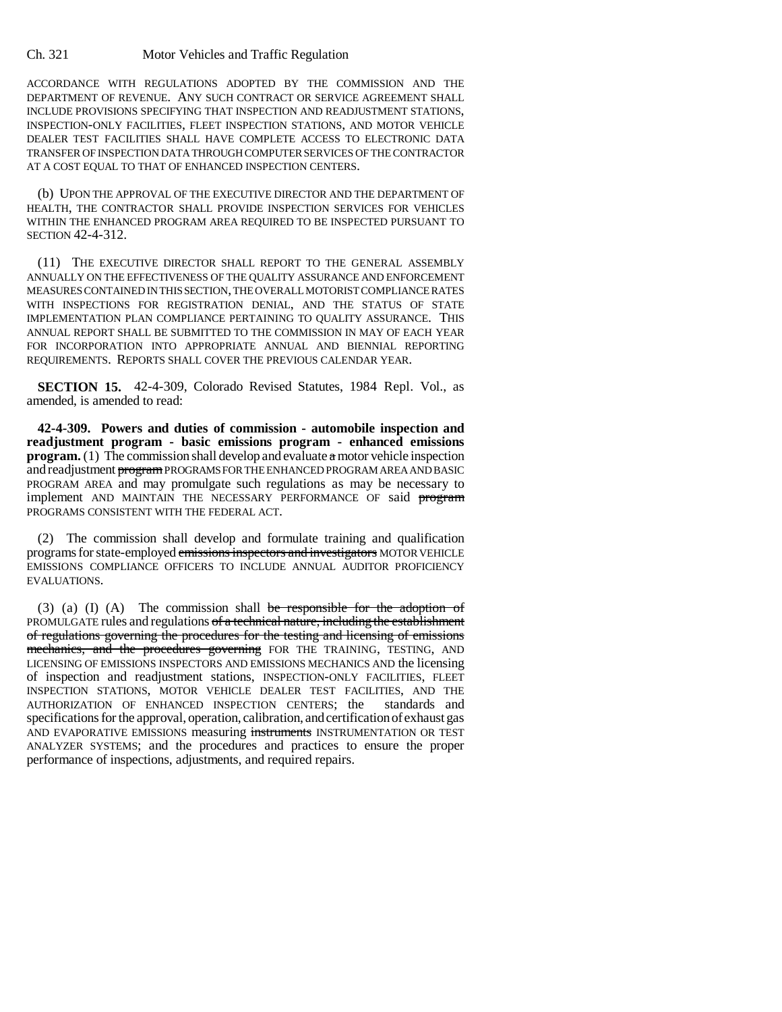ACCORDANCE WITH REGULATIONS ADOPTED BY THE COMMISSION AND THE DEPARTMENT OF REVENUE. ANY SUCH CONTRACT OR SERVICE AGREEMENT SHALL INCLUDE PROVISIONS SPECIFYING THAT INSPECTION AND READJUSTMENT STATIONS, INSPECTION-ONLY FACILITIES, FLEET INSPECTION STATIONS, AND MOTOR VEHICLE DEALER TEST FACILITIES SHALL HAVE COMPLETE ACCESS TO ELECTRONIC DATA TRANSFER OF INSPECTION DATA THROUGH COMPUTER SERVICES OF THE CONTRACTOR AT A COST EQUAL TO THAT OF ENHANCED INSPECTION CENTERS.

(b) UPON THE APPROVAL OF THE EXECUTIVE DIRECTOR AND THE DEPARTMENT OF HEALTH, THE CONTRACTOR SHALL PROVIDE INSPECTION SERVICES FOR VEHICLES WITHIN THE ENHANCED PROGRAM AREA REQUIRED TO BE INSPECTED PURSUANT TO SECTION 42-4-312.

(11) THE EXECUTIVE DIRECTOR SHALL REPORT TO THE GENERAL ASSEMBLY ANNUALLY ON THE EFFECTIVENESS OF THE QUALITY ASSURANCE AND ENFORCEMENT MEASURES CONTAINED IN THIS SECTION, THE OVERALL MOTORIST COMPLIANCE RATES WITH INSPECTIONS FOR REGISTRATION DENIAL, AND THE STATUS OF STATE IMPLEMENTATION PLAN COMPLIANCE PERTAINING TO QUALITY ASSURANCE. THIS ANNUAL REPORT SHALL BE SUBMITTED TO THE COMMISSION IN MAY OF EACH YEAR FOR INCORPORATION INTO APPROPRIATE ANNUAL AND BIENNIAL REPORTING REQUIREMENTS. REPORTS SHALL COVER THE PREVIOUS CALENDAR YEAR.

**SECTION 15.** 42-4-309, Colorado Revised Statutes, 1984 Repl. Vol., as amended, is amended to read:

**42-4-309. Powers and duties of commission - automobile inspection and readjustment program - basic emissions program - enhanced emissions program.** (1) The commission shall develop and evaluate a motor vehicle inspection and readjustment program PROGRAMS FOR THE ENHANCED PROGRAM AREA AND BASIC PROGRAM AREA and may promulgate such regulations as may be necessary to implement AND MAINTAIN THE NECESSARY PERFORMANCE OF said program PROGRAMS CONSISTENT WITH THE FEDERAL ACT.

(2) The commission shall develop and formulate training and qualification programs for state-employed emissions inspectors and investigators MOTOR VEHICLE EMISSIONS COMPLIANCE OFFICERS TO INCLUDE ANNUAL AUDITOR PROFICIENCY EVALUATIONS.

(3) (a) (I) (A) The commission shall be responsible for the adoption of PROMULGATE rules and regulations of a technical nature, including the establishment of regulations governing the procedures for the testing and licensing of emissions mechanics, and the procedures governing FOR THE TRAINING, TESTING, AND LICENSING OF EMISSIONS INSPECTORS AND EMISSIONS MECHANICS AND the licensing of inspection and readjustment stations, INSPECTION-ONLY FACILITIES, FLEET INSPECTION STATIONS, MOTOR VEHICLE DEALER TEST FACILITIES, AND THE AUTHORIZATION OF ENHANCED INSPECTION CENTERS; the standards and specifications for the approval, operation, calibration, and certification of exhaust gas AND EVAPORATIVE EMISSIONS measuring instruments INSTRUMENTATION OR TEST ANALYZER SYSTEMS; and the procedures and practices to ensure the proper performance of inspections, adjustments, and required repairs.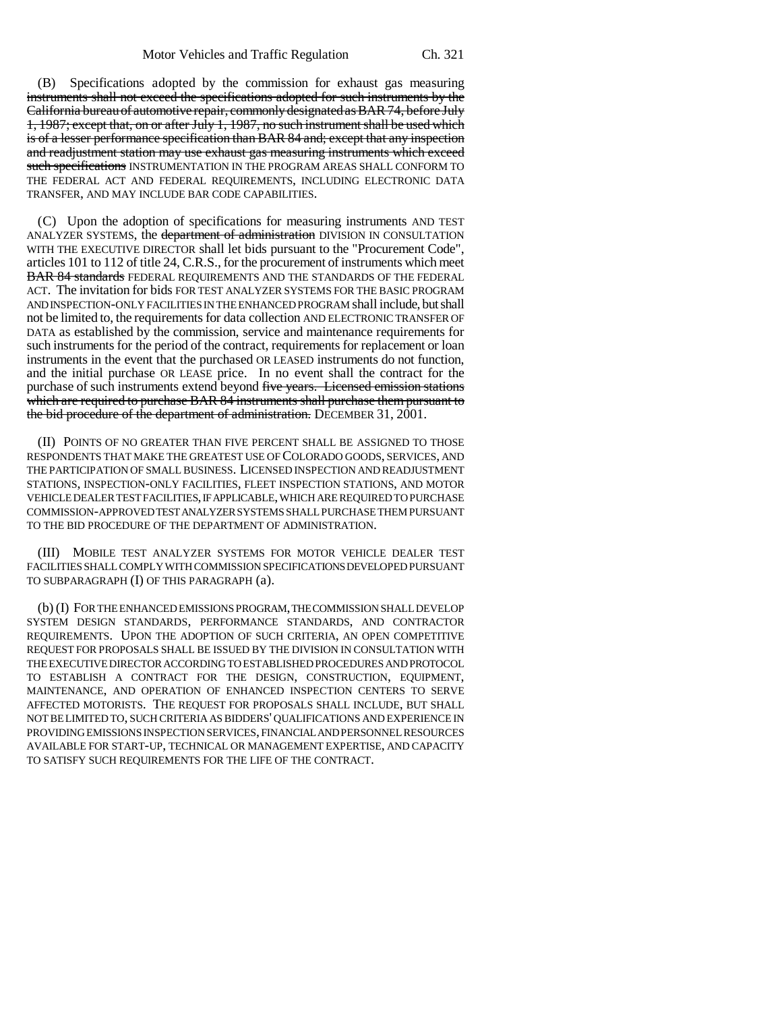(B) Specifications adopted by the commission for exhaust gas measuring instruments shall not exceed the specifications adopted for such instruments by the California bureau of automotive repair, commonly designated as BAR 74, before July 1, 1987; except that, on or after July 1, 1987, no such instrument shall be used which is of a lesser performance specification than BAR 84 and; except that any inspection and readjustment station may use exhaust gas measuring instruments which exceed such specifications INSTRUMENTATION IN THE PROGRAM AREAS SHALL CONFORM TO THE FEDERAL ACT AND FEDERAL REQUIREMENTS, INCLUDING ELECTRONIC DATA TRANSFER, AND MAY INCLUDE BAR CODE CAPABILITIES.

(C) Upon the adoption of specifications for measuring instruments AND TEST ANALYZER SYSTEMS, the department of administration DIVISION IN CONSULTATION WITH THE EXECUTIVE DIRECTOR shall let bids pursuant to the "Procurement Code", articles 101 to 112 of title 24, C.R.S., for the procurement of instruments which meet BAR 84 standards FEDERAL REQUIREMENTS AND THE STANDARDS OF THE FEDERAL ACT. The invitation for bids FOR TEST ANALYZER SYSTEMS FOR THE BASIC PROGRAM AND INSPECTION-ONLY FACILITIES IN THE ENHANCED PROGRAM shall include, but shall not be limited to, the requirements for data collection AND ELECTRONIC TRANSFER OF DATA as established by the commission, service and maintenance requirements for such instruments for the period of the contract, requirements for replacement or loan instruments in the event that the purchased OR LEASED instruments do not function, and the initial purchase OR LEASE price. In no event shall the contract for the purchase of such instruments extend beyond five years. Licensed emission stations which are required to purchase BAR 84 instruments shall purchase them pursuant to the bid procedure of the department of administration. DECEMBER 31, 2001.

(II) POINTS OF NO GREATER THAN FIVE PERCENT SHALL BE ASSIGNED TO THOSE RESPONDENTS THAT MAKE THE GREATEST USE OF COLORADO GOODS, SERVICES, AND THE PARTICIPATION OF SMALL BUSINESS. LICENSED INSPECTION AND READJUSTMENT STATIONS, INSPECTION-ONLY FACILITIES, FLEET INSPECTION STATIONS, AND MOTOR VEHICLE DEALER TEST FACILITIES, IF APPLICABLE, WHICH ARE REQUIRED TO PURCHASE COMMISSION-APPROVED TEST ANALYZER SYSTEMS SHALL PURCHASE THEM PURSUANT TO THE BID PROCEDURE OF THE DEPARTMENT OF ADMINISTRATION.

(III) MOBILE TEST ANALYZER SYSTEMS FOR MOTOR VEHICLE DEALER TEST FACILITIES SHALL COMPLY WITH COMMISSION SPECIFICATIONS DEVELOPED PURSUANT TO SUBPARAGRAPH (I) OF THIS PARAGRAPH (a).

(b) (I) FOR THE ENHANCED EMISSIONS PROGRAM, THE COMMISSION SHALL DEVELOP SYSTEM DESIGN STANDARDS, PERFORMANCE STANDARDS, AND CONTRACTOR REQUIREMENTS. UPON THE ADOPTION OF SUCH CRITERIA, AN OPEN COMPETITIVE REQUEST FOR PROPOSALS SHALL BE ISSUED BY THE DIVISION IN CONSULTATION WITH THE EXECUTIVE DIRECTOR ACCORDING TO ESTABLISHED PROCEDURES AND PROTOCOL TO ESTABLISH A CONTRACT FOR THE DESIGN, CONSTRUCTION, EQUIPMENT, MAINTENANCE, AND OPERATION OF ENHANCED INSPECTION CENTERS TO SERVE AFFECTED MOTORISTS. THE REQUEST FOR PROPOSALS SHALL INCLUDE, BUT SHALL NOT BE LIMITED TO, SUCH CRITERIA AS BIDDERS' QUALIFICATIONS AND EXPERIENCE IN PROVIDING EMISSIONS INSPECTION SERVICES, FINANCIAL AND PERSONNEL RESOURCES AVAILABLE FOR START-UP, TECHNICAL OR MANAGEMENT EXPERTISE, AND CAPACITY TO SATISFY SUCH REQUIREMENTS FOR THE LIFE OF THE CONTRACT.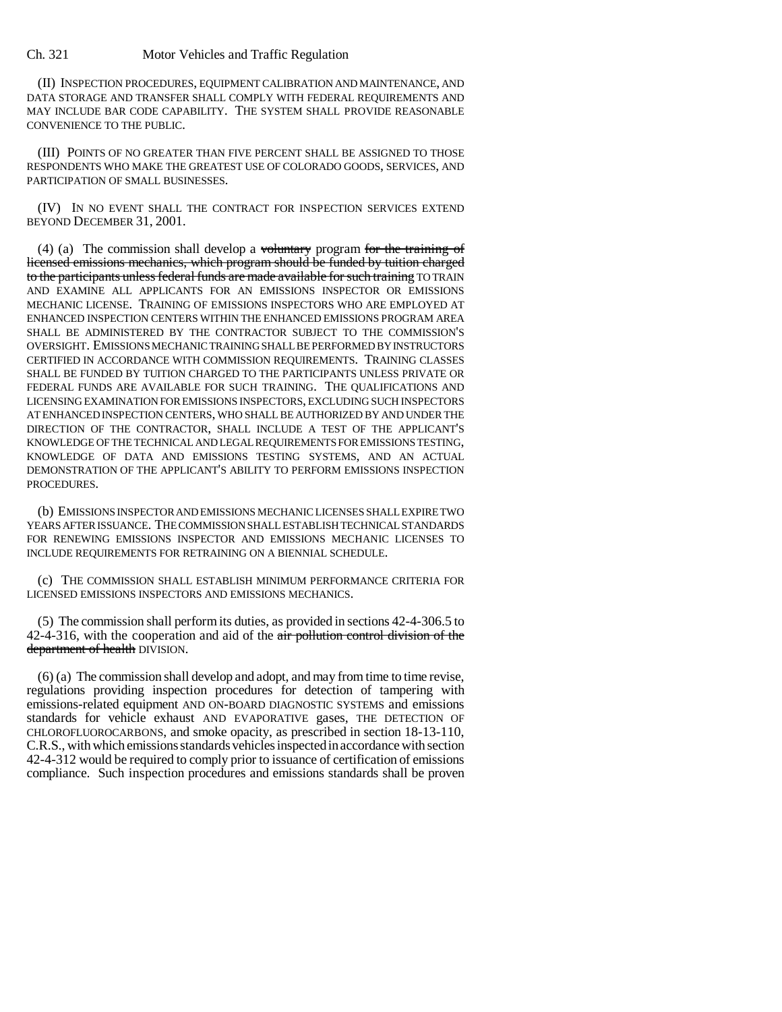(II) INSPECTION PROCEDURES, EQUIPMENT CALIBRATION AND MAINTENANCE, AND DATA STORAGE AND TRANSFER SHALL COMPLY WITH FEDERAL REQUIREMENTS AND MAY INCLUDE BAR CODE CAPABILITY. THE SYSTEM SHALL PROVIDE REASONABLE CONVENIENCE TO THE PUBLIC.

(III) POINTS OF NO GREATER THAN FIVE PERCENT SHALL BE ASSIGNED TO THOSE RESPONDENTS WHO MAKE THE GREATEST USE OF COLORADO GOODS, SERVICES, AND PARTICIPATION OF SMALL BUSINESSES.

(IV) IN NO EVENT SHALL THE CONTRACT FOR INSPECTION SERVICES EXTEND BEYOND DECEMBER 31, 2001.

(4) (a) The commission shall develop a voluntary program for the training of licensed emissions mechanics, which program should be funded by tuition charged to the participants unless federal funds are made available for such training TO TRAIN AND EXAMINE ALL APPLICANTS FOR AN EMISSIONS INSPECTOR OR EMISSIONS MECHANIC LICENSE. TRAINING OF EMISSIONS INSPECTORS WHO ARE EMPLOYED AT ENHANCED INSPECTION CENTERS WITHIN THE ENHANCED EMISSIONS PROGRAM AREA SHALL BE ADMINISTERED BY THE CONTRACTOR SUBJECT TO THE COMMISSION'S OVERSIGHT. EMISSIONS MECHANIC TRAINING SHALL BE PERFORMED BY INSTRUCTORS CERTIFIED IN ACCORDANCE WITH COMMISSION REQUIREMENTS. TRAINING CLASSES SHALL BE FUNDED BY TUITION CHARGED TO THE PARTICIPANTS UNLESS PRIVATE OR FEDERAL FUNDS ARE AVAILABLE FOR SUCH TRAINING. THE QUALIFICATIONS AND LICENSING EXAMINATION FOR EMISSIONS INSPECTORS, EXCLUDING SUCH INSPECTORS AT ENHANCED INSPECTION CENTERS, WHO SHALL BE AUTHORIZED BY AND UNDER THE DIRECTION OF THE CONTRACTOR, SHALL INCLUDE A TEST OF THE APPLICANT'S KNOWLEDGE OF THE TECHNICAL AND LEGAL REQUIREMENTS FOR EMISSIONS TESTING, KNOWLEDGE OF DATA AND EMISSIONS TESTING SYSTEMS, AND AN ACTUAL DEMONSTRATION OF THE APPLICANT'S ABILITY TO PERFORM EMISSIONS INSPECTION PROCEDURES.

(b) EMISSIONS INSPECTOR AND EMISSIONS MECHANIC LICENSES SHALL EXPIRE TWO YEARS AFTER ISSUANCE. THE COMMISSION SHALL ESTABLISH TECHNICAL STANDARDS FOR RENEWING EMISSIONS INSPECTOR AND EMISSIONS MECHANIC LICENSES TO INCLUDE REQUIREMENTS FOR RETRAINING ON A BIENNIAL SCHEDULE.

(c) THE COMMISSION SHALL ESTABLISH MINIMUM PERFORMANCE CRITERIA FOR LICENSED EMISSIONS INSPECTORS AND EMISSIONS MECHANICS.

(5) The commission shall perform its duties, as provided in sections 42-4-306.5 to 42-4-316, with the cooperation and aid of the air pollution control division of the department of health DIVISION.

(6) (a) The commission shall develop and adopt, and may from time to time revise, regulations providing inspection procedures for detection of tampering with emissions-related equipment AND ON-BOARD DIAGNOSTIC SYSTEMS and emissions standards for vehicle exhaust AND EVAPORATIVE gases, THE DETECTION OF CHLOROFLUOROCARBONS, and smoke opacity, as prescribed in section 18-13-110, C.R.S., with which emissions standards vehicles inspected in accordance with section 42-4-312 would be required to comply prior to issuance of certification of emissions compliance. Such inspection procedures and emissions standards shall be proven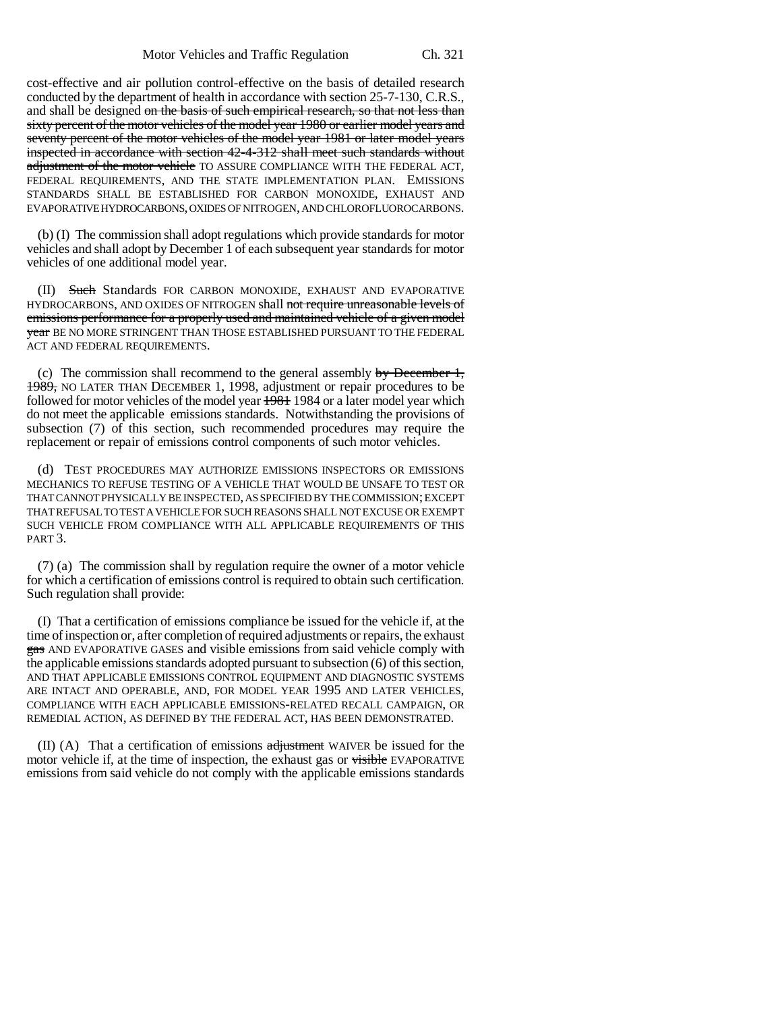cost-effective and air pollution control-effective on the basis of detailed research conducted by the department of health in accordance with section 25-7-130, C.R.S., and shall be designed on the basis of such empirical research, so that not less than sixty percent of the motor vehicles of the model year 1980 or earlier model years and seventy percent of the motor vehicles of the model year 1981 or later model years inspected in accordance with section 42-4-312 shall meet such standards without adjustment of the motor vehicle TO ASSURE COMPLIANCE WITH THE FEDERAL ACT, FEDERAL REQUIREMENTS, AND THE STATE IMPLEMENTATION PLAN. EMISSIONS STANDARDS SHALL BE ESTABLISHED FOR CARBON MONOXIDE, EXHAUST AND EVAPORATIVE HYDROCARBONS, OXIDES OF NITROGEN, AND CHLOROFLUOROCARBONS.

(b) (I) The commission shall adopt regulations which provide standards for motor vehicles and shall adopt by December 1 of each subsequent year standards for motor vehicles of one additional model year.

(II) Such Standards FOR CARBON MONOXIDE, EXHAUST AND EVAPORATIVE HYDROCARBONS, AND OXIDES OF NITROGEN shall not require unreasonable levels of emissions performance for a properly used and maintained vehicle of a given model **year** BE NO MORE STRINGENT THAN THOSE ESTABLISHED PURSUANT TO THE FEDERAL ACT AND FEDERAL REQUIREMENTS.

(c) The commission shall recommend to the general assembly by December 1, 1989, NO LATER THAN DECEMBER 1, 1998, adjustment or repair procedures to be followed for motor vehicles of the model year  $\frac{1981}{1984}$  or a later model year which do not meet the applicable emissions standards. Notwithstanding the provisions of subsection (7) of this section, such recommended procedures may require the replacement or repair of emissions control components of such motor vehicles.

(d) TEST PROCEDURES MAY AUTHORIZE EMISSIONS INSPECTORS OR EMISSIONS MECHANICS TO REFUSE TESTING OF A VEHICLE THAT WOULD BE UNSAFE TO TEST OR THAT CANNOT PHYSICALLY BE INSPECTED, AS SPECIFIED BY THE COMMISSION; EXCEPT THAT REFUSAL TO TEST A VEHICLE FOR SUCH REASONS SHALL NOT EXCUSE OR EXEMPT SUCH VEHICLE FROM COMPLIANCE WITH ALL APPLICABLE REQUIREMENTS OF THIS PART 3.

(7) (a) The commission shall by regulation require the owner of a motor vehicle for which a certification of emissions control is required to obtain such certification. Such regulation shall provide:

(I) That a certification of emissions compliance be issued for the vehicle if, at the time of inspection or, after completion of required adjustments or repairs, the exhaust gas AND EVAPORATIVE GASES and visible emissions from said vehicle comply with the applicable emissions standards adopted pursuant to subsection (6) of this section, AND THAT APPLICABLE EMISSIONS CONTROL EQUIPMENT AND DIAGNOSTIC SYSTEMS ARE INTACT AND OPERABLE, AND, FOR MODEL YEAR 1995 AND LATER VEHICLES, COMPLIANCE WITH EACH APPLICABLE EMISSIONS-RELATED RECALL CAMPAIGN, OR REMEDIAL ACTION, AS DEFINED BY THE FEDERAL ACT, HAS BEEN DEMONSTRATED.

(II) (A) That a certification of emissions  $\frac{1}{\text{adjustment}}$  WAIVER be issued for the motor vehicle if, at the time of inspection, the exhaust gas or visible EVAPORATIVE emissions from said vehicle do not comply with the applicable emissions standards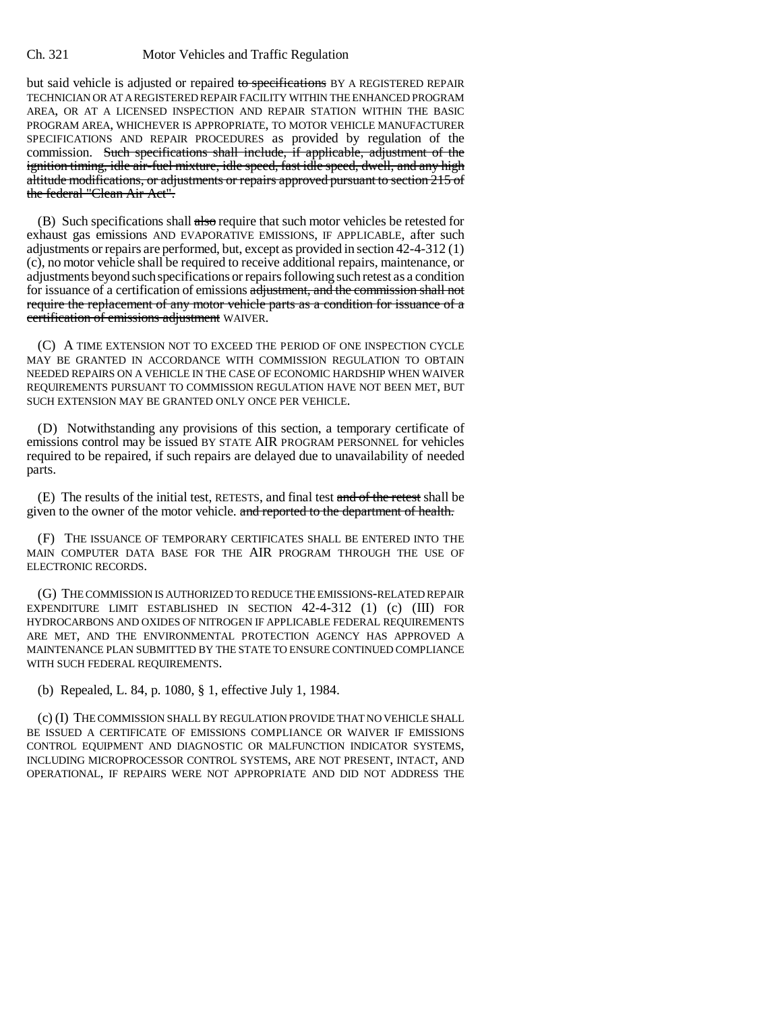but said vehicle is adjusted or repaired to specifications BY A REGISTERED REPAIR TECHNICIAN OR AT A REGISTERED REPAIR FACILITY WITHIN THE ENHANCED PROGRAM AREA, OR AT A LICENSED INSPECTION AND REPAIR STATION WITHIN THE BASIC PROGRAM AREA, WHICHEVER IS APPROPRIATE, TO MOTOR VEHICLE MANUFACTURER SPECIFICATIONS AND REPAIR PROCEDURES as provided by regulation of the commission. Such specifications shall include, if applicable, adjustment of the ignition timing, idle air-fuel mixture, idle speed, fast idle speed, dwell, and any high altitude modifications, or adjustments or repairs approved pursuant to section 215 of the federal "Clean Air Act".

(B) Such specifications shall also require that such motor vehicles be retested for exhaust gas emissions AND EVAPORATIVE EMISSIONS, IF APPLICABLE, after such adjustments or repairs are performed, but, except as provided in section 42-4-312 (1) (c), no motor vehicle shall be required to receive additional repairs, maintenance, or adjustments beyond such specifications or repairs following such retest as a condition for issuance of a certification of emissions adjustment, and the commission shall not require the replacement of any motor vehicle parts as a condition for issuance of a certification of emissions adjustment WAIVER.

(C) A TIME EXTENSION NOT TO EXCEED THE PERIOD OF ONE INSPECTION CYCLE MAY BE GRANTED IN ACCORDANCE WITH COMMISSION REGULATION TO OBTAIN NEEDED REPAIRS ON A VEHICLE IN THE CASE OF ECONOMIC HARDSHIP WHEN WAIVER REQUIREMENTS PURSUANT TO COMMISSION REGULATION HAVE NOT BEEN MET, BUT SUCH EXTENSION MAY BE GRANTED ONLY ONCE PER VEHICLE.

(D) Notwithstanding any provisions of this section, a temporary certificate of emissions control may be issued BY STATE AIR PROGRAM PERSONNEL for vehicles required to be repaired, if such repairs are delayed due to unavailability of needed parts.

(E) The results of the initial test, RETESTS, and final test and of the retest shall be given to the owner of the motor vehicle. and reported to the department of health.

(F) THE ISSUANCE OF TEMPORARY CERTIFICATES SHALL BE ENTERED INTO THE MAIN COMPUTER DATA BASE FOR THE AIR PROGRAM THROUGH THE USE OF ELECTRONIC RECORDS.

(G) THE COMMISSION IS AUTHORIZED TO REDUCE THE EMISSIONS-RELATED REPAIR EXPENDITURE LIMIT ESTABLISHED IN SECTION 42-4-312 (1) (c) (III) FOR HYDROCARBONS AND OXIDES OF NITROGEN IF APPLICABLE FEDERAL REQUIREMENTS ARE MET, AND THE ENVIRONMENTAL PROTECTION AGENCY HAS APPROVED A MAINTENANCE PLAN SUBMITTED BY THE STATE TO ENSURE CONTINUED COMPLIANCE WITH SUCH FEDERAL REQUIREMENTS.

(b) Repealed, L. 84, p. 1080, § 1, effective July 1, 1984.

(c) (I) THE COMMISSION SHALL BY REGULATION PROVIDE THAT NO VEHICLE SHALL BE ISSUED A CERTIFICATE OF EMISSIONS COMPLIANCE OR WAIVER IF EMISSIONS CONTROL EQUIPMENT AND DIAGNOSTIC OR MALFUNCTION INDICATOR SYSTEMS, INCLUDING MICROPROCESSOR CONTROL SYSTEMS, ARE NOT PRESENT, INTACT, AND OPERATIONAL, IF REPAIRS WERE NOT APPROPRIATE AND DID NOT ADDRESS THE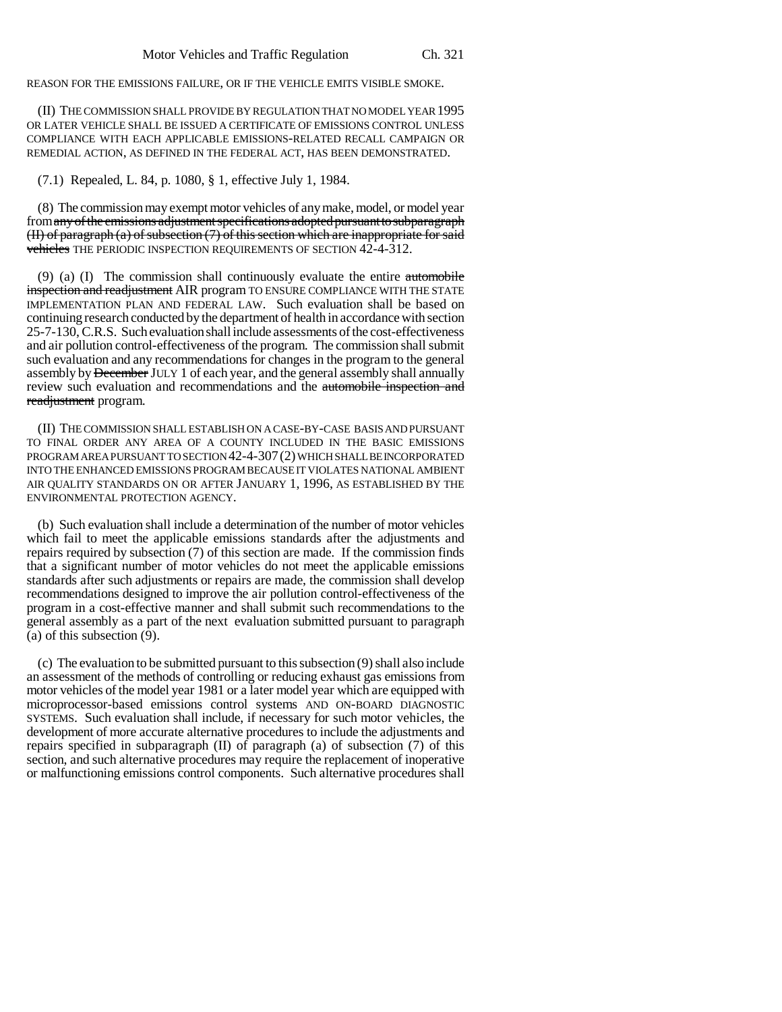REASON FOR THE EMISSIONS FAILURE, OR IF THE VEHICLE EMITS VISIBLE SMOKE.

(II) THE COMMISSION SHALL PROVIDE BY REGULATION THAT NO MODEL YEAR 1995 OR LATER VEHICLE SHALL BE ISSUED A CERTIFICATE OF EMISSIONS CONTROL UNLESS COMPLIANCE WITH EACH APPLICABLE EMISSIONS-RELATED RECALL CAMPAIGN OR REMEDIAL ACTION, AS DEFINED IN THE FEDERAL ACT, HAS BEEN DEMONSTRATED.

(7.1) Repealed, L. 84, p. 1080, § 1, effective July 1, 1984.

(8) The commission may exempt motor vehicles of any make, model, or model year from any of the emissions adjustment specifications adopted pursuant to subparagraph  $(H)$  of paragraph  $(a)$  of subsection  $(7)$  of this section which are inappropriate for said vehicles THE PERIODIC INSPECTION REQUIREMENTS OF SECTION  $42-4-312$ .

(9) (a) (I) The commission shall continuously evaluate the entire automobile inspection and readjustment AIR program TO ENSURE COMPLIANCE WITH THE STATE IMPLEMENTATION PLAN AND FEDERAL LAW. Such evaluation shall be based on continuing research conducted by the department of health in accordance with section 25-7-130, C.R.S. Such evaluation shall include assessments of the cost-effectiveness and air pollution control-effectiveness of the program. The commission shall submit such evaluation and any recommendations for changes in the program to the general assembly by December JULY 1 of each year, and the general assembly shall annually review such evaluation and recommendations and the automobile inspection and readjustment program.

(II) THE COMMISSION SHALL ESTABLISH ON A CASE-BY-CASE BASIS AND PURSUANT TO FINAL ORDER ANY AREA OF A COUNTY INCLUDED IN THE BASIC EMISSIONS PROGRAM AREA PURSUANT TO SECTION 42-4-307(2) WHICH SHALL BE INCORPORATED INTO THE ENHANCED EMISSIONS PROGRAM BECAUSE IT VIOLATES NATIONAL AMBIENT AIR QUALITY STANDARDS ON OR AFTER JANUARY 1, 1996, AS ESTABLISHED BY THE ENVIRONMENTAL PROTECTION AGENCY.

(b) Such evaluation shall include a determination of the number of motor vehicles which fail to meet the applicable emissions standards after the adjustments and repairs required by subsection (7) of this section are made. If the commission finds that a significant number of motor vehicles do not meet the applicable emissions standards after such adjustments or repairs are made, the commission shall develop recommendations designed to improve the air pollution control-effectiveness of the program in a cost-effective manner and shall submit such recommendations to the general assembly as a part of the next evaluation submitted pursuant to paragraph (a) of this subsection (9).

(c) The evaluation to be submitted pursuant to this subsection (9) shall also include an assessment of the methods of controlling or reducing exhaust gas emissions from motor vehicles of the model year 1981 or a later model year which are equipped with microprocessor-based emissions control systems AND ON-BOARD DIAGNOSTIC SYSTEMS. Such evaluation shall include, if necessary for such motor vehicles, the development of more accurate alternative procedures to include the adjustments and repairs specified in subparagraph (II) of paragraph (a) of subsection (7) of this section, and such alternative procedures may require the replacement of inoperative or malfunctioning emissions control components. Such alternative procedures shall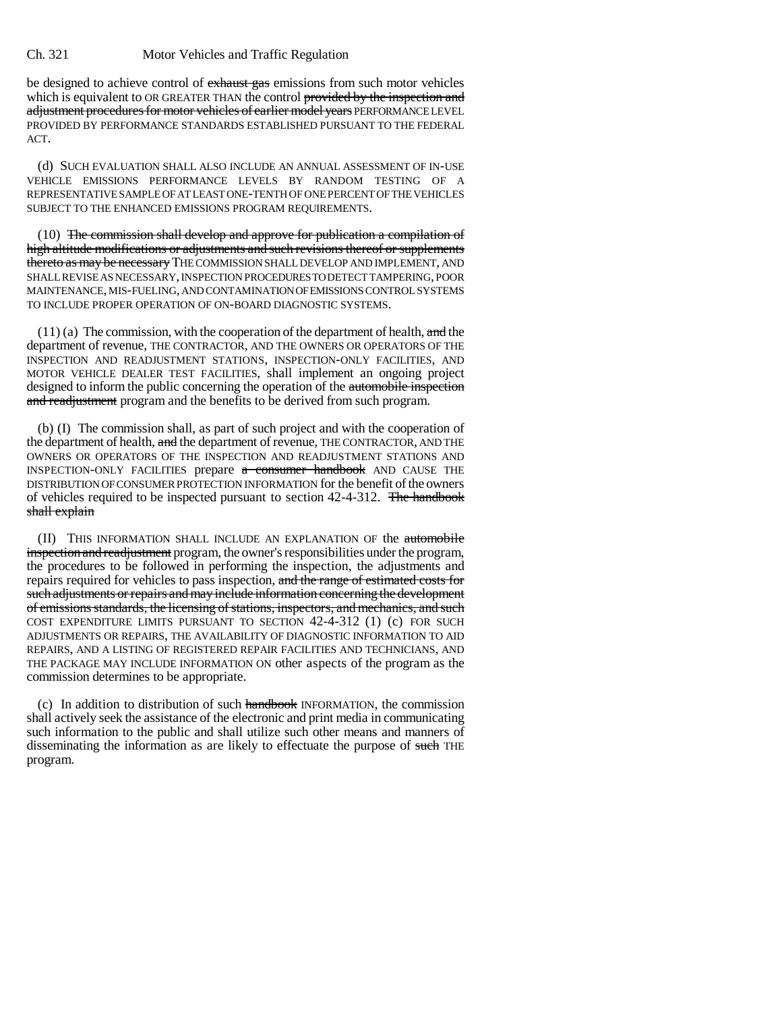be designed to achieve control of exhaust gas emissions from such motor vehicles which is equivalent to OR GREATER THAN the control provided by the inspection and adjustment procedures for motor vehicles of earlier model years PERFORMANCE LEVEL PROVIDED BY PERFORMANCE STANDARDS ESTABLISHED PURSUANT TO THE FEDERAL ACT.

(d) SUCH EVALUATION SHALL ALSO INCLUDE AN ANNUAL ASSESSMENT OF IN-USE VEHICLE EMISSIONS PERFORMANCE LEVELS BY RANDOM TESTING OF A REPRESENTATIVE SAMPLE OF AT LEAST ONE-TENTH OF ONE PERCENT OF THE VEHICLES SUBJECT TO THE ENHANCED EMISSIONS PROGRAM REQUIREMENTS.

(10) The commission shall develop and approve for publication a compilation of high altitude modifications or adjustments and such revisions thereof or supplements thereto as may be necessary THE COMMISSION SHALL DEVELOP AND IMPLEMENT, AND SHALL REVISE AS NECESSARY, INSPECTION PROCEDURES TO DETECT TAMPERING, POOR MAINTENANCE, MIS-FUELING, AND CONTAMINATION OF EMISSIONS CONTROL SYSTEMS TO INCLUDE PROPER OPERATION OF ON-BOARD DIAGNOSTIC SYSTEMS.

 $(11)$  (a) The commission, with the cooperation of the department of health, and the department of revenue, THE CONTRACTOR, AND THE OWNERS OR OPERATORS OF THE INSPECTION AND READJUSTMENT STATIONS, INSPECTION-ONLY FACILITIES, AND MOTOR VEHICLE DEALER TEST FACILITIES, shall implement an ongoing project designed to inform the public concerning the operation of the automobile inspection and readjustment program and the benefits to be derived from such program.

(b) (I) The commission shall, as part of such project and with the cooperation of the department of health, and the department of revenue, THE CONTRACTOR, AND THE OWNERS OR OPERATORS OF THE INSPECTION AND READJUSTMENT STATIONS AND INSPECTION-ONLY FACILITIES prepare a consumer handbook AND CAUSE THE DISTRIBUTION OF CONSUMER PROTECTION INFORMATION for the benefit of the owners of vehicles required to be inspected pursuant to section 42-4-312. The handbook shall explain

(II) THIS INFORMATION SHALL INCLUDE AN EXPLANATION OF the automobile inspection and readjustment program, the owner's responsibilities under the program, the procedures to be followed in performing the inspection, the adjustments and repairs required for vehicles to pass inspection, and the range of estimated costs for such adjustments or repairs and may include information concerning the development of emissions standards, the licensing of stations, inspectors, and mechanics, and such COST EXPENDITURE LIMITS PURSUANT TO SECTION 42-4-312 (1) (c) FOR SUCH ADJUSTMENTS OR REPAIRS, THE AVAILABILITY OF DIAGNOSTIC INFORMATION TO AID REPAIRS, AND A LISTING OF REGISTERED REPAIR FACILITIES AND TECHNICIANS, AND THE PACKAGE MAY INCLUDE INFORMATION ON other aspects of the program as the commission determines to be appropriate.

(c) In addition to distribution of such handbook INFORMATION, the commission shall actively seek the assistance of the electronic and print media in communicating such information to the public and shall utilize such other means and manners of disseminating the information as are likely to effectuate the purpose of such THE program.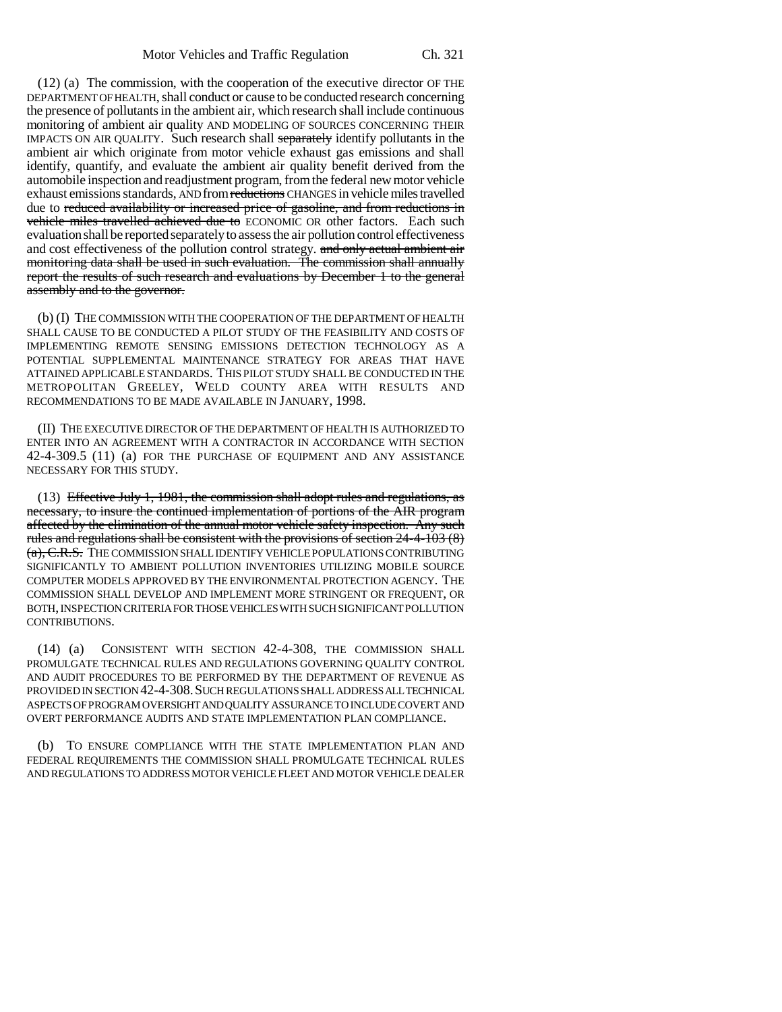(12) (a) The commission, with the cooperation of the executive director OF THE DEPARTMENT OF HEALTH, shall conduct or cause to be conducted research concerning the presence of pollutants in the ambient air, which research shall include continuous monitoring of ambient air quality AND MODELING OF SOURCES CONCERNING THEIR IMPACTS ON AIR QUALITY. Such research shall separately identify pollutants in the ambient air which originate from motor vehicle exhaust gas emissions and shall identify, quantify, and evaluate the ambient air quality benefit derived from the automobile inspection and readjustment program, from the federal new motor vehicle exhaust emissions standards, AND from reductions CHANGES in vehicle miles travelled due to reduced availability or increased price of gasoline, and from reductions in vehicle miles travelled achieved due to ECONOMIC OR other factors. Each such evaluation shall be reported separately to assess the air pollution control effectiveness and cost effectiveness of the pollution control strategy. and only actual ambient air monitoring data shall be used in such evaluation. The commission shall annually report the results of such research and evaluations by December 1 to the general assembly and to the governor.

(b) (I) THE COMMISSION WITH THE COOPERATION OF THE DEPARTMENT OF HEALTH SHALL CAUSE TO BE CONDUCTED A PILOT STUDY OF THE FEASIBILITY AND COSTS OF IMPLEMENTING REMOTE SENSING EMISSIONS DETECTION TECHNOLOGY AS A POTENTIAL SUPPLEMENTAL MAINTENANCE STRATEGY FOR AREAS THAT HAVE ATTAINED APPLICABLE STANDARDS. THIS PILOT STUDY SHALL BE CONDUCTED IN THE METROPOLITAN GREELEY, WELD COUNTY AREA WITH RESULTS AND RECOMMENDATIONS TO BE MADE AVAILABLE IN JANUARY, 1998.

(II) THE EXECUTIVE DIRECTOR OF THE DEPARTMENT OF HEALTH IS AUTHORIZED TO ENTER INTO AN AGREEMENT WITH A CONTRACTOR IN ACCORDANCE WITH SECTION 42-4-309.5 (11) (a) FOR THE PURCHASE OF EQUIPMENT AND ANY ASSISTANCE NECESSARY FOR THIS STUDY.

(13) Effective July 1, 1981, the commission shall adopt rules and regulations, as necessary, to insure the continued implementation of portions of the AIR program affected by the elimination of the annual motor vehicle safety inspection. Any such rules and regulations shall be consistent with the provisions of section 24-4-103 (8) (a), C.R.S. THE COMMISSION SHALL IDENTIFY VEHICLE POPULATIONS CONTRIBUTING SIGNIFICANTLY TO AMBIENT POLLUTION INVENTORIES UTILIZING MOBILE SOURCE COMPUTER MODELS APPROVED BY THE ENVIRONMENTAL PROTECTION AGENCY. THE COMMISSION SHALL DEVELOP AND IMPLEMENT MORE STRINGENT OR FREQUENT, OR BOTH, INSPECTION CRITERIA FOR THOSE VEHICLES WITH SUCH SIGNIFICANT POLLUTION CONTRIBUTIONS.

(14) (a) CONSISTENT WITH SECTION 42-4-308, THE COMMISSION SHALL PROMULGATE TECHNICAL RULES AND REGULATIONS GOVERNING QUALITY CONTROL AND AUDIT PROCEDURES TO BE PERFORMED BY THE DEPARTMENT OF REVENUE AS PROVIDED IN SECTION 42-4-308.SUCH REGULATIONS SHALL ADDRESS ALL TECHNICAL ASPECTS OF PROGRAM OVERSIGHT AND QUALITY ASSURANCE TO INCLUDE COVERT AND OVERT PERFORMANCE AUDITS AND STATE IMPLEMENTATION PLAN COMPLIANCE.

(b) TO ENSURE COMPLIANCE WITH THE STATE IMPLEMENTATION PLAN AND FEDERAL REQUIREMENTS THE COMMISSION SHALL PROMULGATE TECHNICAL RULES AND REGULATIONS TO ADDRESS MOTOR VEHICLE FLEET AND MOTOR VEHICLE DEALER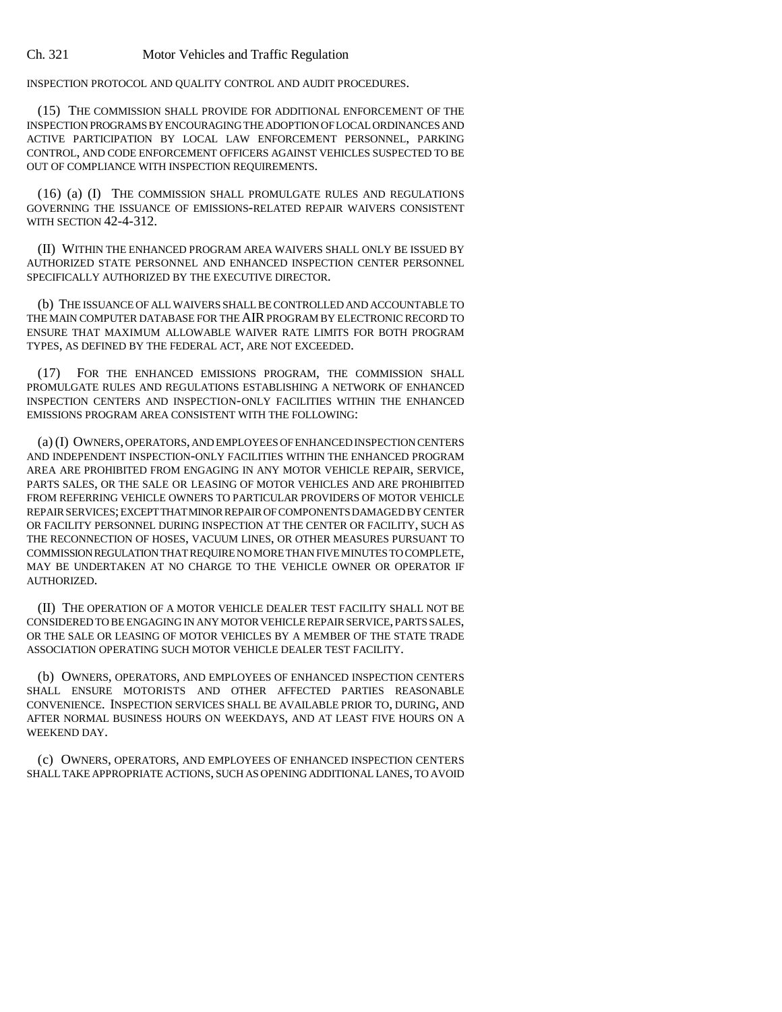INSPECTION PROTOCOL AND QUALITY CONTROL AND AUDIT PROCEDURES.

(15) THE COMMISSION SHALL PROVIDE FOR ADDITIONAL ENFORCEMENT OF THE INSPECTION PROGRAMS BY ENCOURAGING THE ADOPTION OF LOCAL ORDINANCES AND ACTIVE PARTICIPATION BY LOCAL LAW ENFORCEMENT PERSONNEL, PARKING CONTROL, AND CODE ENFORCEMENT OFFICERS AGAINST VEHICLES SUSPECTED TO BE OUT OF COMPLIANCE WITH INSPECTION REQUIREMENTS.

(16) (a) (I) THE COMMISSION SHALL PROMULGATE RULES AND REGULATIONS GOVERNING THE ISSUANCE OF EMISSIONS-RELATED REPAIR WAIVERS CONSISTENT WITH SECTION 42-4-312.

(II) WITHIN THE ENHANCED PROGRAM AREA WAIVERS SHALL ONLY BE ISSUED BY AUTHORIZED STATE PERSONNEL AND ENHANCED INSPECTION CENTER PERSONNEL SPECIFICALLY AUTHORIZED BY THE EXECUTIVE DIRECTOR.

(b) THE ISSUANCE OF ALL WAIVERS SHALL BE CONTROLLED AND ACCOUNTABLE TO THE MAIN COMPUTER DATABASE FOR THE AIR PROGRAM BY ELECTRONIC RECORD TO ENSURE THAT MAXIMUM ALLOWABLE WAIVER RATE LIMITS FOR BOTH PROGRAM TYPES, AS DEFINED BY THE FEDERAL ACT, ARE NOT EXCEEDED.

(17) FOR THE ENHANCED EMISSIONS PROGRAM, THE COMMISSION SHALL PROMULGATE RULES AND REGULATIONS ESTABLISHING A NETWORK OF ENHANCED INSPECTION CENTERS AND INSPECTION-ONLY FACILITIES WITHIN THE ENHANCED EMISSIONS PROGRAM AREA CONSISTENT WITH THE FOLLOWING:

(a) (I) OWNERS, OPERATORS, AND EMPLOYEES OF ENHANCED INSPECTION CENTERS AND INDEPENDENT INSPECTION-ONLY FACILITIES WITHIN THE ENHANCED PROGRAM AREA ARE PROHIBITED FROM ENGAGING IN ANY MOTOR VEHICLE REPAIR, SERVICE, PARTS SALES, OR THE SALE OR LEASING OF MOTOR VEHICLES AND ARE PROHIBITED FROM REFERRING VEHICLE OWNERS TO PARTICULAR PROVIDERS OF MOTOR VEHICLE REPAIR SERVICES; EXCEPT THAT MINOR REPAIR OF COMPONENTS DAMAGED BY CENTER OR FACILITY PERSONNEL DURING INSPECTION AT THE CENTER OR FACILITY, SUCH AS THE RECONNECTION OF HOSES, VACUUM LINES, OR OTHER MEASURES PURSUANT TO COMMISSION REGULATION THAT REQUIRE NO MORE THAN FIVE MINUTES TO COMPLETE, MAY BE UNDERTAKEN AT NO CHARGE TO THE VEHICLE OWNER OR OPERATOR IF AUTHORIZED.

(II) THE OPERATION OF A MOTOR VEHICLE DEALER TEST FACILITY SHALL NOT BE CONSIDERED TO BE ENGAGING IN ANY MOTOR VEHICLE REPAIR SERVICE, PARTS SALES, OR THE SALE OR LEASING OF MOTOR VEHICLES BY A MEMBER OF THE STATE TRADE ASSOCIATION OPERATING SUCH MOTOR VEHICLE DEALER TEST FACILITY.

(b) OWNERS, OPERATORS, AND EMPLOYEES OF ENHANCED INSPECTION CENTERS SHALL ENSURE MOTORISTS AND OTHER AFFECTED PARTIES REASONABLE CONVENIENCE. INSPECTION SERVICES SHALL BE AVAILABLE PRIOR TO, DURING, AND AFTER NORMAL BUSINESS HOURS ON WEEKDAYS, AND AT LEAST FIVE HOURS ON A WEEKEND DAY.

(c) OWNERS, OPERATORS, AND EMPLOYEES OF ENHANCED INSPECTION CENTERS SHALL TAKE APPROPRIATE ACTIONS, SUCH AS OPENING ADDITIONAL LANES, TO AVOID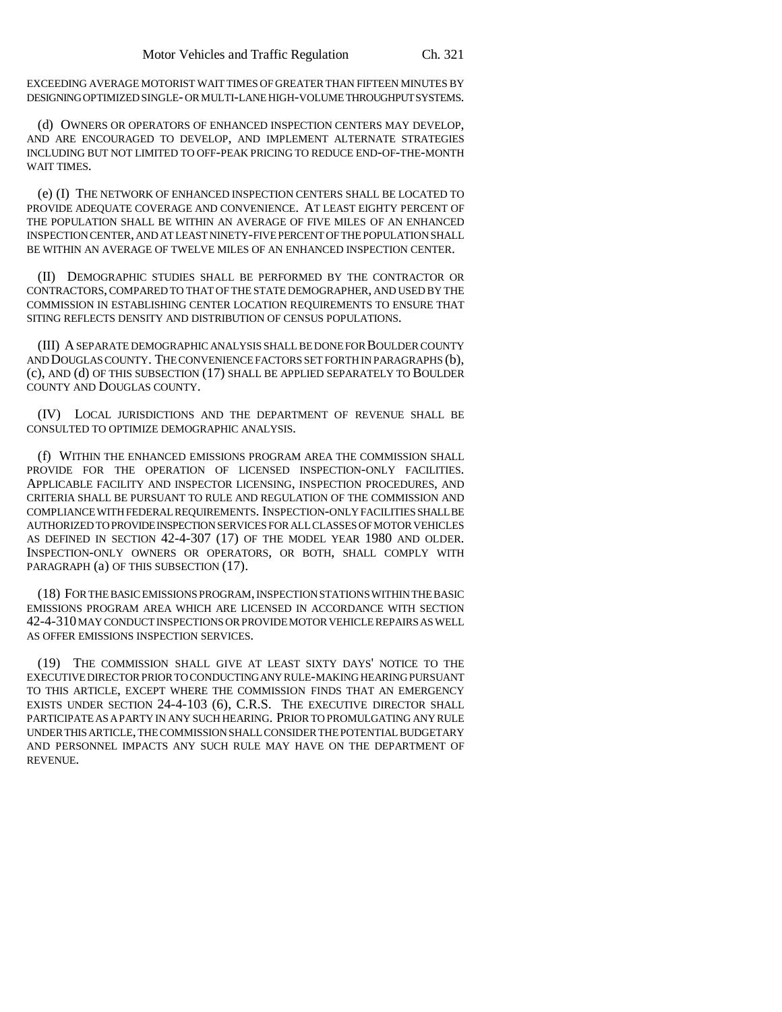EXCEEDING AVERAGE MOTORIST WAIT TIMES OF GREATER THAN FIFTEEN MINUTES BY DESIGNING OPTIMIZED SINGLE- OR MULTI-LANE HIGH-VOLUME THROUGHPUT SYSTEMS.

(d) OWNERS OR OPERATORS OF ENHANCED INSPECTION CENTERS MAY DEVELOP, AND ARE ENCOURAGED TO DEVELOP, AND IMPLEMENT ALTERNATE STRATEGIES INCLUDING BUT NOT LIMITED TO OFF-PEAK PRICING TO REDUCE END-OF-THE-MONTH WAIT TIMES.

(e) (I) THE NETWORK OF ENHANCED INSPECTION CENTERS SHALL BE LOCATED TO PROVIDE ADEQUATE COVERAGE AND CONVENIENCE. AT LEAST EIGHTY PERCENT OF THE POPULATION SHALL BE WITHIN AN AVERAGE OF FIVE MILES OF AN ENHANCED INSPECTION CENTER, AND AT LEAST NINETY-FIVE PERCENT OF THE POPULATION SHALL BE WITHIN AN AVERAGE OF TWELVE MILES OF AN ENHANCED INSPECTION CENTER.

(II) DEMOGRAPHIC STUDIES SHALL BE PERFORMED BY THE CONTRACTOR OR CONTRACTORS, COMPARED TO THAT OF THE STATE DEMOGRAPHER, AND USED BY THE COMMISSION IN ESTABLISHING CENTER LOCATION REQUIREMENTS TO ENSURE THAT SITING REFLECTS DENSITY AND DISTRIBUTION OF CENSUS POPULATIONS.

(III) A SEPARATE DEMOGRAPHIC ANALYSIS SHALL BE DONE FOR BOULDER COUNTY AND DOUGLAS COUNTY. THE CONVENIENCE FACTORS SET FORTH IN PARAGRAPHS (b), (c), AND (d) OF THIS SUBSECTION (17) SHALL BE APPLIED SEPARATELY TO BOULDER COUNTY AND DOUGLAS COUNTY.

(IV) LOCAL JURISDICTIONS AND THE DEPARTMENT OF REVENUE SHALL BE CONSULTED TO OPTIMIZE DEMOGRAPHIC ANALYSIS.

(f) WITHIN THE ENHANCED EMISSIONS PROGRAM AREA THE COMMISSION SHALL PROVIDE FOR THE OPERATION OF LICENSED INSPECTION-ONLY FACILITIES. APPLICABLE FACILITY AND INSPECTOR LICENSING, INSPECTION PROCEDURES, AND CRITERIA SHALL BE PURSUANT TO RULE AND REGULATION OF THE COMMISSION AND COMPLIANCE WITH FEDERAL REQUIREMENTS. INSPECTION-ONLY FACILITIES SHALL BE AUTHORIZED TO PROVIDE INSPECTION SERVICES FOR ALL CLASSES OF MOTOR VEHICLES AS DEFINED IN SECTION 42-4-307 (17) OF THE MODEL YEAR 1980 AND OLDER. INSPECTION-ONLY OWNERS OR OPERATORS, OR BOTH, SHALL COMPLY WITH PARAGRAPH (a) OF THIS SUBSECTION (17).

(18) FOR THE BASIC EMISSIONS PROGRAM, INSPECTION STATIONS WITHIN THE BASIC EMISSIONS PROGRAM AREA WHICH ARE LICENSED IN ACCORDANCE WITH SECTION 42-4-310 MAY CONDUCT INSPECTIONS OR PROVIDE MOTOR VEHICLE REPAIRS AS WELL AS OFFER EMISSIONS INSPECTION SERVICES.

(19) THE COMMISSION SHALL GIVE AT LEAST SIXTY DAYS' NOTICE TO THE EXECUTIVE DIRECTOR PRIOR TO CONDUCTING ANY RULE-MAKING HEARING PURSUANT TO THIS ARTICLE, EXCEPT WHERE THE COMMISSION FINDS THAT AN EMERGENCY EXISTS UNDER SECTION 24-4-103 (6), C.R.S. THE EXECUTIVE DIRECTOR SHALL PARTICIPATE AS A PARTY IN ANY SUCH HEARING. PRIOR TO PROMULGATING ANY RULE UNDER THIS ARTICLE, THE COMMISSION SHALL CONSIDER THE POTENTIAL BUDGETARY AND PERSONNEL IMPACTS ANY SUCH RULE MAY HAVE ON THE DEPARTMENT OF REVENUE.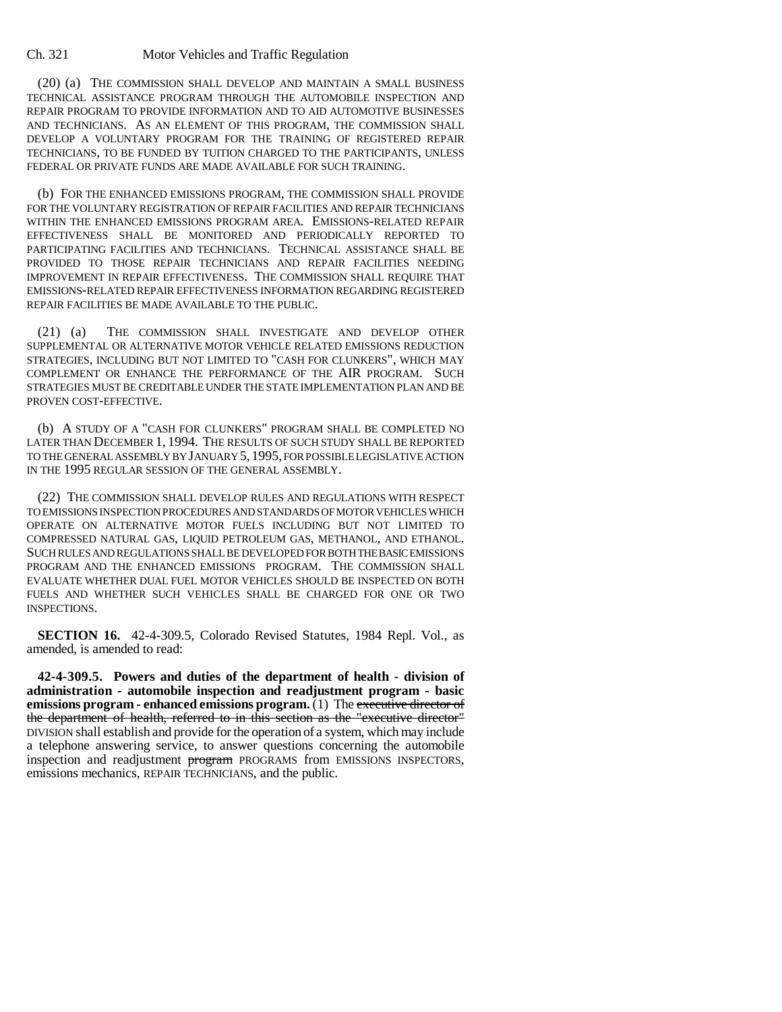(20) (a) THE COMMISSION SHALL DEVELOP AND MAINTAIN A SMALL BUSINESS TECHNICAL ASSISTANCE PROGRAM THROUGH THE AUTOMOBILE INSPECTION AND REPAIR PROGRAM TO PROVIDE INFORMATION AND TO AID AUTOMOTIVE BUSINESSES AND TECHNICIANS. AS AN ELEMENT OF THIS PROGRAM, THE COMMISSION SHALL DEVELOP A VOLUNTARY PROGRAM FOR THE TRAINING OF REGISTERED REPAIR TECHNICIANS, TO BE FUNDED BY TUITION CHARGED TO THE PARTICIPANTS, UNLESS FEDERAL OR PRIVATE FUNDS ARE MADE AVAILABLE FOR SUCH TRAINING.

(b) FOR THE ENHANCED EMISSIONS PROGRAM, THE COMMISSION SHALL PROVIDE FOR THE VOLUNTARY REGISTRATION OF REPAIR FACILITIES AND REPAIR TECHNICIANS WITHIN THE ENHANCED EMISSIONS PROGRAM AREA. EMISSIONS-RELATED REPAIR EFFECTIVENESS SHALL BE MONITORED AND PERIODICALLY REPORTED TO PARTICIPATING FACILITIES AND TECHNICIANS. TECHNICAL ASSISTANCE SHALL BE PROVIDED TO THOSE REPAIR TECHNICIANS AND REPAIR FACILITIES NEEDING IMPROVEMENT IN REPAIR EFFECTIVENESS. THE COMMISSION SHALL REQUIRE THAT EMISSIONS-RELATED REPAIR EFFECTIVENESS INFORMATION REGARDING REGISTERED REPAIR FACILITIES BE MADE AVAILABLE TO THE PUBLIC.

(21) (a) THE COMMISSION SHALL INVESTIGATE AND DEVELOP OTHER SUPPLEMENTAL OR ALTERNATIVE MOTOR VEHICLE RELATED EMISSIONS REDUCTION STRATEGIES, INCLUDING BUT NOT LIMITED TO "CASH FOR CLUNKERS", WHICH MAY COMPLEMENT OR ENHANCE THE PERFORMANCE OF THE AIR PROGRAM. SUCH STRATEGIES MUST BE CREDITABLE UNDER THE STATE IMPLEMENTATION PLAN AND BE PROVEN COST-EFFECTIVE.

(b) A STUDY OF A "CASH FOR CLUNKERS" PROGRAM SHALL BE COMPLETED NO LATER THAN DECEMBER 1, 1994. THE RESULTS OF SUCH STUDY SHALL BE REPORTED TO THE GENERAL ASSEMBLY BY JANUARY 5,1995, FOR POSSIBLE LEGISLATIVE ACTION IN THE 1995 REGULAR SESSION OF THE GENERAL ASSEMBLY.

(22) THE COMMISSION SHALL DEVELOP RULES AND REGULATIONS WITH RESPECT TO EMISSIONS INSPECTION PROCEDURES AND STANDARDS OF MOTOR VEHICLES WHICH OPERATE ON ALTERNATIVE MOTOR FUELS INCLUDING BUT NOT LIMITED TO COMPRESSED NATURAL GAS, LIQUID PETROLEUM GAS, METHANOL, AND ETHANOL. SUCH RULES AND REGULATIONS SHALL BE DEVELOPED FOR BOTH THE BASIC EMISSIONS PROGRAM AND THE ENHANCED EMISSIONS PROGRAM. THE COMMISSION SHALL EVALUATE WHETHER DUAL FUEL MOTOR VEHICLES SHOULD BE INSPECTED ON BOTH FUELS AND WHETHER SUCH VEHICLES SHALL BE CHARGED FOR ONE OR TWO INSPECTIONS.

**SECTION 16.** 42-4-309.5, Colorado Revised Statutes, 1984 Repl. Vol., as amended, is amended to read:

**42-4-309.5. Powers and duties of the department of health - division of administration - automobile inspection and readjustment program - basic emissions program - enhanced emissions program.** (1) The executive director of the department of health, referred to in this section as the "executive director" DIVISION shall establish and provide for the operation of a system, which may include a telephone answering service, to answer questions concerning the automobile inspection and readjustment program PROGRAMS from EMISSIONS INSPECTORS, emissions mechanics, REPAIR TECHNICIANS, and the public.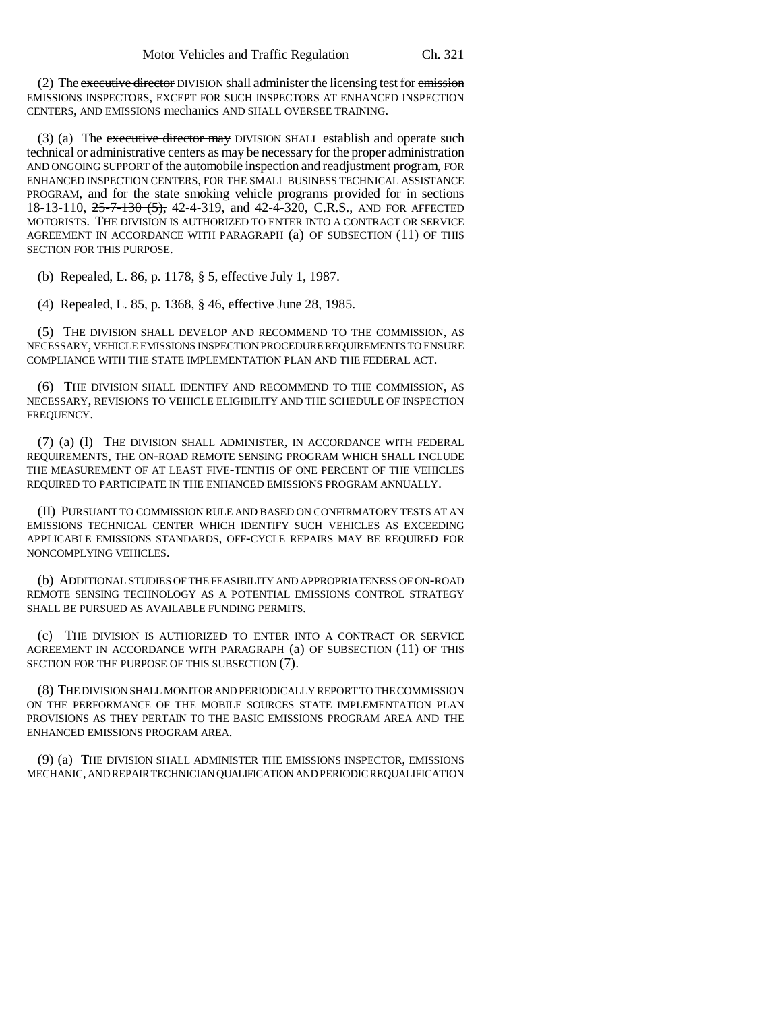(2) The executive director DIVISION shall administer the licensing test for emission EMISSIONS INSPECTORS, EXCEPT FOR SUCH INSPECTORS AT ENHANCED INSPECTION CENTERS, AND EMISSIONS mechanics AND SHALL OVERSEE TRAINING.

(3) (a) The executive director may DIVISION SHALL establish and operate such technical or administrative centers as may be necessary for the proper administration AND ONGOING SUPPORT of the automobile inspection and readjustment program, FOR ENHANCED INSPECTION CENTERS, FOR THE SMALL BUSINESS TECHNICAL ASSISTANCE PROGRAM, and for the state smoking vehicle programs provided for in sections 18-13-110, 25-7-130 (5), 42-4-319, and 42-4-320, C.R.S., AND FOR AFFECTED MOTORISTS. THE DIVISION IS AUTHORIZED TO ENTER INTO A CONTRACT OR SERVICE AGREEMENT IN ACCORDANCE WITH PARAGRAPH (a) OF SUBSECTION (11) OF THIS SECTION FOR THIS PURPOSE.

(b) Repealed, L. 86, p. 1178, § 5, effective July 1, 1987.

(4) Repealed, L. 85, p. 1368, § 46, effective June 28, 1985.

(5) THE DIVISION SHALL DEVELOP AND RECOMMEND TO THE COMMISSION, AS NECESSARY, VEHICLE EMISSIONS INSPECTION PROCEDURE REQUIREMENTS TO ENSURE COMPLIANCE WITH THE STATE IMPLEMENTATION PLAN AND THE FEDERAL ACT.

(6) THE DIVISION SHALL IDENTIFY AND RECOMMEND TO THE COMMISSION, AS NECESSARY, REVISIONS TO VEHICLE ELIGIBILITY AND THE SCHEDULE OF INSPECTION FREQUENCY.

(7) (a) (I) THE DIVISION SHALL ADMINISTER, IN ACCORDANCE WITH FEDERAL REQUIREMENTS, THE ON-ROAD REMOTE SENSING PROGRAM WHICH SHALL INCLUDE THE MEASUREMENT OF AT LEAST FIVE-TENTHS OF ONE PERCENT OF THE VEHICLES REQUIRED TO PARTICIPATE IN THE ENHANCED EMISSIONS PROGRAM ANNUALLY.

(II) PURSUANT TO COMMISSION RULE AND BASED ON CONFIRMATORY TESTS AT AN EMISSIONS TECHNICAL CENTER WHICH IDENTIFY SUCH VEHICLES AS EXCEEDING APPLICABLE EMISSIONS STANDARDS, OFF-CYCLE REPAIRS MAY BE REQUIRED FOR NONCOMPLYING VEHICLES.

(b) ADDITIONAL STUDIES OF THE FEASIBILITY AND APPROPRIATENESS OF ON-ROAD REMOTE SENSING TECHNOLOGY AS A POTENTIAL EMISSIONS CONTROL STRATEGY SHALL BE PURSUED AS AVAILABLE FUNDING PERMITS.

(c) THE DIVISION IS AUTHORIZED TO ENTER INTO A CONTRACT OR SERVICE AGREEMENT IN ACCORDANCE WITH PARAGRAPH (a) OF SUBSECTION (11) OF THIS SECTION FOR THE PURPOSE OF THIS SUBSECTION (7).

(8) THE DIVISION SHALL MONITOR AND PERIODICALLY REPORT TO THE COMMISSION ON THE PERFORMANCE OF THE MOBILE SOURCES STATE IMPLEMENTATION PLAN PROVISIONS AS THEY PERTAIN TO THE BASIC EMISSIONS PROGRAM AREA AND THE ENHANCED EMISSIONS PROGRAM AREA.

(9) (a) THE DIVISION SHALL ADMINISTER THE EMISSIONS INSPECTOR, EMISSIONS MECHANIC, AND REPAIR TECHNICIAN QUALIFICATION AND PERIODIC REQUALIFICATION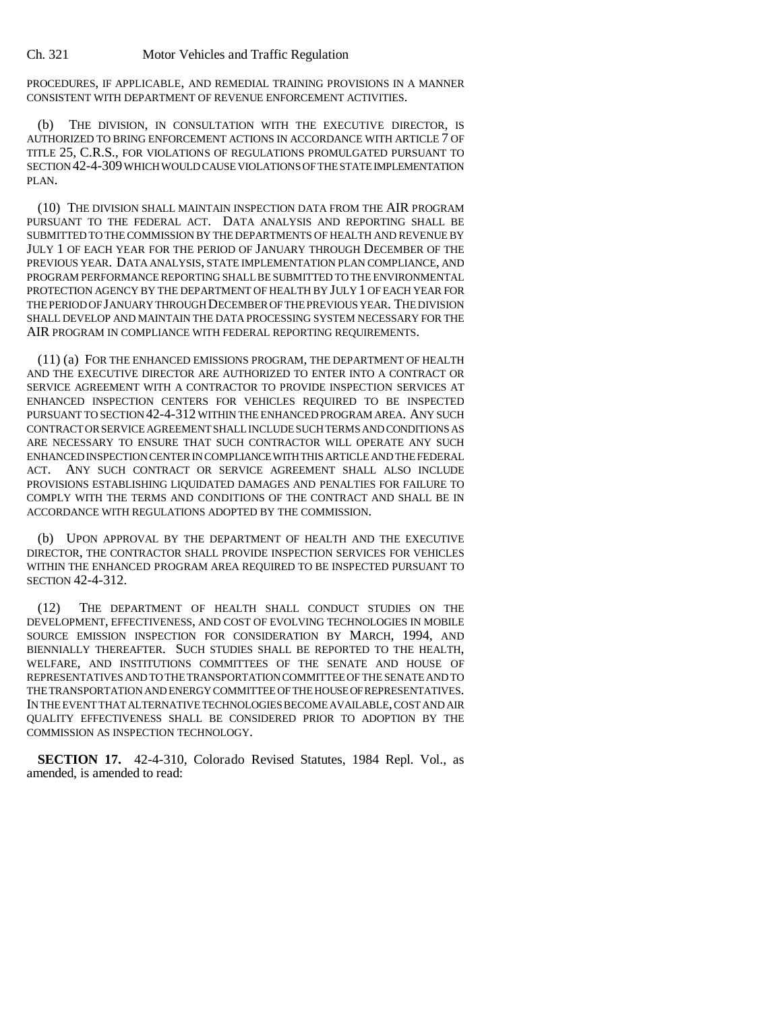PROCEDURES, IF APPLICABLE, AND REMEDIAL TRAINING PROVISIONS IN A MANNER CONSISTENT WITH DEPARTMENT OF REVENUE ENFORCEMENT ACTIVITIES.

(b) THE DIVISION, IN CONSULTATION WITH THE EXECUTIVE DIRECTOR, IS AUTHORIZED TO BRING ENFORCEMENT ACTIONS IN ACCORDANCE WITH ARTICLE 7 OF TITLE 25, C.R.S., FOR VIOLATIONS OF REGULATIONS PROMULGATED PURSUANT TO SECTION 42-4-309 WHICH WOULD CAUSE VIOLATIONS OF THE STATE IMPLEMENTATION PLAN.

(10) THE DIVISION SHALL MAINTAIN INSPECTION DATA FROM THE AIR PROGRAM PURSUANT TO THE FEDERAL ACT. DATA ANALYSIS AND REPORTING SHALL BE SUBMITTED TO THE COMMISSION BY THE DEPARTMENTS OF HEALTH AND REVENUE BY JULY 1 OF EACH YEAR FOR THE PERIOD OF JANUARY THROUGH DECEMBER OF THE PREVIOUS YEAR. DATA ANALYSIS, STATE IMPLEMENTATION PLAN COMPLIANCE, AND PROGRAM PERFORMANCE REPORTING SHALL BE SUBMITTED TO THE ENVIRONMENTAL PROTECTION AGENCY BY THE DEPARTMENT OF HEALTH BY JULY 1 OF EACH YEAR FOR THE PERIOD OF JANUARY THROUGH DECEMBER OF THE PREVIOUS YEAR. THE DIVISION SHALL DEVELOP AND MAINTAIN THE DATA PROCESSING SYSTEM NECESSARY FOR THE AIR PROGRAM IN COMPLIANCE WITH FEDERAL REPORTING REQUIREMENTS.

(11) (a) FOR THE ENHANCED EMISSIONS PROGRAM, THE DEPARTMENT OF HEALTH AND THE EXECUTIVE DIRECTOR ARE AUTHORIZED TO ENTER INTO A CONTRACT OR SERVICE AGREEMENT WITH A CONTRACTOR TO PROVIDE INSPECTION SERVICES AT ENHANCED INSPECTION CENTERS FOR VEHICLES REQUIRED TO BE INSPECTED PURSUANT TO SECTION 42-4-312 WITHIN THE ENHANCED PROGRAM AREA. ANY SUCH CONTRACT OR SERVICE AGREEMENT SHALL INCLUDE SUCH TERMS AND CONDITIONS AS ARE NECESSARY TO ENSURE THAT SUCH CONTRACTOR WILL OPERATE ANY SUCH ENHANCED INSPECTION CENTER IN COMPLIANCE WITH THIS ARTICLE AND THE FEDERAL ACT. ANY SUCH CONTRACT OR SERVICE AGREEMENT SHALL ALSO INCLUDE PROVISIONS ESTABLISHING LIQUIDATED DAMAGES AND PENALTIES FOR FAILURE TO COMPLY WITH THE TERMS AND CONDITIONS OF THE CONTRACT AND SHALL BE IN ACCORDANCE WITH REGULATIONS ADOPTED BY THE COMMISSION.

(b) UPON APPROVAL BY THE DEPARTMENT OF HEALTH AND THE EXECUTIVE DIRECTOR, THE CONTRACTOR SHALL PROVIDE INSPECTION SERVICES FOR VEHICLES WITHIN THE ENHANCED PROGRAM AREA REQUIRED TO BE INSPECTED PURSUANT TO SECTION 42-4-312.

(12) THE DEPARTMENT OF HEALTH SHALL CONDUCT STUDIES ON THE DEVELOPMENT, EFFECTIVENESS, AND COST OF EVOLVING TECHNOLOGIES IN MOBILE SOURCE EMISSION INSPECTION FOR CONSIDERATION BY MARCH, 1994, AND BIENNIALLY THEREAFTER. SUCH STUDIES SHALL BE REPORTED TO THE HEALTH, WELFARE, AND INSTITUTIONS COMMITTEES OF THE SENATE AND HOUSE OF REPRESENTATIVES AND TO THE TRANSPORTATION COMMITTEE OF THE SENATE AND TO THE TRANSPORTATION AND ENERGY COMMITTEE OF THE HOUSE OF REPRESENTATIVES. IN THE EVENT THAT ALTERNATIVE TECHNOLOGIES BECOME AVAILABLE, COST AND AIR QUALITY EFFECTIVENESS SHALL BE CONSIDERED PRIOR TO ADOPTION BY THE COMMISSION AS INSPECTION TECHNOLOGY.

**SECTION 17.** 42-4-310, Colorado Revised Statutes, 1984 Repl. Vol., as amended, is amended to read: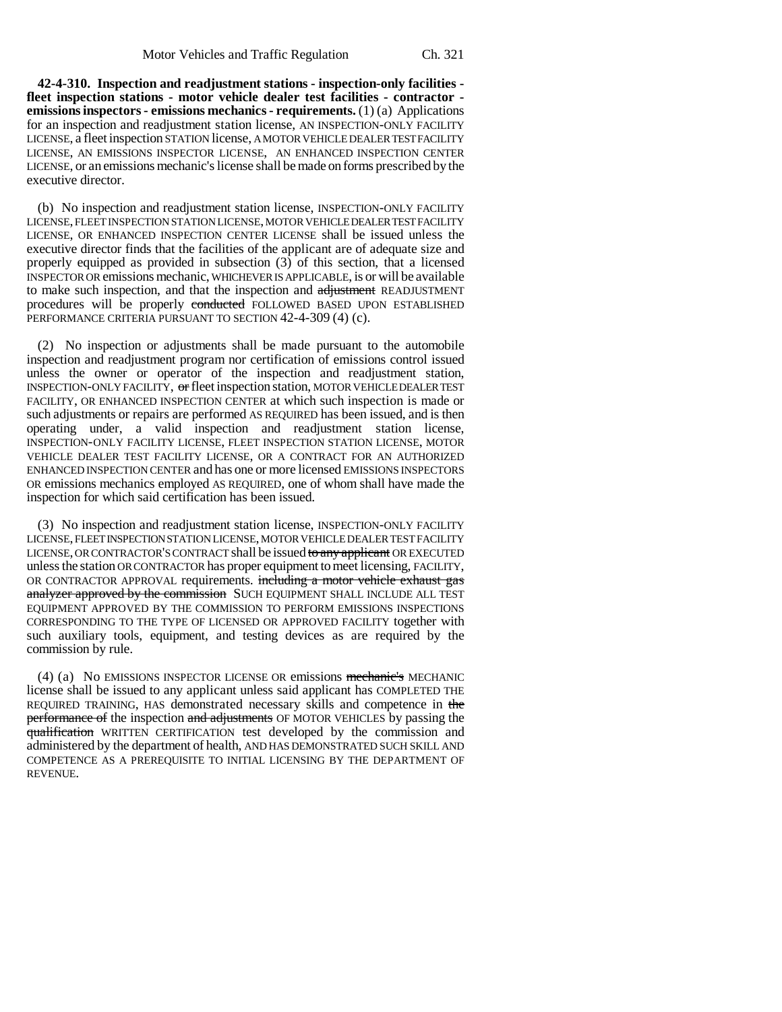**42-4-310. Inspection and readjustment stations - inspection-only facilities fleet inspection stations - motor vehicle dealer test facilities - contractor emissions inspectors - emissions mechanics - requirements.** (1) (a) Applications for an inspection and readjustment station license, AN INSPECTION-ONLY FACILITY LICENSE, a fleet inspection STATION license, A MOTOR VEHICLE DEALER TEST FACILITY LICENSE, AN EMISSIONS INSPECTOR LICENSE, AN ENHANCED INSPECTION CENTER LICENSE, or an emissions mechanic's license shall be made on forms prescribed by the executive director.

(b) No inspection and readjustment station license, INSPECTION-ONLY FACILITY LICENSE, FLEET INSPECTION STATION LICENSE, MOTOR VEHICLE DEALER TEST FACILITY LICENSE, OR ENHANCED INSPECTION CENTER LICENSE shall be issued unless the executive director finds that the facilities of the applicant are of adequate size and properly equipped as provided in subsection (3) of this section, that a licensed INSPECTOR OR emissions mechanic, WHICHEVER IS APPLICABLE, is or will be available to make such inspection, and that the inspection and adjustment READJUSTMENT procedures will be properly conducted FOLLOWED BASED UPON ESTABLISHED PERFORMANCE CRITERIA PURSUANT TO SECTION 42-4-309 (4) (c).

(2) No inspection or adjustments shall be made pursuant to the automobile inspection and readjustment program nor certification of emissions control issued unless the owner or operator of the inspection and readjustment station, INSPECTION-ONLY FACILITY, or fleet inspection station, MOTOR VEHICLE DEALER TEST FACILITY, OR ENHANCED INSPECTION CENTER at which such inspection is made or such adjustments or repairs are performed AS REQUIRED has been issued, and is then operating under, a valid inspection and readjustment station license, INSPECTION-ONLY FACILITY LICENSE, FLEET INSPECTION STATION LICENSE, MOTOR VEHICLE DEALER TEST FACILITY LICENSE, OR A CONTRACT FOR AN AUTHORIZED ENHANCED INSPECTION CENTER and has one or more licensed EMISSIONS INSPECTORS OR emissions mechanics employed AS REQUIRED, one of whom shall have made the inspection for which said certification has been issued.

(3) No inspection and readjustment station license, INSPECTION-ONLY FACILITY LICENSE, FLEET INSPECTION STATION LICENSE, MOTOR VEHICLE DEALER TEST FACILITY LICENSE, OR CONTRACTOR'S CONTRACT shall be issued to any applicant OR EXECUTED unless the station OR CONTRACTOR has proper equipment to meet licensing, FACILITY, OR CONTRACTOR APPROVAL requirements. including a motor vehicle exhaust gas analyzer approved by the commission SUCH EQUIPMENT SHALL INCLUDE ALL TEST EQUIPMENT APPROVED BY THE COMMISSION TO PERFORM EMISSIONS INSPECTIONS CORRESPONDING TO THE TYPE OF LICENSED OR APPROVED FACILITY together with such auxiliary tools, equipment, and testing devices as are required by the commission by rule.

(4) (a) No EMISSIONS INSPECTOR LICENSE OR emissions mechanic's MECHANIC license shall be issued to any applicant unless said applicant has COMPLETED THE REQUIRED TRAINING, HAS demonstrated necessary skills and competence in the performance of the inspection and adjustments OF MOTOR VEHICLES by passing the qualification WRITTEN CERTIFICATION test developed by the commission and administered by the department of health, AND HAS DEMONSTRATED SUCH SKILL AND COMPETENCE AS A PREREQUISITE TO INITIAL LICENSING BY THE DEPARTMENT OF REVENUE.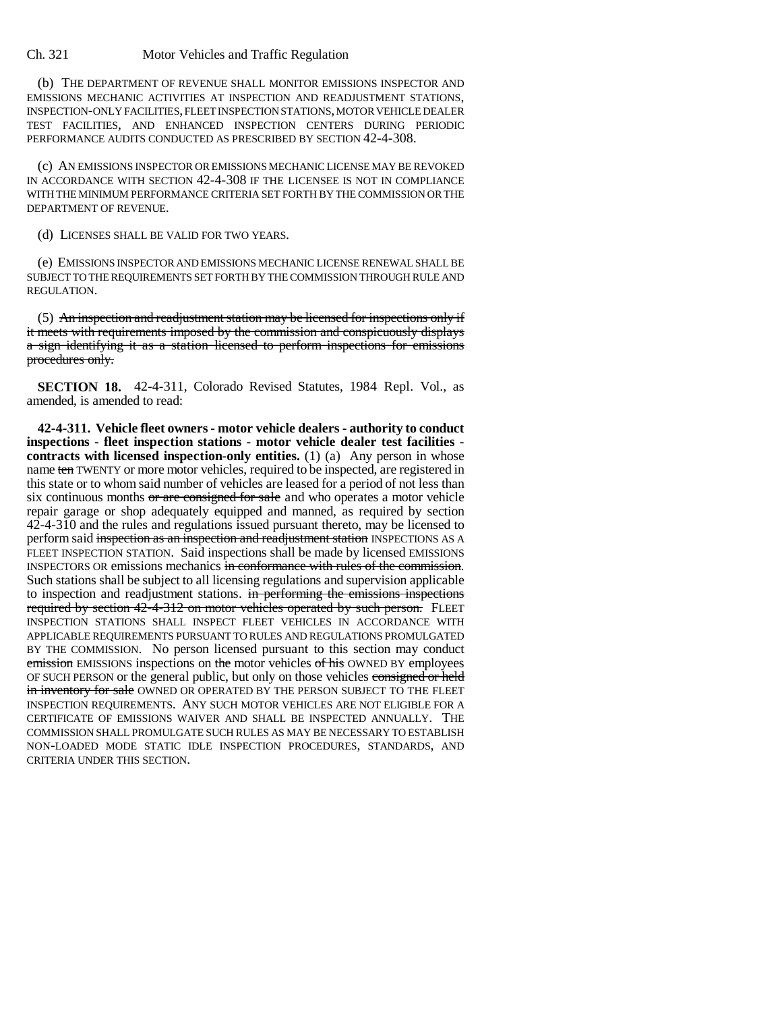(b) THE DEPARTMENT OF REVENUE SHALL MONITOR EMISSIONS INSPECTOR AND EMISSIONS MECHANIC ACTIVITIES AT INSPECTION AND READJUSTMENT STATIONS, INSPECTION-ONLY FACILITIES, FLEET INSPECTION STATIONS, MOTOR VEHICLE DEALER TEST FACILITIES, AND ENHANCED INSPECTION CENTERS DURING PERIODIC PERFORMANCE AUDITS CONDUCTED AS PRESCRIBED BY SECTION 42-4-308.

(c) AN EMISSIONS INSPECTOR OR EMISSIONS MECHANIC LICENSE MAY BE REVOKED IN ACCORDANCE WITH SECTION 42-4-308 IF THE LICENSEE IS NOT IN COMPLIANCE WITH THE MINIMUM PERFORMANCE CRITERIA SET FORTH BY THE COMMISSION OR THE DEPARTMENT OF REVENUE.

(d) LICENSES SHALL BE VALID FOR TWO YEARS.

(e) EMISSIONS INSPECTOR AND EMISSIONS MECHANIC LICENSE RENEWAL SHALL BE SUBJECT TO THE REQUIREMENTS SET FORTH BY THE COMMISSION THROUGH RULE AND REGULATION.

(5) An inspection and readjustment station may be licensed for inspections only if it meets with requirements imposed by the commission and conspicuously displays a sign identifying it as a station licensed to perform inspections for emissions procedures only.

**SECTION 18.** 42-4-311, Colorado Revised Statutes, 1984 Repl. Vol., as amended, is amended to read:

**42-4-311. Vehicle fleet owners - motor vehicle dealers - authority to conduct inspections - fleet inspection stations - motor vehicle dealer test facilities contracts with licensed inspection-only entities.** (1) (a) Any person in whose name ten TWENTY or more motor vehicles, required to be inspected, are registered in this state or to whom said number of vehicles are leased for a period of not less than six continuous months or are consigned for sale and who operates a motor vehicle repair garage or shop adequately equipped and manned, as required by section 42-4-310 and the rules and regulations issued pursuant thereto, may be licensed to perform said inspection as an inspection and readjustment station INSPECTIONS AS A FLEET INSPECTION STATION. Said inspections shall be made by licensed EMISSIONS INSPECTORS OR emissions mechanics in conformance with rules of the commission. Such stations shall be subject to all licensing regulations and supervision applicable to inspection and readjustment stations. in performing the emissions inspections required by section 42-4-312 on motor vehicles operated by such person. FLEET INSPECTION STATIONS SHALL INSPECT FLEET VEHICLES IN ACCORDANCE WITH APPLICABLE REQUIREMENTS PURSUANT TO RULES AND REGULATIONS PROMULGATED BY THE COMMISSION. No person licensed pursuant to this section may conduct emission EMISSIONS inspections on the motor vehicles of his OWNED BY employees OF SUCH PERSON or the general public, but only on those vehicles consigned or held in inventory for sale OWNED OR OPERATED BY THE PERSON SUBJECT TO THE FLEET INSPECTION REQUIREMENTS. ANY SUCH MOTOR VEHICLES ARE NOT ELIGIBLE FOR A CERTIFICATE OF EMISSIONS WAIVER AND SHALL BE INSPECTED ANNUALLY. THE COMMISSION SHALL PROMULGATE SUCH RULES AS MAY BE NECESSARY TO ESTABLISH NON-LOADED MODE STATIC IDLE INSPECTION PROCEDURES, STANDARDS, AND CRITERIA UNDER THIS SECTION.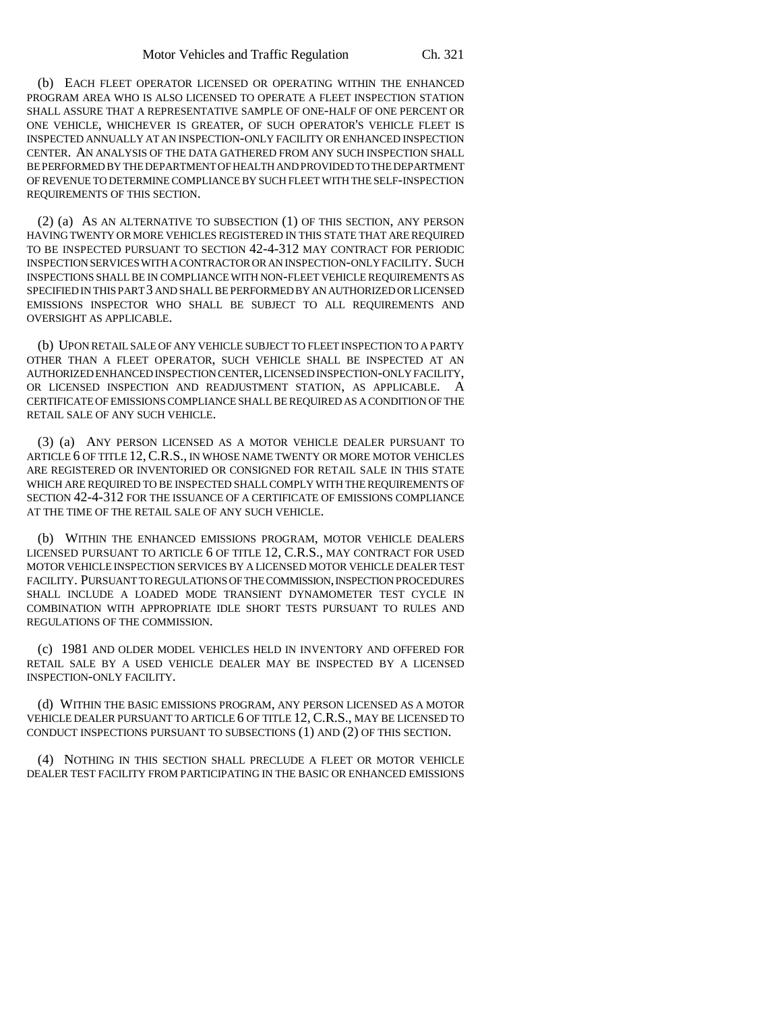(b) EACH FLEET OPERATOR LICENSED OR OPERATING WITHIN THE ENHANCED PROGRAM AREA WHO IS ALSO LICENSED TO OPERATE A FLEET INSPECTION STATION SHALL ASSURE THAT A REPRESENTATIVE SAMPLE OF ONE-HALF OF ONE PERCENT OR ONE VEHICLE, WHICHEVER IS GREATER, OF SUCH OPERATOR'S VEHICLE FLEET IS INSPECTED ANNUALLY AT AN INSPECTION-ONLY FACILITY OR ENHANCED INSPECTION CENTER. AN ANALYSIS OF THE DATA GATHERED FROM ANY SUCH INSPECTION SHALL BE PERFORMED BY THE DEPARTMENT OF HEALTH AND PROVIDED TO THE DEPARTMENT OF REVENUE TO DETERMINE COMPLIANCE BY SUCH FLEET WITH THE SELF-INSPECTION REQUIREMENTS OF THIS SECTION.

(2) (a) AS AN ALTERNATIVE TO SUBSECTION (1) OF THIS SECTION, ANY PERSON HAVING TWENTY OR MORE VEHICLES REGISTERED IN THIS STATE THAT ARE REQUIRED TO BE INSPECTED PURSUANT TO SECTION 42-4-312 MAY CONTRACT FOR PERIODIC INSPECTION SERVICES WITH A CONTRACTOR OR AN INSPECTION-ONLY FACILITY. SUCH INSPECTIONS SHALL BE IN COMPLIANCE WITH NON-FLEET VEHICLE REQUIREMENTS AS SPECIFIED IN THIS PART 3 AND SHALL BE PERFORMED BY AN AUTHORIZED OR LICENSED EMISSIONS INSPECTOR WHO SHALL BE SUBJECT TO ALL REQUIREMENTS AND OVERSIGHT AS APPLICABLE.

(b) UPON RETAIL SALE OF ANY VEHICLE SUBJECT TO FLEET INSPECTION TO A PARTY OTHER THAN A FLEET OPERATOR, SUCH VEHICLE SHALL BE INSPECTED AT AN AUTHORIZED ENHANCED INSPECTION CENTER, LICENSED INSPECTION-ONLY FACILITY, OR LICENSED INSPECTION AND READJUSTMENT STATION, AS APPLICABLE. A CERTIFICATE OF EMISSIONS COMPLIANCE SHALL BE REQUIRED AS A CONDITION OF THE RETAIL SALE OF ANY SUCH VEHICLE.

(3) (a) ANY PERSON LICENSED AS A MOTOR VEHICLE DEALER PURSUANT TO ARTICLE 6 OF TITLE 12, C.R.S., IN WHOSE NAME TWENTY OR MORE MOTOR VEHICLES ARE REGISTERED OR INVENTORIED OR CONSIGNED FOR RETAIL SALE IN THIS STATE WHICH ARE REQUIRED TO BE INSPECTED SHALL COMPLY WITH THE REQUIREMENTS OF SECTION 42-4-312 FOR THE ISSUANCE OF A CERTIFICATE OF EMISSIONS COMPLIANCE AT THE TIME OF THE RETAIL SALE OF ANY SUCH VEHICLE.

(b) WITHIN THE ENHANCED EMISSIONS PROGRAM, MOTOR VEHICLE DEALERS LICENSED PURSUANT TO ARTICLE 6 OF TITLE 12, C.R.S., MAY CONTRACT FOR USED MOTOR VEHICLE INSPECTION SERVICES BY A LICENSED MOTOR VEHICLE DEALER TEST FACILITY. PURSUANT TO REGULATIONS OF THE COMMISSION, INSPECTION PROCEDURES SHALL INCLUDE A LOADED MODE TRANSIENT DYNAMOMETER TEST CYCLE IN COMBINATION WITH APPROPRIATE IDLE SHORT TESTS PURSUANT TO RULES AND REGULATIONS OF THE COMMISSION.

(c) 1981 AND OLDER MODEL VEHICLES HELD IN INVENTORY AND OFFERED FOR RETAIL SALE BY A USED VEHICLE DEALER MAY BE INSPECTED BY A LICENSED INSPECTION-ONLY FACILITY.

(d) WITHIN THE BASIC EMISSIONS PROGRAM, ANY PERSON LICENSED AS A MOTOR VEHICLE DEALER PURSUANT TO ARTICLE 6 OF TITLE 12, C.R.S., MAY BE LICENSED TO CONDUCT INSPECTIONS PURSUANT TO SUBSECTIONS (1) AND (2) OF THIS SECTION.

(4) NOTHING IN THIS SECTION SHALL PRECLUDE A FLEET OR MOTOR VEHICLE DEALER TEST FACILITY FROM PARTICIPATING IN THE BASIC OR ENHANCED EMISSIONS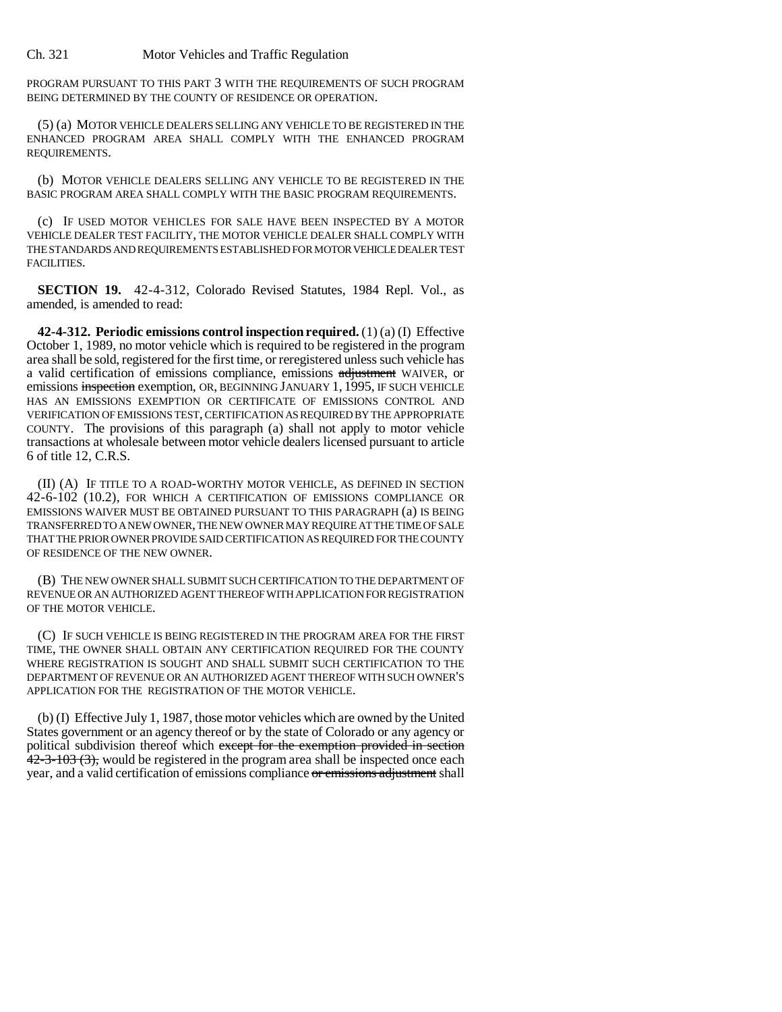PROGRAM PURSUANT TO THIS PART 3 WITH THE REQUIREMENTS OF SUCH PROGRAM BEING DETERMINED BY THE COUNTY OF RESIDENCE OR OPERATION.

(5) (a) MOTOR VEHICLE DEALERS SELLING ANY VEHICLE TO BE REGISTERED IN THE ENHANCED PROGRAM AREA SHALL COMPLY WITH THE ENHANCED PROGRAM REQUIREMENTS.

(b) MOTOR VEHICLE DEALERS SELLING ANY VEHICLE TO BE REGISTERED IN THE BASIC PROGRAM AREA SHALL COMPLY WITH THE BASIC PROGRAM REQUIREMENTS.

(c) IF USED MOTOR VEHICLES FOR SALE HAVE BEEN INSPECTED BY A MOTOR VEHICLE DEALER TEST FACILITY, THE MOTOR VEHICLE DEALER SHALL COMPLY WITH THE STANDARDS AND REQUIREMENTS ESTABLISHED FOR MOTOR VEHICLE DEALER TEST FACILITIES.

**SECTION 19.** 42-4-312, Colorado Revised Statutes, 1984 Repl. Vol., as amended, is amended to read:

**42-4-312. Periodic emissions control inspection required.** (1) (a) (I) Effective October 1, 1989, no motor vehicle which is required to be registered in the program area shall be sold, registered for the first time, or reregistered unless such vehicle has a valid certification of emissions compliance, emissions adjustment WAIVER, or emissions inspection exemption, OR, BEGINNING JANUARY 1, 1995, IF SUCH VEHICLE HAS AN EMISSIONS EXEMPTION OR CERTIFICATE OF EMISSIONS CONTROL AND VERIFICATION OF EMISSIONS TEST, CERTIFICATION AS REQUIRED BY THE APPROPRIATE COUNTY. The provisions of this paragraph (a) shall not apply to motor vehicle transactions at wholesale between motor vehicle dealers licensed pursuant to article 6 of title 12, C.R.S.

(II) (A) IF TITLE TO A ROAD-WORTHY MOTOR VEHICLE, AS DEFINED IN SECTION 42-6-102 (10.2), FOR WHICH A CERTIFICATION OF EMISSIONS COMPLIANCE OR EMISSIONS WAIVER MUST BE OBTAINED PURSUANT TO THIS PARAGRAPH (a) IS BEING TRANSFERRED TO A NEW OWNER, THE NEW OWNER MAY REQUIRE AT THE TIME OF SALE THAT THE PRIOR OWNER PROVIDE SAID CERTIFICATION AS REQUIRED FOR THE COUNTY OF RESIDENCE OF THE NEW OWNER.

(B) THE NEW OWNER SHALL SUBMIT SUCH CERTIFICATION TO THE DEPARTMENT OF REVENUE OR AN AUTHORIZED AGENT THEREOF WITH APPLICATION FOR REGISTRATION OF THE MOTOR VEHICLE.

(C) IF SUCH VEHICLE IS BEING REGISTERED IN THE PROGRAM AREA FOR THE FIRST TIME, THE OWNER SHALL OBTAIN ANY CERTIFICATION REQUIRED FOR THE COUNTY WHERE REGISTRATION IS SOUGHT AND SHALL SUBMIT SUCH CERTIFICATION TO THE DEPARTMENT OF REVENUE OR AN AUTHORIZED AGENT THEREOF WITH SUCH OWNER'S APPLICATION FOR THE REGISTRATION OF THE MOTOR VEHICLE.

(b) (I) Effective July 1, 1987, those motor vehicles which are owned by the United States government or an agency thereof or by the state of Colorado or any agency or political subdivision thereof which except for the exemption provided in section  $42-3-103$  (3), would be registered in the program area shall be inspected once each year, and a valid certification of emissions compliance or emissions adjustment shall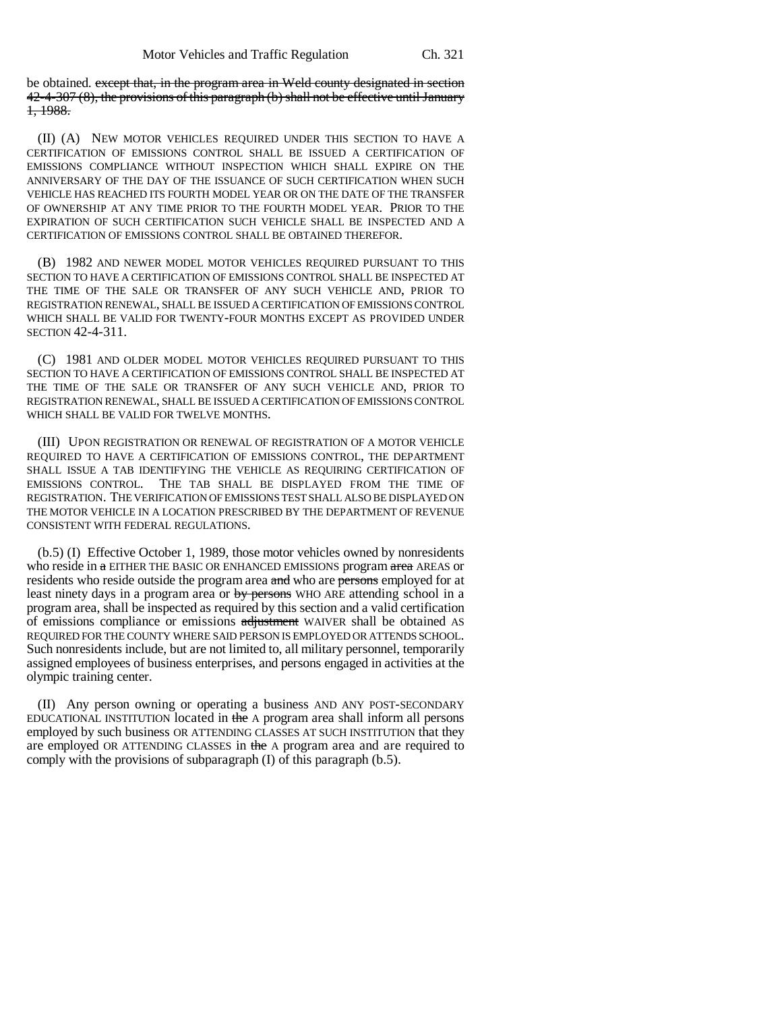be obtained. except that, in the program area in Weld county designated in section 42-4-307 (8), the provisions of this paragraph (b) shall not be effective until January 1, 1988.

(II) (A) NEW MOTOR VEHICLES REQUIRED UNDER THIS SECTION TO HAVE A CERTIFICATION OF EMISSIONS CONTROL SHALL BE ISSUED A CERTIFICATION OF EMISSIONS COMPLIANCE WITHOUT INSPECTION WHICH SHALL EXPIRE ON THE ANNIVERSARY OF THE DAY OF THE ISSUANCE OF SUCH CERTIFICATION WHEN SUCH VEHICLE HAS REACHED ITS FOURTH MODEL YEAR OR ON THE DATE OF THE TRANSFER OF OWNERSHIP AT ANY TIME PRIOR TO THE FOURTH MODEL YEAR. PRIOR TO THE EXPIRATION OF SUCH CERTIFICATION SUCH VEHICLE SHALL BE INSPECTED AND A CERTIFICATION OF EMISSIONS CONTROL SHALL BE OBTAINED THEREFOR.

(B) 1982 AND NEWER MODEL MOTOR VEHICLES REQUIRED PURSUANT TO THIS SECTION TO HAVE A CERTIFICATION OF EMISSIONS CONTROL SHALL BE INSPECTED AT THE TIME OF THE SALE OR TRANSFER OF ANY SUCH VEHICLE AND, PRIOR TO REGISTRATION RENEWAL, SHALL BE ISSUED A CERTIFICATION OF EMISSIONS CONTROL WHICH SHALL BE VALID FOR TWENTY-FOUR MONTHS EXCEPT AS PROVIDED UNDER SECTION 42-4-311.

(C) 1981 AND OLDER MODEL MOTOR VEHICLES REQUIRED PURSUANT TO THIS SECTION TO HAVE A CERTIFICATION OF EMISSIONS CONTROL SHALL BE INSPECTED AT THE TIME OF THE SALE OR TRANSFER OF ANY SUCH VEHICLE AND, PRIOR TO REGISTRATION RENEWAL, SHALL BE ISSUED A CERTIFICATION OF EMISSIONS CONTROL WHICH SHALL BE VALID FOR TWELVE MONTHS.

(III) UPON REGISTRATION OR RENEWAL OF REGISTRATION OF A MOTOR VEHICLE REQUIRED TO HAVE A CERTIFICATION OF EMISSIONS CONTROL, THE DEPARTMENT SHALL ISSUE A TAB IDENTIFYING THE VEHICLE AS REQUIRING CERTIFICATION OF EMISSIONS CONTROL. THE TAB SHALL BE DISPLAYED FROM THE TIME OF REGISTRATION. THE VERIFICATION OF EMISSIONS TEST SHALL ALSO BE DISPLAYED ON THE MOTOR VEHICLE IN A LOCATION PRESCRIBED BY THE DEPARTMENT OF REVENUE CONSISTENT WITH FEDERAL REGULATIONS.

(b.5) (I) Effective October 1, 1989, those motor vehicles owned by nonresidents who reside in a EITHER THE BASIC OR ENHANCED EMISSIONS program area AREAS or residents who reside outside the program area and who are persons employed for at least ninety days in a program area or by persons WHO ARE attending school in a program area, shall be inspected as required by this section and a valid certification of emissions compliance or emissions adjustment WAIVER shall be obtained AS REQUIRED FOR THE COUNTY WHERE SAID PERSON IS EMPLOYED OR ATTENDS SCHOOL. Such nonresidents include, but are not limited to, all military personnel, temporarily assigned employees of business enterprises, and persons engaged in activities at the olympic training center.

(II) Any person owning or operating a business AND ANY POST-SECONDARY EDUCATIONAL INSTITUTION located in the A program area shall inform all persons employed by such business OR ATTENDING CLASSES AT SUCH INSTITUTION that they are employed OR ATTENDING CLASSES in the A program area and are required to comply with the provisions of subparagraph (I) of this paragraph (b.5).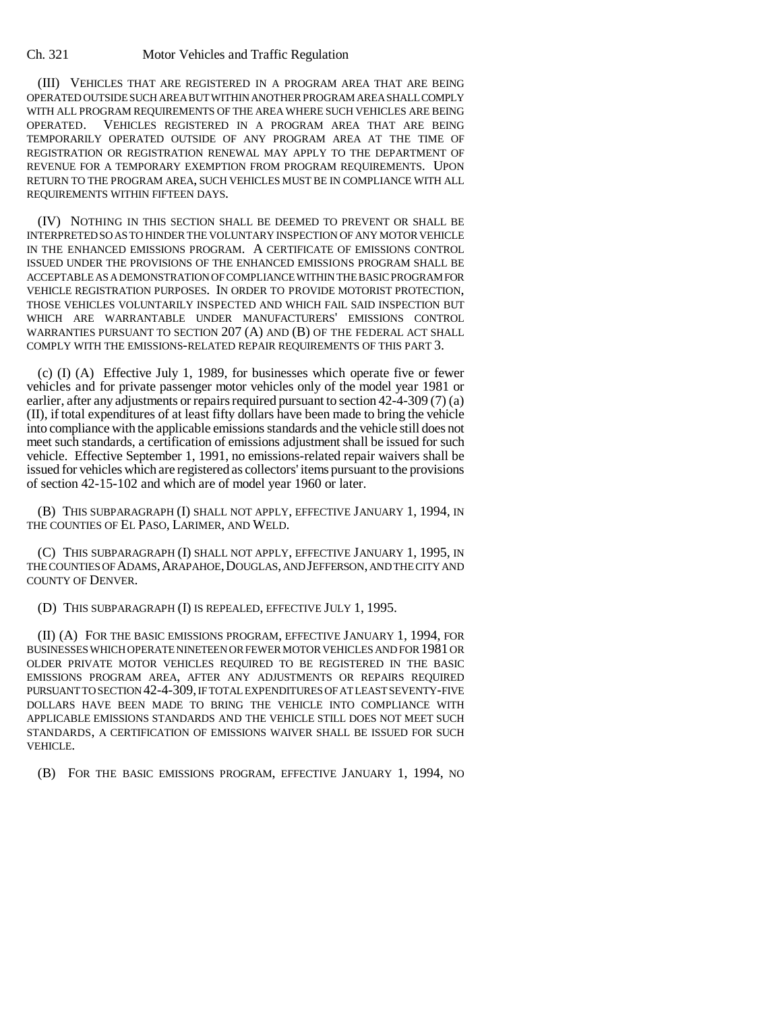(III) VEHICLES THAT ARE REGISTERED IN A PROGRAM AREA THAT ARE BEING OPERATED OUTSIDE SUCH AREA BUT WITHIN ANOTHER PROGRAM AREA SHALL COMPLY WITH ALL PROGRAM REQUIREMENTS OF THE AREA WHERE SUCH VEHICLES ARE BEING OPERATED. VEHICLES REGISTERED IN A PROGRAM AREA THAT ARE BEING TEMPORARILY OPERATED OUTSIDE OF ANY PROGRAM AREA AT THE TIME OF REGISTRATION OR REGISTRATION RENEWAL MAY APPLY TO THE DEPARTMENT OF REVENUE FOR A TEMPORARY EXEMPTION FROM PROGRAM REQUIREMENTS. UPON RETURN TO THE PROGRAM AREA, SUCH VEHICLES MUST BE IN COMPLIANCE WITH ALL REQUIREMENTS WITHIN FIFTEEN DAYS.

(IV) NOTHING IN THIS SECTION SHALL BE DEEMED TO PREVENT OR SHALL BE INTERPRETED SO AS TO HINDER THE VOLUNTARY INSPECTION OF ANY MOTOR VEHICLE IN THE ENHANCED EMISSIONS PROGRAM. A CERTIFICATE OF EMISSIONS CONTROL ISSUED UNDER THE PROVISIONS OF THE ENHANCED EMISSIONS PROGRAM SHALL BE ACCEPTABLE AS A DEMONSTRATION OF COMPLIANCE WITHIN THE BASIC PROGRAM FOR VEHICLE REGISTRATION PURPOSES. IN ORDER TO PROVIDE MOTORIST PROTECTION, THOSE VEHICLES VOLUNTARILY INSPECTED AND WHICH FAIL SAID INSPECTION BUT WHICH ARE WARRANTABLE UNDER MANUFACTURERS' EMISSIONS CONTROL WARRANTIES PURSUANT TO SECTION 207 (A) AND (B) OF THE FEDERAL ACT SHALL COMPLY WITH THE EMISSIONS-RELATED REPAIR REQUIREMENTS OF THIS PART 3.

(c) (I) (A) Effective July 1, 1989, for businesses which operate five or fewer vehicles and for private passenger motor vehicles only of the model year 1981 or earlier, after any adjustments or repairs required pursuant to section 42-4-309 (7) (a) (II), if total expenditures of at least fifty dollars have been made to bring the vehicle into compliance with the applicable emissions standards and the vehicle still does not meet such standards, a certification of emissions adjustment shall be issued for such vehicle. Effective September 1, 1991, no emissions-related repair waivers shall be issued for vehicles which are registered as collectors' items pursuant to the provisions of section 42-15-102 and which are of model year 1960 or later.

(B) THIS SUBPARAGRAPH (I) SHALL NOT APPLY, EFFECTIVE JANUARY 1, 1994, IN THE COUNTIES OF EL PASO, LARIMER, AND WELD.

(C) THIS SUBPARAGRAPH (I) SHALL NOT APPLY, EFFECTIVE JANUARY 1, 1995, IN THE COUNTIES OF ADAMS, ARAPAHOE, DOUGLAS, AND JEFFERSON, AND THE CITY AND COUNTY OF DENVER.

(D) THIS SUBPARAGRAPH (I) IS REPEALED, EFFECTIVE JULY 1, 1995.

(II) (A) FOR THE BASIC EMISSIONS PROGRAM, EFFECTIVE JANUARY 1, 1994, FOR BUSINESSES WHICH OPERATE NINETEEN OR FEWER MOTOR VEHICLES AND FOR 1981 OR OLDER PRIVATE MOTOR VEHICLES REQUIRED TO BE REGISTERED IN THE BASIC EMISSIONS PROGRAM AREA, AFTER ANY ADJUSTMENTS OR REPAIRS REQUIRED PURSUANT TO SECTION 42-4-309, IF TOTAL EXPENDITURES OF AT LEAST SEVENTY-FIVE DOLLARS HAVE BEEN MADE TO BRING THE VEHICLE INTO COMPLIANCE WITH APPLICABLE EMISSIONS STANDARDS AND THE VEHICLE STILL DOES NOT MEET SUCH STANDARDS, A CERTIFICATION OF EMISSIONS WAIVER SHALL BE ISSUED FOR SUCH VEHICLE.

(B) FOR THE BASIC EMISSIONS PROGRAM, EFFECTIVE JANUARY 1, 1994, NO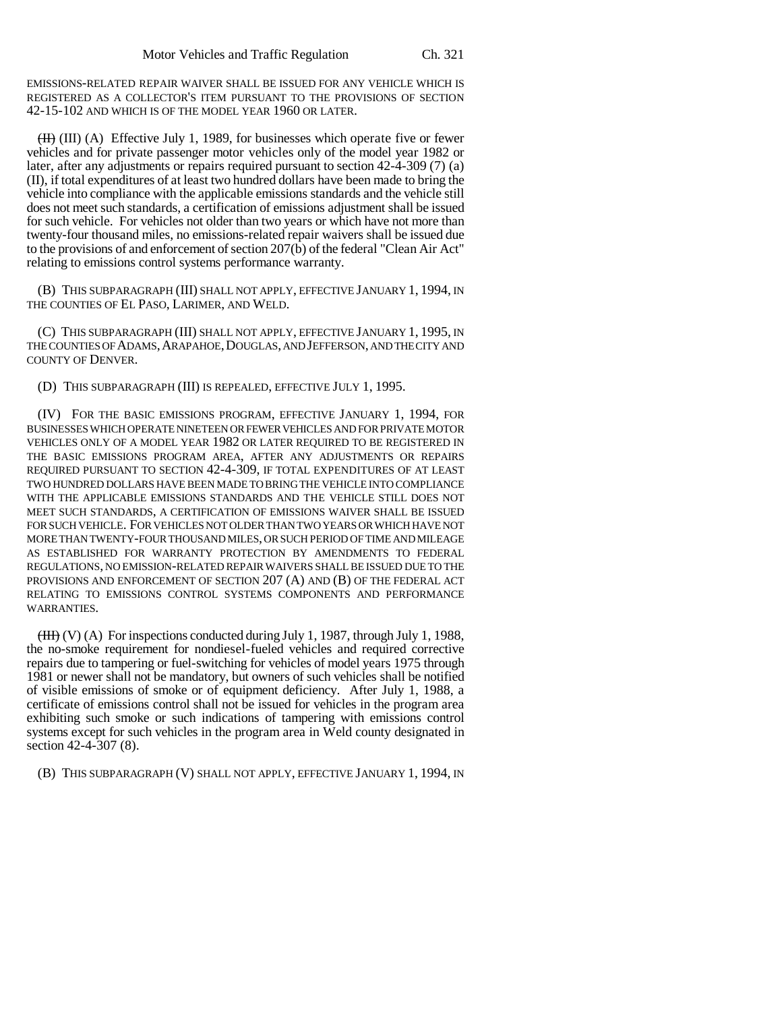EMISSIONS-RELATED REPAIR WAIVER SHALL BE ISSUED FOR ANY VEHICLE WHICH IS REGISTERED AS A COLLECTOR'S ITEM PURSUANT TO THE PROVISIONS OF SECTION 42-15-102 AND WHICH IS OF THE MODEL YEAR 1960 OR LATER.

 $(H)$  (III) (A) Effective July 1, 1989, for businesses which operate five or fewer vehicles and for private passenger motor vehicles only of the model year 1982 or later, after any adjustments or repairs required pursuant to section 42-4-309 (7) (a) (II), if total expenditures of at least two hundred dollars have been made to bring the vehicle into compliance with the applicable emissions standards and the vehicle still does not meet such standards, a certification of emissions adjustment shall be issued for such vehicle. For vehicles not older than two years or which have not more than twenty-four thousand miles, no emissions-related repair waivers shall be issued due to the provisions of and enforcement of section 207(b) of the federal "Clean Air Act" relating to emissions control systems performance warranty.

(B) THIS SUBPARAGRAPH (III) SHALL NOT APPLY, EFFECTIVE JANUARY 1, 1994, IN THE COUNTIES OF EL PASO, LARIMER, AND WELD.

(C) THIS SUBPARAGRAPH (III) SHALL NOT APPLY, EFFECTIVE JANUARY 1, 1995, IN THE COUNTIES OF ADAMS, ARAPAHOE, DOUGLAS, AND JEFFERSON, AND THE CITY AND COUNTY OF DENVER.

(D) THIS SUBPARAGRAPH (III) IS REPEALED, EFFECTIVE JULY 1, 1995.

(IV) FOR THE BASIC EMISSIONS PROGRAM, EFFECTIVE JANUARY 1, 1994, FOR BUSINESSES WHICH OPERATE NINETEEN OR FEWER VEHICLES AND FOR PRIVATE MOTOR VEHICLES ONLY OF A MODEL YEAR 1982 OR LATER REQUIRED TO BE REGISTERED IN THE BASIC EMISSIONS PROGRAM AREA, AFTER ANY ADJUSTMENTS OR REPAIRS REQUIRED PURSUANT TO SECTION 42-4-309, IF TOTAL EXPENDITURES OF AT LEAST TWO HUNDRED DOLLARS HAVE BEEN MADE TO BRING THE VEHICLE INTO COMPLIANCE WITH THE APPLICABLE EMISSIONS STANDARDS AND THE VEHICLE STILL DOES NOT MEET SUCH STANDARDS, A CERTIFICATION OF EMISSIONS WAIVER SHALL BE ISSUED FOR SUCH VEHICLE. FOR VEHICLES NOT OLDER THAN TWO YEARS OR WHICH HAVE NOT MORE THAN TWENTY-FOUR THOUSAND MILES, OR SUCH PERIOD OF TIME AND MILEAGE AS ESTABLISHED FOR WARRANTY PROTECTION BY AMENDMENTS TO FEDERAL REGULATIONS, NO EMISSION-RELATED REPAIR WAIVERS SHALL BE ISSUED DUE TO THE PROVISIONS AND ENFORCEMENT OF SECTION 207 (A) AND (B) OF THE FEDERAL ACT RELATING TO EMISSIONS CONTROL SYSTEMS COMPONENTS AND PERFORMANCE WARRANTIES.

 $(HH)$  (V) (A) For inspections conducted during July 1, 1987, through July 1, 1988, the no-smoke requirement for nondiesel-fueled vehicles and required corrective repairs due to tampering or fuel-switching for vehicles of model years 1975 through 1981 or newer shall not be mandatory, but owners of such vehicles shall be notified of visible emissions of smoke or of equipment deficiency. After July 1, 1988, a certificate of emissions control shall not be issued for vehicles in the program area exhibiting such smoke or such indications of tampering with emissions control systems except for such vehicles in the program area in Weld county designated in section 42-4-307 (8).

(B) THIS SUBPARAGRAPH (V) SHALL NOT APPLY, EFFECTIVE JANUARY 1, 1994, IN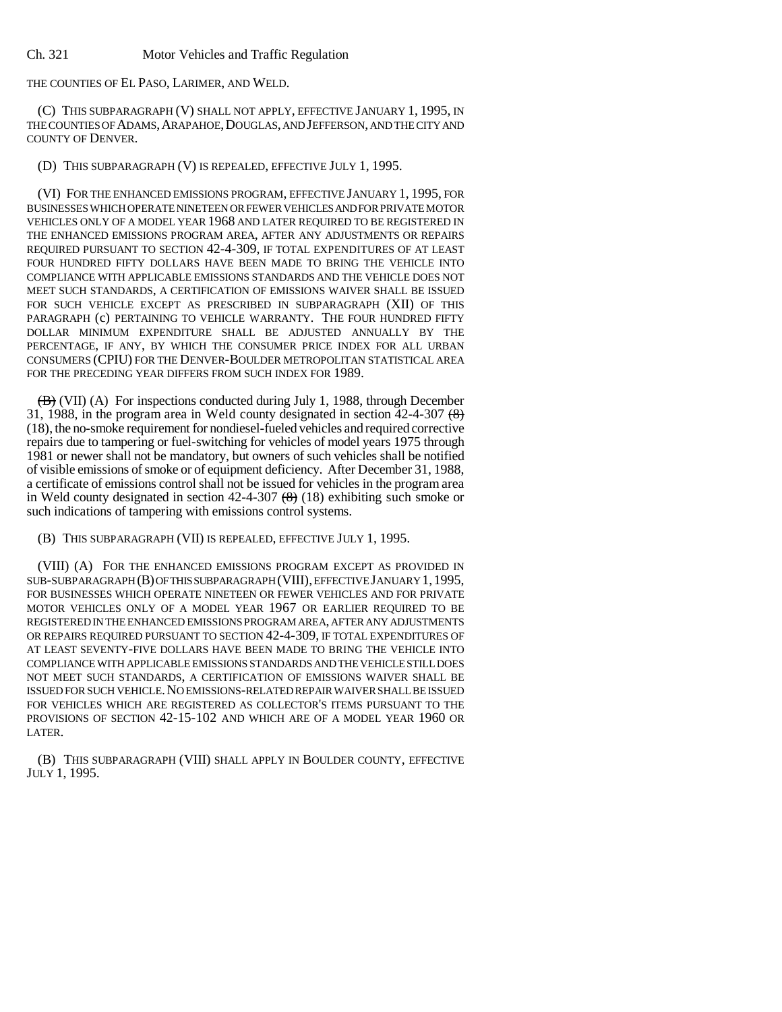THE COUNTIES OF EL PASO, LARIMER, AND WELD.

(C) THIS SUBPARAGRAPH (V) SHALL NOT APPLY, EFFECTIVE JANUARY 1, 1995, IN THE COUNTIES OF ADAMS, ARAPAHOE, DOUGLAS, AND JEFFERSON, AND THE CITY AND COUNTY OF DENVER.

(D) THIS SUBPARAGRAPH (V) IS REPEALED, EFFECTIVE JULY 1, 1995.

(VI) FOR THE ENHANCED EMISSIONS PROGRAM, EFFECTIVE JANUARY 1, 1995, FOR BUSINESSES WHICH OPERATE NINETEEN OR FEWER VEHICLES AND FOR PRIVATE MOTOR VEHICLES ONLY OF A MODEL YEAR 1968 AND LATER REQUIRED TO BE REGISTERED IN THE ENHANCED EMISSIONS PROGRAM AREA, AFTER ANY ADJUSTMENTS OR REPAIRS REQUIRED PURSUANT TO SECTION 42-4-309, IF TOTAL EXPENDITURES OF AT LEAST FOUR HUNDRED FIFTY DOLLARS HAVE BEEN MADE TO BRING THE VEHICLE INTO COMPLIANCE WITH APPLICABLE EMISSIONS STANDARDS AND THE VEHICLE DOES NOT MEET SUCH STANDARDS, A CERTIFICATION OF EMISSIONS WAIVER SHALL BE ISSUED FOR SUCH VEHICLE EXCEPT AS PRESCRIBED IN SUBPARAGRAPH (XII) OF THIS PARAGRAPH (c) PERTAINING TO VEHICLE WARRANTY. THE FOUR HUNDRED FIFTY DOLLAR MINIMUM EXPENDITURE SHALL BE ADJUSTED ANNUALLY BY THE PERCENTAGE, IF ANY, BY WHICH THE CONSUMER PRICE INDEX FOR ALL URBAN CONSUMERS (CPIU) FOR THE DENVER-BOULDER METROPOLITAN STATISTICAL AREA FOR THE PRECEDING YEAR DIFFERS FROM SUCH INDEX FOR 1989.

 $\overline{(B)}$  (VII) (A) For inspections conducted during July 1, 1988, through December 31, 1988, in the program area in Weld county designated in section  $42-4-307$  ( $\frac{8}{6}$ ) (18), the no-smoke requirement for nondiesel-fueled vehicles and required corrective repairs due to tampering or fuel-switching for vehicles of model years 1975 through 1981 or newer shall not be mandatory, but owners of such vehicles shall be notified of visible emissions of smoke or of equipment deficiency. After December 31, 1988, a certificate of emissions control shall not be issued for vehicles in the program area in Weld county designated in section  $42-4-307$   $(8)$  (18) exhibiting such smoke or such indications of tampering with emissions control systems.

(B) THIS SUBPARAGRAPH (VII) IS REPEALED, EFFECTIVE JULY 1, 1995.

(VIII) (A) FOR THE ENHANCED EMISSIONS PROGRAM EXCEPT AS PROVIDED IN SUB-SUBPARAGRAPH (B) OF THIS SUBPARAGRAPH (VIII), EFFECTIVE JANUARY 1,1995, FOR BUSINESSES WHICH OPERATE NINETEEN OR FEWER VEHICLES AND FOR PRIVATE MOTOR VEHICLES ONLY OF A MODEL YEAR 1967 OR EARLIER REQUIRED TO BE REGISTERED IN THE ENHANCED EMISSIONS PROGRAM AREA, AFTER ANY ADJUSTMENTS OR REPAIRS REQUIRED PURSUANT TO SECTION 42-4-309, IF TOTAL EXPENDITURES OF AT LEAST SEVENTY-FIVE DOLLARS HAVE BEEN MADE TO BRING THE VEHICLE INTO COMPLIANCE WITH APPLICABLE EMISSIONS STANDARDS AND THE VEHICLE STILL DOES NOT MEET SUCH STANDARDS, A CERTIFICATION OF EMISSIONS WAIVER SHALL BE ISSUED FOR SUCH VEHICLE.NO EMISSIONS-RELATED REPAIR WAIVER SHALL BE ISSUED FOR VEHICLES WHICH ARE REGISTERED AS COLLECTOR'S ITEMS PURSUANT TO THE PROVISIONS OF SECTION 42-15-102 AND WHICH ARE OF A MODEL YEAR 1960 OR LATER.

(B) THIS SUBPARAGRAPH (VIII) SHALL APPLY IN BOULDER COUNTY, EFFECTIVE JULY 1, 1995.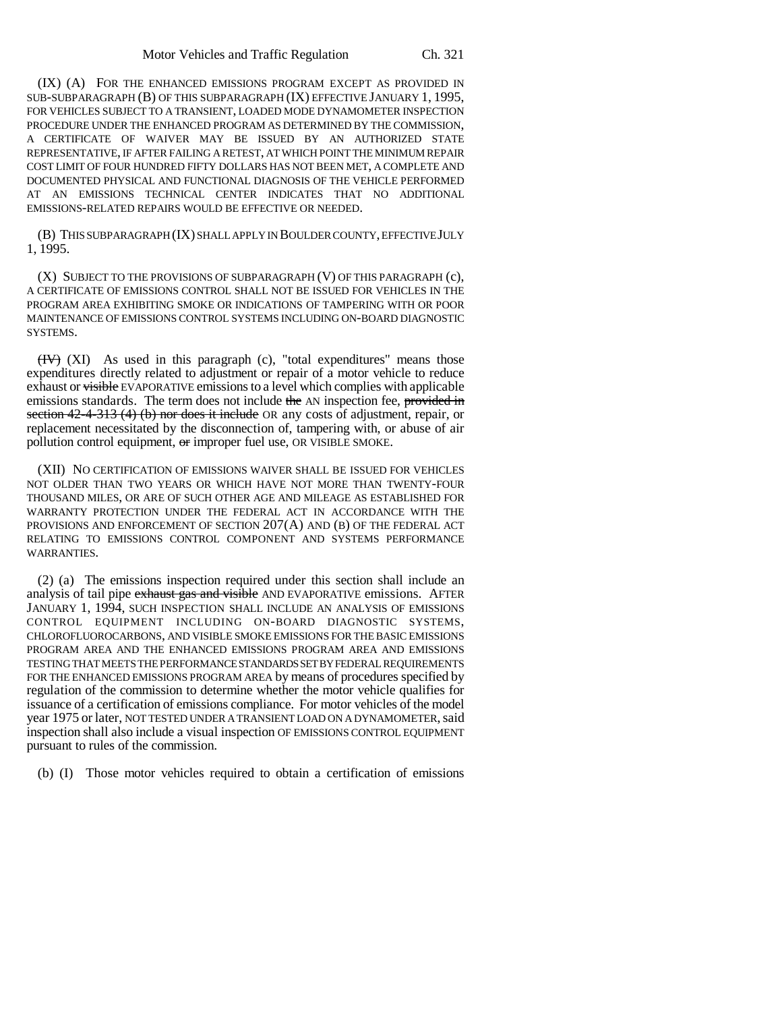(IX) (A) FOR THE ENHANCED EMISSIONS PROGRAM EXCEPT AS PROVIDED IN SUB-SUBPARAGRAPH (B) OF THIS SUBPARAGRAPH (IX) EFFECTIVE JANUARY 1, 1995, FOR VEHICLES SUBJECT TO A TRANSIENT, LOADED MODE DYNAMOMETER INSPECTION PROCEDURE UNDER THE ENHANCED PROGRAM AS DETERMINED BY THE COMMISSION, A CERTIFICATE OF WAIVER MAY BE ISSUED BY AN AUTHORIZED STATE REPRESENTATIVE, IF AFTER FAILING A RETEST, AT WHICH POINT THE MINIMUM REPAIR COST LIMIT OF FOUR HUNDRED FIFTY DOLLARS HAS NOT BEEN MET, A COMPLETE AND DOCUMENTED PHYSICAL AND FUNCTIONAL DIAGNOSIS OF THE VEHICLE PERFORMED AT AN EMISSIONS TECHNICAL CENTER INDICATES THAT NO ADDITIONAL EMISSIONS-RELATED REPAIRS WOULD BE EFFECTIVE OR NEEDED.

(B) THIS SUBPARAGRAPH (IX) SHALL APPLY IN BOULDER COUNTY, EFFECTIVE JULY 1, 1995.

(X) SUBJECT TO THE PROVISIONS OF SUBPARAGRAPH (V) OF THIS PARAGRAPH (c), A CERTIFICATE OF EMISSIONS CONTROL SHALL NOT BE ISSUED FOR VEHICLES IN THE PROGRAM AREA EXHIBITING SMOKE OR INDICATIONS OF TAMPERING WITH OR POOR MAINTENANCE OF EMISSIONS CONTROL SYSTEMS INCLUDING ON-BOARD DIAGNOSTIC SYSTEMS.

 $(HV)$  (XI) As used in this paragraph (c), "total expenditures" means those expenditures directly related to adjustment or repair of a motor vehicle to reduce exhaust or visible EVAPORATIVE emissions to a level which complies with applicable emissions standards. The term does not include the AN inspection fee, provided in section  $42-4-313$  (4) (b) nor does it include OR any costs of adjustment, repair, or replacement necessitated by the disconnection of, tampering with, or abuse of air pollution control equipment, or improper fuel use, OR VISIBLE SMOKE.

(XII) NO CERTIFICATION OF EMISSIONS WAIVER SHALL BE ISSUED FOR VEHICLES NOT OLDER THAN TWO YEARS OR WHICH HAVE NOT MORE THAN TWENTY-FOUR THOUSAND MILES, OR ARE OF SUCH OTHER AGE AND MILEAGE AS ESTABLISHED FOR WARRANTY PROTECTION UNDER THE FEDERAL ACT IN ACCORDANCE WITH THE PROVISIONS AND ENFORCEMENT OF SECTION 207(A) AND (B) OF THE FEDERAL ACT RELATING TO EMISSIONS CONTROL COMPONENT AND SYSTEMS PERFORMANCE WARRANTIES.

(2) (a) The emissions inspection required under this section shall include an analysis of tail pipe exhaust gas and visible AND EVAPORATIVE emissions. AFTER JANUARY 1, 1994, SUCH INSPECTION SHALL INCLUDE AN ANALYSIS OF EMISSIONS CONTROL EQUIPMENT INCLUDING ON-BOARD DIAGNOSTIC SYSTEMS, CHLOROFLUOROCARBONS, AND VISIBLE SMOKE EMISSIONS FOR THE BASIC EMISSIONS PROGRAM AREA AND THE ENHANCED EMISSIONS PROGRAM AREA AND EMISSIONS TESTING THAT MEETS THE PERFORMANCE STANDARDS SET BY FEDERAL REQUIREMENTS FOR THE ENHANCED EMISSIONS PROGRAM AREA by means of procedures specified by regulation of the commission to determine whether the motor vehicle qualifies for issuance of a certification of emissions compliance. For motor vehicles of the model year 1975 or later, NOT TESTED UNDER A TRANSIENT LOAD ON A DYNAMOMETER, said inspection shall also include a visual inspection OF EMISSIONS CONTROL EQUIPMENT pursuant to rules of the commission.

(b) (I) Those motor vehicles required to obtain a certification of emissions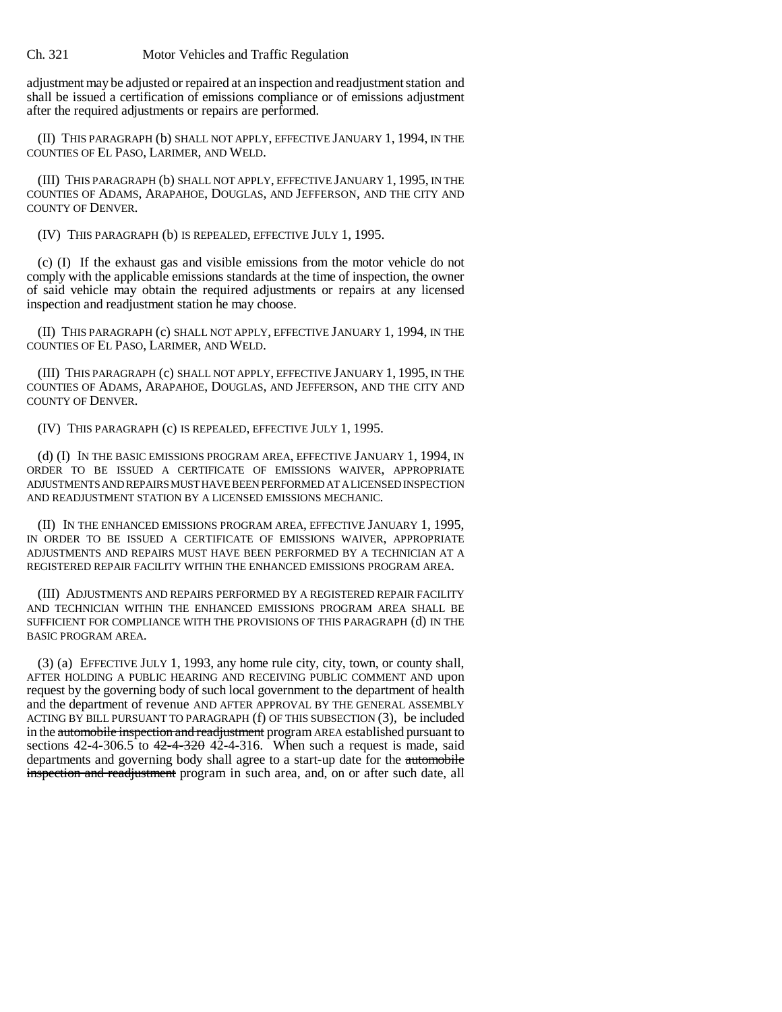adjustment may be adjusted or repaired at an inspection and readjustment station and shall be issued a certification of emissions compliance or of emissions adjustment after the required adjustments or repairs are performed.

(II) THIS PARAGRAPH (b) SHALL NOT APPLY, EFFECTIVE JANUARY 1, 1994, IN THE COUNTIES OF EL PASO, LARIMER, AND WELD.

(III) THIS PARAGRAPH (b) SHALL NOT APPLY, EFFECTIVE JANUARY 1, 1995, IN THE COUNTIES OF ADAMS, ARAPAHOE, DOUGLAS, AND JEFFERSON, AND THE CITY AND COUNTY OF DENVER.

(IV) THIS PARAGRAPH (b) IS REPEALED, EFFECTIVE JULY 1, 1995.

(c) (I) If the exhaust gas and visible emissions from the motor vehicle do not comply with the applicable emissions standards at the time of inspection, the owner of said vehicle may obtain the required adjustments or repairs at any licensed inspection and readjustment station he may choose.

(II) THIS PARAGRAPH (c) SHALL NOT APPLY, EFFECTIVE JANUARY 1, 1994, IN THE COUNTIES OF EL PASO, LARIMER, AND WELD.

(III) THIS PARAGRAPH (c) SHALL NOT APPLY, EFFECTIVE JANUARY 1, 1995, IN THE COUNTIES OF ADAMS, ARAPAHOE, DOUGLAS, AND JEFFERSON, AND THE CITY AND COUNTY OF DENVER.

(IV) THIS PARAGRAPH (c) IS REPEALED, EFFECTIVE JULY 1, 1995.

(d) (I) IN THE BASIC EMISSIONS PROGRAM AREA, EFFECTIVE JANUARY 1, 1994, IN ORDER TO BE ISSUED A CERTIFICATE OF EMISSIONS WAIVER, APPROPRIATE ADJUSTMENTS AND REPAIRS MUST HAVE BEEN PERFORMED AT A LICENSED INSPECTION AND READJUSTMENT STATION BY A LICENSED EMISSIONS MECHANIC.

(II) IN THE ENHANCED EMISSIONS PROGRAM AREA, EFFECTIVE JANUARY 1, 1995, IN ORDER TO BE ISSUED A CERTIFICATE OF EMISSIONS WAIVER, APPROPRIATE ADJUSTMENTS AND REPAIRS MUST HAVE BEEN PERFORMED BY A TECHNICIAN AT A REGISTERED REPAIR FACILITY WITHIN THE ENHANCED EMISSIONS PROGRAM AREA.

(III) ADJUSTMENTS AND REPAIRS PERFORMED BY A REGISTERED REPAIR FACILITY AND TECHNICIAN WITHIN THE ENHANCED EMISSIONS PROGRAM AREA SHALL BE SUFFICIENT FOR COMPLIANCE WITH THE PROVISIONS OF THIS PARAGRAPH (d) IN THE BASIC PROGRAM AREA.

(3) (a) EFFECTIVE JULY 1, 1993, any home rule city, city, town, or county shall, AFTER HOLDING A PUBLIC HEARING AND RECEIVING PUBLIC COMMENT AND upon request by the governing body of such local government to the department of health and the department of revenue AND AFTER APPROVAL BY THE GENERAL ASSEMBLY ACTING BY BILL PURSUANT TO PARAGRAPH (f) OF THIS SUBSECTION (3), be included in the automobile inspection and readjustment program AREA established pursuant to sections  $42-4-306.5$  to  $42-4-320$   $42-4-316$ . When such a request is made, said departments and governing body shall agree to a start-up date for the automobile inspection and readjustment program in such area, and, on or after such date, all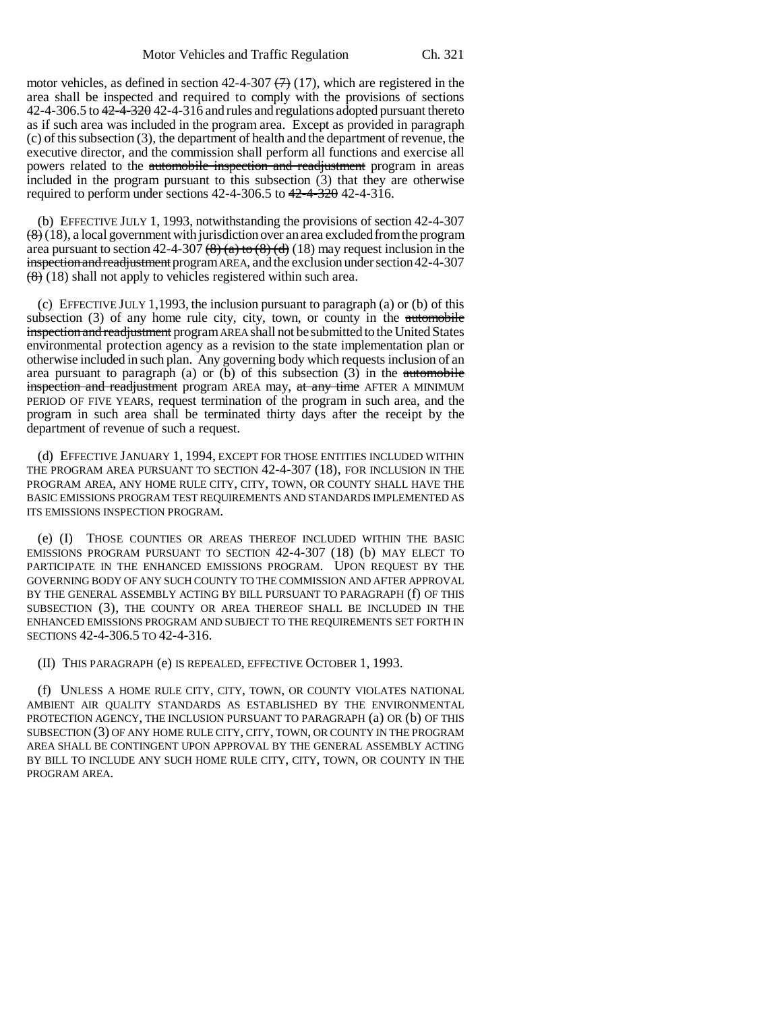motor vehicles, as defined in section 42-4-307  $(7)$  (17), which are registered in the area shall be inspected and required to comply with the provisions of sections 42-4-306.5 to 42-4-320 42-4-316 and rules and regulations adopted pursuant thereto as if such area was included in the program area. Except as provided in paragraph (c) of this subsection (3), the department of health and the department of revenue, the executive director, and the commission shall perform all functions and exercise all powers related to the automobile inspection and readjustment program in areas included in the program pursuant to this subsection (3) that they are otherwise required to perform under sections  $42-4-306.5$  to  $42-4-320$   $42-4-316$ .

(b) EFFECTIVE JULY 1, 1993, notwithstanding the provisions of section 42-4-307  $\left(\frac{8}{8}\right)$  (18), a local government with jurisdiction over an area excluded from the program area pursuant to section 42-4-307  $(8)$  (a) to  $(8)$  (d)  $(18)$  may request inclusion in the inspection and readjustment program AREA, and the exclusion under section 42-4-307  $\left(\frac{8}{8}\right)$  (18) shall not apply to vehicles registered within such area.

(c) EFFECTIVE JULY 1,1993, the inclusion pursuant to paragraph (a) or (b) of this subsection  $(3)$  of any home rule city, city, town, or county in the automobile inspection and readjustment program AREA shall not be submitted to the United States environmental protection agency as a revision to the state implementation plan or otherwise included in such plan. Any governing body which requests inclusion of an area pursuant to paragraph (a) or (b) of this subsection  $(3)$  in the automobile inspection and readjustment program AREA may, at any time AFTER A MINIMUM PERIOD OF FIVE YEARS, request termination of the program in such area, and the program in such area shall be terminated thirty days after the receipt by the department of revenue of such a request.

(d) EFFECTIVE JANUARY 1, 1994, EXCEPT FOR THOSE ENTITIES INCLUDED WITHIN THE PROGRAM AREA PURSUANT TO SECTION 42-4-307 (18), FOR INCLUSION IN THE PROGRAM AREA, ANY HOME RULE CITY, CITY, TOWN, OR COUNTY SHALL HAVE THE BASIC EMISSIONS PROGRAM TEST REQUIREMENTS AND STANDARDS IMPLEMENTED AS ITS EMISSIONS INSPECTION PROGRAM.

(e) (I) THOSE COUNTIES OR AREAS THEREOF INCLUDED WITHIN THE BASIC EMISSIONS PROGRAM PURSUANT TO SECTION 42-4-307 (18) (b) MAY ELECT TO PARTICIPATE IN THE ENHANCED EMISSIONS PROGRAM. UPON REQUEST BY THE GOVERNING BODY OF ANY SUCH COUNTY TO THE COMMISSION AND AFTER APPROVAL BY THE GENERAL ASSEMBLY ACTING BY BILL PURSUANT TO PARAGRAPH (f) OF THIS SUBSECTION (3), THE COUNTY OR AREA THEREOF SHALL BE INCLUDED IN THE ENHANCED EMISSIONS PROGRAM AND SUBJECT TO THE REQUIREMENTS SET FORTH IN SECTIONS 42-4-306.5 TO 42-4-316.

(II) THIS PARAGRAPH (e) IS REPEALED, EFFECTIVE OCTOBER 1, 1993.

(f) UNLESS A HOME RULE CITY, CITY, TOWN, OR COUNTY VIOLATES NATIONAL AMBIENT AIR QUALITY STANDARDS AS ESTABLISHED BY THE ENVIRONMENTAL PROTECTION AGENCY, THE INCLUSION PURSUANT TO PARAGRAPH (a) OR (b) OF THIS SUBSECTION (3) OF ANY HOME RULE CITY, CITY, TOWN, OR COUNTY IN THE PROGRAM AREA SHALL BE CONTINGENT UPON APPROVAL BY THE GENERAL ASSEMBLY ACTING BY BILL TO INCLUDE ANY SUCH HOME RULE CITY, CITY, TOWN, OR COUNTY IN THE PROGRAM AREA.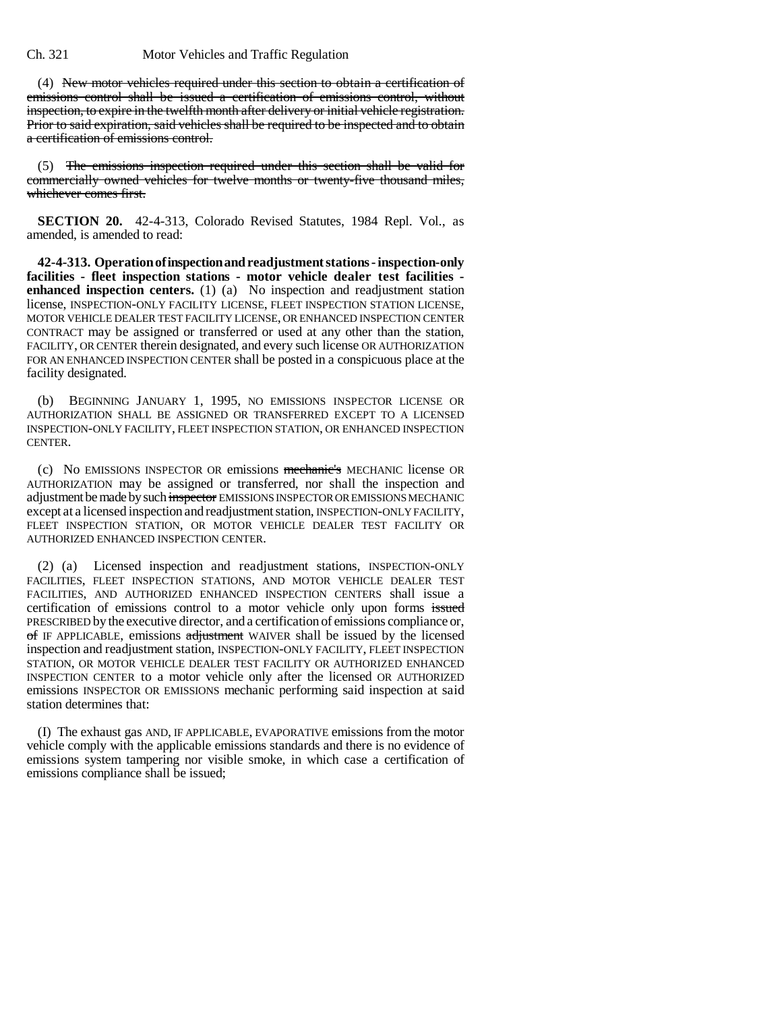(4) New motor vehicles required under this section to obtain a certification of emissions control shall be issued a certification of emissions control, without inspection, to expire in the twelfth month after delivery or initial vehicle registration. Prior to said expiration, said vehicles shall be required to be inspected and to obtain a certification of emissions control.

(5) The emissions inspection required under this section shall be valid for commercially owned vehicles for twelve months or twenty-five thousand miles, whichever comes first.

**SECTION 20.** 42-4-313, Colorado Revised Statutes, 1984 Repl. Vol., as amended, is amended to read:

**42-4-313. Operation of inspection and readjustment stations - inspection-only facilities - fleet inspection stations - motor vehicle dealer test facilities enhanced inspection centers.** (1) (a) No inspection and readjustment station license, INSPECTION-ONLY FACILITY LICENSE, FLEET INSPECTION STATION LICENSE, MOTOR VEHICLE DEALER TEST FACILITY LICENSE, OR ENHANCED INSPECTION CENTER CONTRACT may be assigned or transferred or used at any other than the station, FACILITY, OR CENTER therein designated, and every such license OR AUTHORIZATION FOR AN ENHANCED INSPECTION CENTER shall be posted in a conspicuous place at the facility designated.

(b) BEGINNING JANUARY 1, 1995, NO EMISSIONS INSPECTOR LICENSE OR AUTHORIZATION SHALL BE ASSIGNED OR TRANSFERRED EXCEPT TO A LICENSED INSPECTION-ONLY FACILITY, FLEET INSPECTION STATION, OR ENHANCED INSPECTION CENTER.

(c) No EMISSIONS INSPECTOR OR emissions mechanic's MECHANIC license OR AUTHORIZATION may be assigned or transferred, nor shall the inspection and adjustment be made by such inspector EMISSIONS INSPECTOR OR EMISSIONS MECHANIC except at a licensed inspection and readjustment station, INSPECTION-ONLY FACILITY, FLEET INSPECTION STATION, OR MOTOR VEHICLE DEALER TEST FACILITY OR AUTHORIZED ENHANCED INSPECTION CENTER.

(2) (a) Licensed inspection and readjustment stations, INSPECTION-ONLY FACILITIES, FLEET INSPECTION STATIONS, AND MOTOR VEHICLE DEALER TEST FACILITIES, AND AUTHORIZED ENHANCED INSPECTION CENTERS shall issue a certification of emissions control to a motor vehicle only upon forms issued PRESCRIBED by the executive director, and a certification of emissions compliance or, of IF APPLICABLE, emissions adjustment WAIVER shall be issued by the licensed inspection and readjustment station, INSPECTION-ONLY FACILITY, FLEET INSPECTION STATION, OR MOTOR VEHICLE DEALER TEST FACILITY OR AUTHORIZED ENHANCED INSPECTION CENTER to a motor vehicle only after the licensed OR AUTHORIZED emissions INSPECTOR OR EMISSIONS mechanic performing said inspection at said station determines that:

(I) The exhaust gas AND, IF APPLICABLE, EVAPORATIVE emissions from the motor vehicle comply with the applicable emissions standards and there is no evidence of emissions system tampering nor visible smoke, in which case a certification of emissions compliance shall be issued;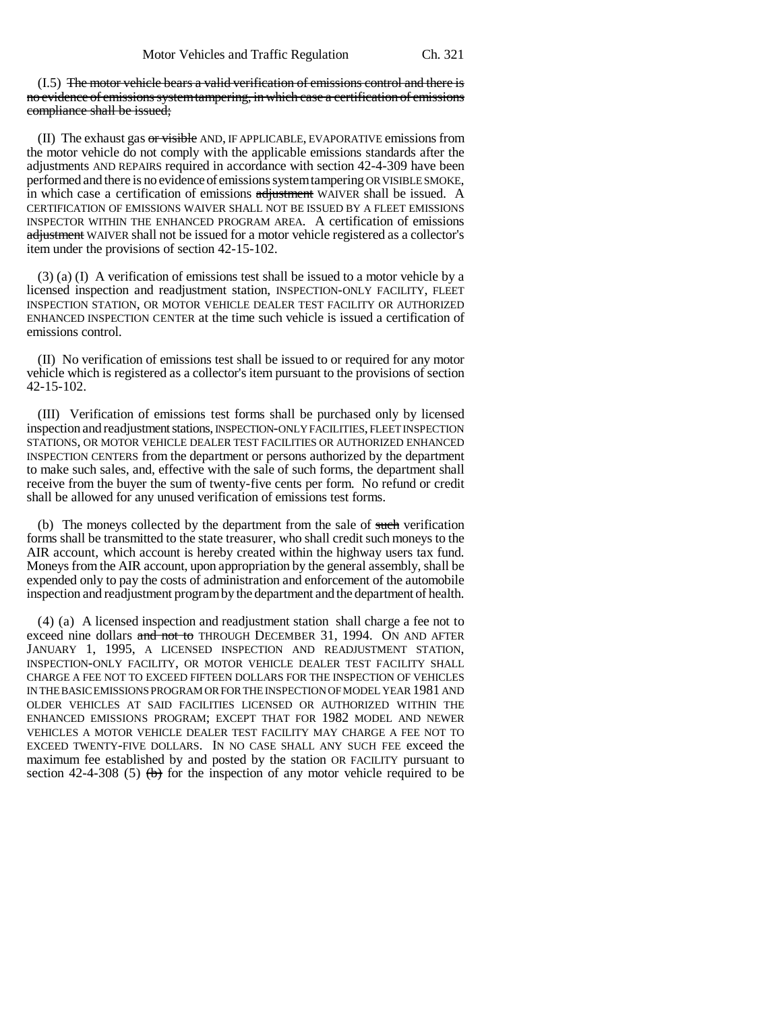(I.5) The motor vehicle bears a valid verification of emissions control and there is no evidence of emissions system tampering, in which case a certification of emissions compliance shall be issued;

(II) The exhaust gas or visible AND, IF APPLICABLE, EVAPORATIVE emissions from the motor vehicle do not comply with the applicable emissions standards after the adjustments AND REPAIRS required in accordance with section 42-4-309 have been performed and there is no evidence of emissions system tampering OR VISIBLE SMOKE, in which case a certification of emissions adjustment WAIVER shall be issued. A CERTIFICATION OF EMISSIONS WAIVER SHALL NOT BE ISSUED BY A FLEET EMISSIONS INSPECTOR WITHIN THE ENHANCED PROGRAM AREA. A certification of emissions adjustment WAIVER shall not be issued for a motor vehicle registered as a collector's item under the provisions of section 42-15-102.

(3) (a) (I) A verification of emissions test shall be issued to a motor vehicle by a licensed inspection and readjustment station, INSPECTION-ONLY FACILITY, FLEET INSPECTION STATION, OR MOTOR VEHICLE DEALER TEST FACILITY OR AUTHORIZED ENHANCED INSPECTION CENTER at the time such vehicle is issued a certification of emissions control.

(II) No verification of emissions test shall be issued to or required for any motor vehicle which is registered as a collector's item pursuant to the provisions of section 42-15-102.

(III) Verification of emissions test forms shall be purchased only by licensed inspection and readjustment stations, INSPECTION-ONLY FACILITIES, FLEET INSPECTION STATIONS, OR MOTOR VEHICLE DEALER TEST FACILITIES OR AUTHORIZED ENHANCED INSPECTION CENTERS from the department or persons authorized by the department to make such sales, and, effective with the sale of such forms, the department shall receive from the buyer the sum of twenty-five cents per form. No refund or credit shall be allowed for any unused verification of emissions test forms.

(b) The moneys collected by the department from the sale of such verification forms shall be transmitted to the state treasurer, who shall credit such moneys to the AIR account, which account is hereby created within the highway users tax fund. Moneys from the AIR account, upon appropriation by the general assembly, shall be expended only to pay the costs of administration and enforcement of the automobile inspection and readjustment program by the department and the department of health.

(4) (a) A licensed inspection and readjustment station shall charge a fee not to exceed nine dollars and not to THROUGH DECEMBER 31, 1994. ON AND AFTER JANUARY 1, 1995, A LICENSED INSPECTION AND READJUSTMENT STATION, INSPECTION-ONLY FACILITY, OR MOTOR VEHICLE DEALER TEST FACILITY SHALL CHARGE A FEE NOT TO EXCEED FIFTEEN DOLLARS FOR THE INSPECTION OF VEHICLES IN THE BASIC EMISSIONS PROGRAM OR FOR THE INSPECTION OF MODEL YEAR 1981 AND OLDER VEHICLES AT SAID FACILITIES LICENSED OR AUTHORIZED WITHIN THE ENHANCED EMISSIONS PROGRAM; EXCEPT THAT FOR 1982 MODEL AND NEWER VEHICLES A MOTOR VEHICLE DEALER TEST FACILITY MAY CHARGE A FEE NOT TO EXCEED TWENTY-FIVE DOLLARS. IN NO CASE SHALL ANY SUCH FEE exceed the maximum fee established by and posted by the station OR FACILITY pursuant to section 42-4-308 (5)  $(b)$  for the inspection of any motor vehicle required to be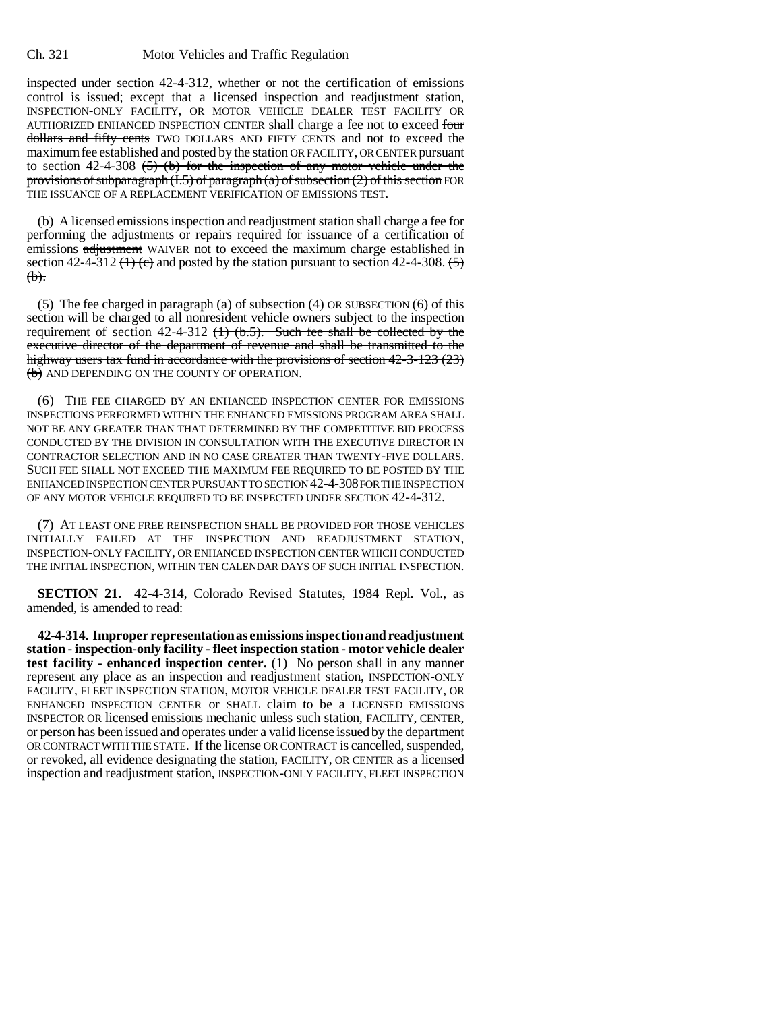inspected under section 42-4-312, whether or not the certification of emissions control is issued; except that a licensed inspection and readjustment station, INSPECTION-ONLY FACILITY, OR MOTOR VEHICLE DEALER TEST FACILITY OR AUTHORIZED ENHANCED INSPECTION CENTER shall charge a fee not to exceed four dollars and fifty cents TWO DOLLARS AND FIFTY CENTS and not to exceed the maximum fee established and posted by the station OR FACILITY, OR CENTER pursuant to section 42-4-308  $(5)$  (b) for the inspection of any motor vehicle under the provisions of subparagraph  $(1.5)$  of paragraph  $(a)$  of subsection  $(2)$  of this section FOR THE ISSUANCE OF A REPLACEMENT VERIFICATION OF EMISSIONS TEST.

(b) A licensed emissions inspection and readjustment station shall charge a fee for performing the adjustments or repairs required for issuance of a certification of emissions adjustment WAIVER not to exceed the maximum charge established in section 42-4-312 ( $\leftrightarrow$ ) and posted by the station pursuant to section 42-4-308.  $\leftrightarrow$  $(b).$ 

(5) The fee charged in paragraph (a) of subsection (4) OR SUBSECTION (6) of this section will be charged to all nonresident vehicle owners subject to the inspection requirement of section 42-4-312  $(1)$   $(b.5)$ . Such fee shall be collected by the executive director of the department of revenue and shall be transmitted to the highway users tax fund in accordance with the provisions of section 42-3-123 (23) (b) AND DEPENDING ON THE COUNTY OF OPERATION.

(6) THE FEE CHARGED BY AN ENHANCED INSPECTION CENTER FOR EMISSIONS INSPECTIONS PERFORMED WITHIN THE ENHANCED EMISSIONS PROGRAM AREA SHALL NOT BE ANY GREATER THAN THAT DETERMINED BY THE COMPETITIVE BID PROCESS CONDUCTED BY THE DIVISION IN CONSULTATION WITH THE EXECUTIVE DIRECTOR IN CONTRACTOR SELECTION AND IN NO CASE GREATER THAN TWENTY-FIVE DOLLARS. SUCH FEE SHALL NOT EXCEED THE MAXIMUM FEE REQUIRED TO BE POSTED BY THE ENHANCED INSPECTION CENTER PURSUANT TO SECTION 42-4-308 FOR THE INSPECTION OF ANY MOTOR VEHICLE REQUIRED TO BE INSPECTED UNDER SECTION 42-4-312.

(7) AT LEAST ONE FREE REINSPECTION SHALL BE PROVIDED FOR THOSE VEHICLES INITIALLY FAILED AT THE INSPECTION AND READJUSTMENT STATION, INSPECTION-ONLY FACILITY, OR ENHANCED INSPECTION CENTER WHICH CONDUCTED THE INITIAL INSPECTION, WITHIN TEN CALENDAR DAYS OF SUCH INITIAL INSPECTION.

**SECTION 21.** 42-4-314, Colorado Revised Statutes, 1984 Repl. Vol., as amended, is amended to read:

**42-4-314. Improper representation as emissions inspection and readjustment station - inspection-only facility - fleet inspection station - motor vehicle dealer test facility - enhanced inspection center.** (1) No person shall in any manner represent any place as an inspection and readjustment station, INSPECTION-ONLY FACILITY, FLEET INSPECTION STATION, MOTOR VEHICLE DEALER TEST FACILITY, OR ENHANCED INSPECTION CENTER or SHALL claim to be a LICENSED EMISSIONS INSPECTOR OR licensed emissions mechanic unless such station, FACILITY, CENTER, or person has been issued and operates under a valid license issued by the department OR CONTRACT WITH THE STATE. If the license OR CONTRACT is cancelled, suspended, or revoked, all evidence designating the station, FACILITY, OR CENTER as a licensed inspection and readjustment station, INSPECTION-ONLY FACILITY, FLEET INSPECTION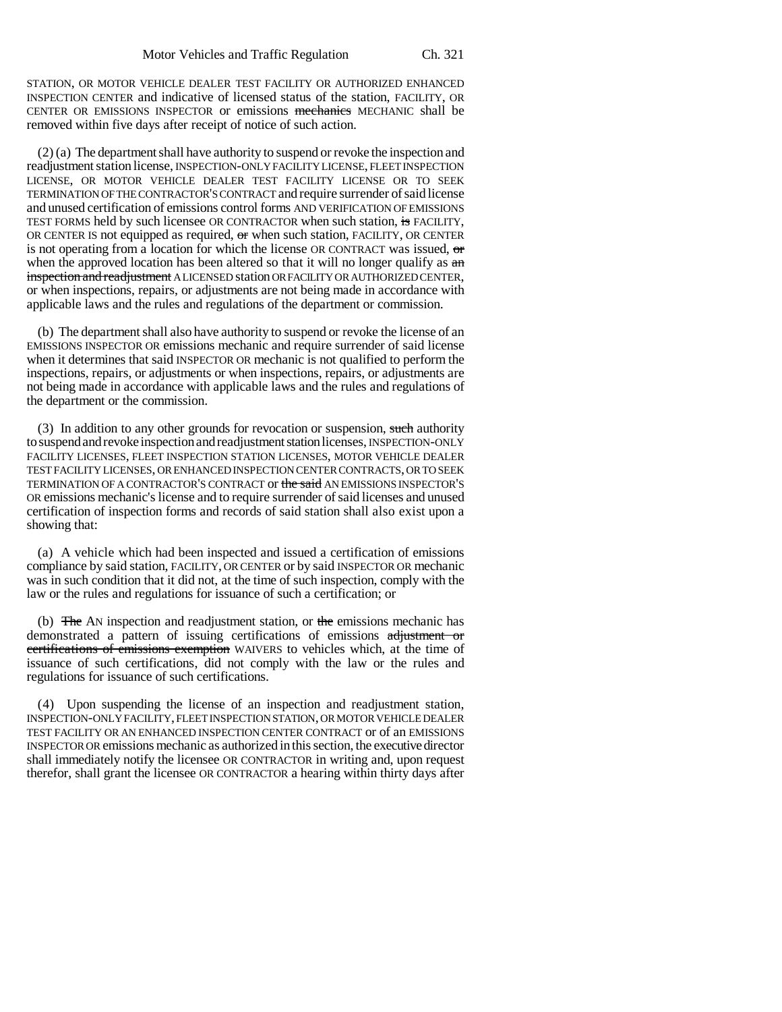STATION, OR MOTOR VEHICLE DEALER TEST FACILITY OR AUTHORIZED ENHANCED INSPECTION CENTER and indicative of licensed status of the station, FACILITY, OR CENTER OR EMISSIONS INSPECTOR or emissions mechanics MECHANIC shall be removed within five days after receipt of notice of such action.

(2) (a) The department shall have authority to suspend or revoke the inspection and readjustment station license, INSPECTION-ONLY FACILITY LICENSE, FLEET INSPECTION LICENSE, OR MOTOR VEHICLE DEALER TEST FACILITY LICENSE OR TO SEEK TERMINATION OF THE CONTRACTOR'S CONTRACT and require surrender of said license and unused certification of emissions control forms AND VERIFICATION OF EMISSIONS TEST FORMS held by such licensee OR CONTRACTOR when such station, is FACILITY, OR CENTER IS not equipped as required, or when such station, FACILITY, OR CENTER is not operating from a location for which the license OR CONTRACT was issued,  $\sigma$ when the approved location has been altered so that it will no longer qualify as  $a_n$ inspection and readjustment A LICENSED station OR FACILITY OR AUTHORIZED CENTER, or when inspections, repairs, or adjustments are not being made in accordance with applicable laws and the rules and regulations of the department or commission.

(b) The department shall also have authority to suspend or revoke the license of an EMISSIONS INSPECTOR OR emissions mechanic and require surrender of said license when it determines that said INSPECTOR OR mechanic is not qualified to perform the inspections, repairs, or adjustments or when inspections, repairs, or adjustments are not being made in accordance with applicable laws and the rules and regulations of the department or the commission.

(3) In addition to any other grounds for revocation or suspension, such authority to suspend and revoke inspection and readjustment station licenses, INSPECTION-ONLY FACILITY LICENSES, FLEET INSPECTION STATION LICENSES, MOTOR VEHICLE DEALER TEST FACILITY LICENSES, OR ENHANCED INSPECTION CENTER CONTRACTS, OR TO SEEK TERMINATION OF A CONTRACTOR'S CONTRACT or the said AN EMISSIONS INSPECTOR'S OR emissions mechanic's license and to require surrender of said licenses and unused certification of inspection forms and records of said station shall also exist upon a showing that:

(a) A vehicle which had been inspected and issued a certification of emissions compliance by said station, FACILITY, OR CENTER or by said INSPECTOR OR mechanic was in such condition that it did not, at the time of such inspection, comply with the law or the rules and regulations for issuance of such a certification; or

(b) The AN inspection and readjustment station, or the emissions mechanic has demonstrated a pattern of issuing certifications of emissions adjustment or certifications of emissions exemption WAIVERS to vehicles which, at the time of issuance of such certifications, did not comply with the law or the rules and regulations for issuance of such certifications.

(4) Upon suspending the license of an inspection and readjustment station, INSPECTION-ONLY FACILITY, FLEET INSPECTION STATION, OR MOTOR VEHICLE DEALER TEST FACILITY OR AN ENHANCED INSPECTION CENTER CONTRACT or of an EMISSIONS INSPECTOR OR emissions mechanic as authorized in this section, the executive director shall immediately notify the licensee OR CONTRACTOR in writing and, upon request therefor, shall grant the licensee OR CONTRACTOR a hearing within thirty days after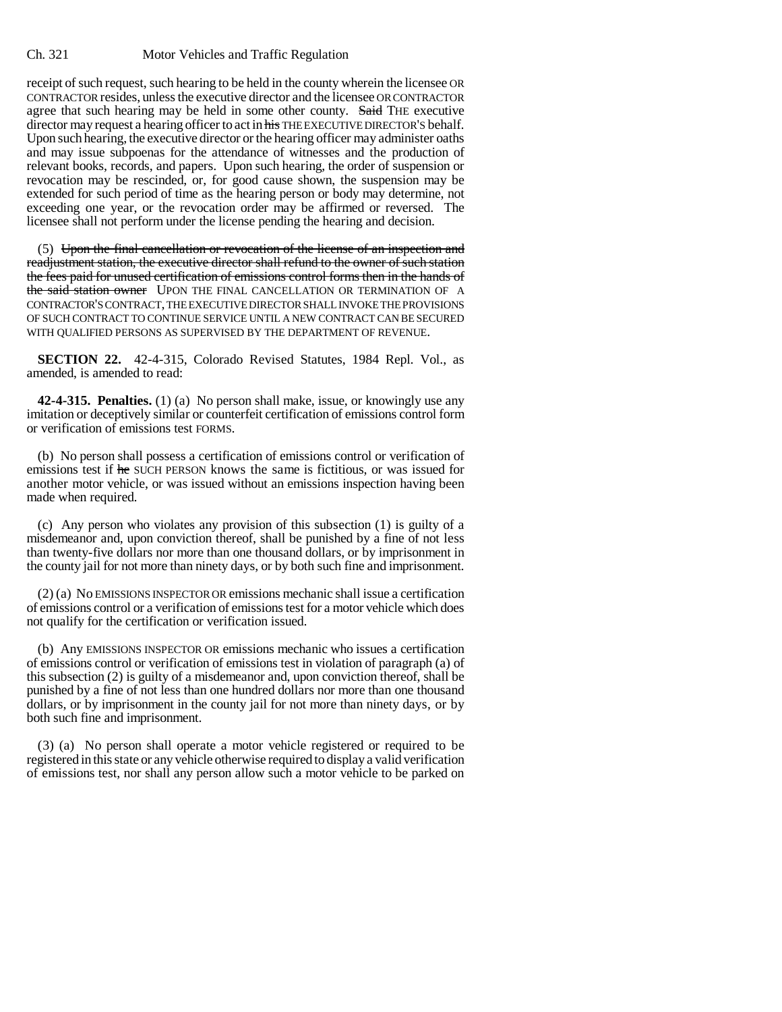receipt of such request, such hearing to be held in the county wherein the licensee OR CONTRACTOR resides, unless the executive director and the licensee OR CONTRACTOR agree that such hearing may be held in some other county. Said THE executive director may request a hearing officer to act in his THE EXECUTIVE DIRECTOR'S behalf. Upon such hearing, the executive director or the hearing officer may administer oaths and may issue subpoenas for the attendance of witnesses and the production of relevant books, records, and papers. Upon such hearing, the order of suspension or revocation may be rescinded, or, for good cause shown, the suspension may be extended for such period of time as the hearing person or body may determine, not exceeding one year, or the revocation order may be affirmed or reversed. The licensee shall not perform under the license pending the hearing and decision.

(5) Upon the final cancellation or revocation of the license of an inspection and readjustment station, the executive director shall refund to the owner of such station the fees paid for unused certification of emissions control forms then in the hands of the said station owner UPON THE FINAL CANCELLATION OR TERMINATION OF A CONTRACTOR'S CONTRACT, THE EXECUTIVE DIRECTOR SHALL INVOKE THE PROVISIONS OF SUCH CONTRACT TO CONTINUE SERVICE UNTIL A NEW CONTRACT CAN BE SECURED WITH QUALIFIED PERSONS AS SUPERVISED BY THE DEPARTMENT OF REVENUE.

**SECTION 22.** 42-4-315, Colorado Revised Statutes, 1984 Repl. Vol., as amended, is amended to read:

**42-4-315. Penalties.** (1) (a) No person shall make, issue, or knowingly use any imitation or deceptively similar or counterfeit certification of emissions control form or verification of emissions test FORMS.

(b) No person shall possess a certification of emissions control or verification of emissions test if he SUCH PERSON knows the same is fictitious, or was issued for another motor vehicle, or was issued without an emissions inspection having been made when required.

(c) Any person who violates any provision of this subsection (1) is guilty of a misdemeanor and, upon conviction thereof, shall be punished by a fine of not less than twenty-five dollars nor more than one thousand dollars, or by imprisonment in the county jail for not more than ninety days, or by both such fine and imprisonment.

(2) (a) No EMISSIONS INSPECTOR OR emissions mechanic shall issue a certification of emissions control or a verification of emissions test for a motor vehicle which does not qualify for the certification or verification issued.

(b) Any EMISSIONS INSPECTOR OR emissions mechanic who issues a certification of emissions control or verification of emissions test in violation of paragraph (a) of this subsection (2) is guilty of a misdemeanor and, upon conviction thereof, shall be punished by a fine of not less than one hundred dollars nor more than one thousand dollars, or by imprisonment in the county jail for not more than ninety days, or by both such fine and imprisonment.

(3) (a) No person shall operate a motor vehicle registered or required to be registered in this state or any vehicle otherwise required to display a valid verification of emissions test, nor shall any person allow such a motor vehicle to be parked on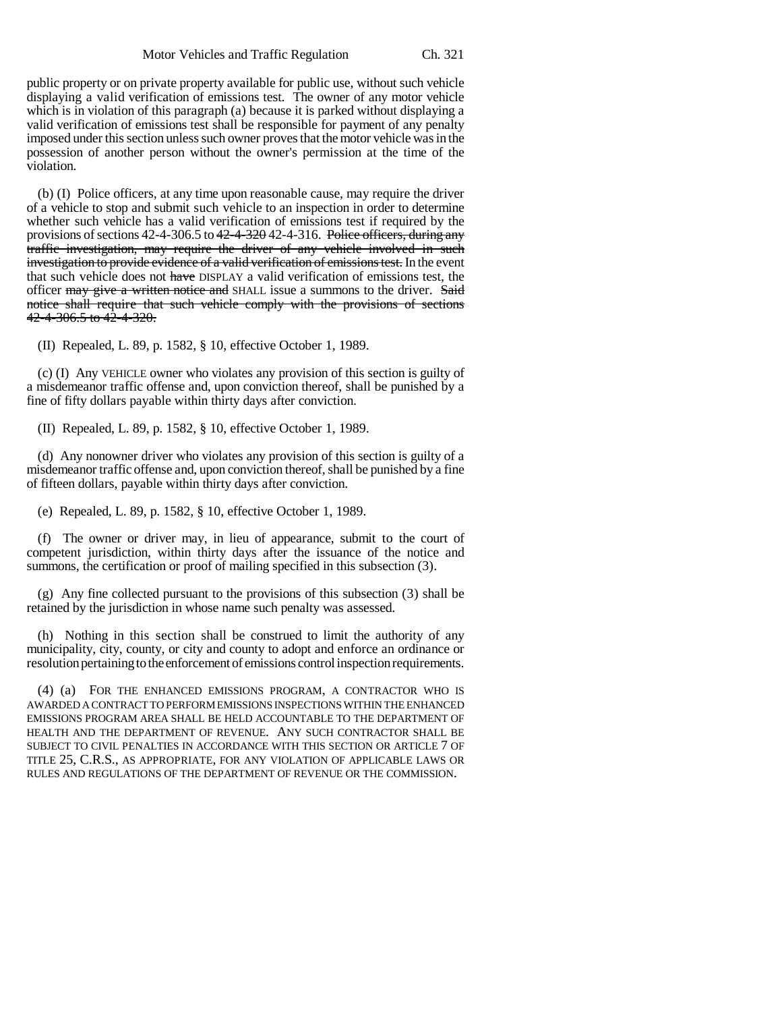public property or on private property available for public use, without such vehicle displaying a valid verification of emissions test. The owner of any motor vehicle which is in violation of this paragraph (a) because it is parked without displaying a valid verification of emissions test shall be responsible for payment of any penalty imposed under this section unless such owner proves that the motor vehicle was in the possession of another person without the owner's permission at the time of the violation.

(b) (I) Police officers, at any time upon reasonable cause, may require the driver of a vehicle to stop and submit such vehicle to an inspection in order to determine whether such vehicle has a valid verification of emissions test if required by the provisions of sections 42-4-306.5 to 42-4-320 42-4-316. Police officers, during any traffic investigation, may require the driver of any vehicle involved in such investigation to provide evidence of a valid verification of emissions test. In the event that such vehicle does not have DISPLAY a valid verification of emissions test, the officer may give a written notice and SHALL issue a summons to the driver. Said notice shall require that such vehicle comply with the provisions of sections  $42 - 4 - 306.5$  to  $42 - 4 - 320$ .

(II) Repealed, L. 89, p. 1582, § 10, effective October 1, 1989.

(c) (I) Any VEHICLE owner who violates any provision of this section is guilty of a misdemeanor traffic offense and, upon conviction thereof, shall be punished by a fine of fifty dollars payable within thirty days after conviction.

(II) Repealed, L. 89, p. 1582, § 10, effective October 1, 1989.

(d) Any nonowner driver who violates any provision of this section is guilty of a misdemeanor traffic offense and, upon conviction thereof, shall be punished by a fine of fifteen dollars, payable within thirty days after conviction.

(e) Repealed, L. 89, p. 1582, § 10, effective October 1, 1989.

(f) The owner or driver may, in lieu of appearance, submit to the court of competent jurisdiction, within thirty days after the issuance of the notice and summons, the certification or proof of mailing specified in this subsection (3).

(g) Any fine collected pursuant to the provisions of this subsection (3) shall be retained by the jurisdiction in whose name such penalty was assessed.

(h) Nothing in this section shall be construed to limit the authority of any municipality, city, county, or city and county to adopt and enforce an ordinance or resolution pertaining to the enforcement of emissions control inspection requirements.

(4) (a) FOR THE ENHANCED EMISSIONS PROGRAM, A CONTRACTOR WHO IS AWARDED A CONTRACT TO PERFORM EMISSIONS INSPECTIONS WITHIN THE ENHANCED EMISSIONS PROGRAM AREA SHALL BE HELD ACCOUNTABLE TO THE DEPARTMENT OF HEALTH AND THE DEPARTMENT OF REVENUE. ANY SUCH CONTRACTOR SHALL BE SUBJECT TO CIVIL PENALTIES IN ACCORDANCE WITH THIS SECTION OR ARTICLE 7 OF TITLE 25, C.R.S., AS APPROPRIATE, FOR ANY VIOLATION OF APPLICABLE LAWS OR RULES AND REGULATIONS OF THE DEPARTMENT OF REVENUE OR THE COMMISSION.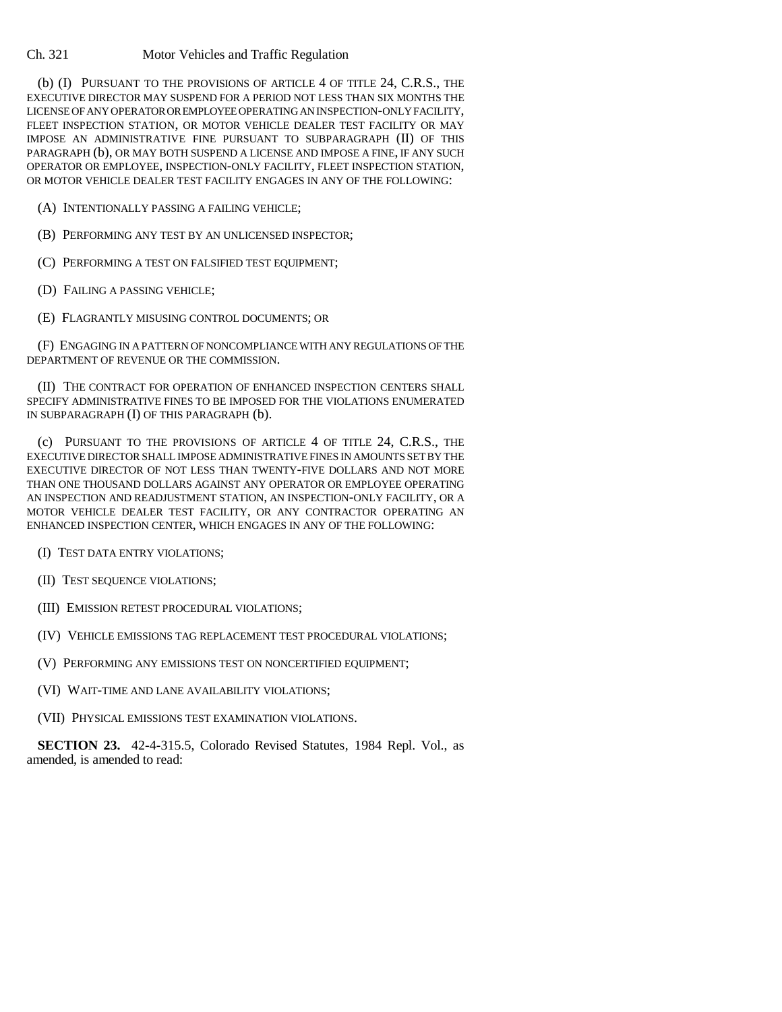(b) (I) PURSUANT TO THE PROVISIONS OF ARTICLE 4 OF TITLE 24, C.R.S., THE EXECUTIVE DIRECTOR MAY SUSPEND FOR A PERIOD NOT LESS THAN SIX MONTHS THE LICENSE OF ANY OPERATOR OR EMPLOYEE OPERATING AN INSPECTION-ONLY FACILITY, FLEET INSPECTION STATION, OR MOTOR VEHICLE DEALER TEST FACILITY OR MAY IMPOSE AN ADMINISTRATIVE FINE PURSUANT TO SUBPARAGRAPH (II) OF THIS PARAGRAPH (b), OR MAY BOTH SUSPEND A LICENSE AND IMPOSE A FINE, IF ANY SUCH OPERATOR OR EMPLOYEE, INSPECTION-ONLY FACILITY, FLEET INSPECTION STATION, OR MOTOR VEHICLE DEALER TEST FACILITY ENGAGES IN ANY OF THE FOLLOWING:

(A) INTENTIONALLY PASSING A FAILING VEHICLE;

(B) PERFORMING ANY TEST BY AN UNLICENSED INSPECTOR;

(C) PERFORMING A TEST ON FALSIFIED TEST EQUIPMENT;

(D) FAILING A PASSING VEHICLE;

(E) FLAGRANTLY MISUSING CONTROL DOCUMENTS; OR

(F) ENGAGING IN A PATTERN OF NONCOMPLIANCE WITH ANY REGULATIONS OF THE DEPARTMENT OF REVENUE OR THE COMMISSION.

(II) THE CONTRACT FOR OPERATION OF ENHANCED INSPECTION CENTERS SHALL SPECIFY ADMINISTRATIVE FINES TO BE IMPOSED FOR THE VIOLATIONS ENUMERATED IN SUBPARAGRAPH (I) OF THIS PARAGRAPH (b).

(c) PURSUANT TO THE PROVISIONS OF ARTICLE 4 OF TITLE 24, C.R.S., THE EXECUTIVE DIRECTOR SHALL IMPOSE ADMINISTRATIVE FINES IN AMOUNTS SET BY THE EXECUTIVE DIRECTOR OF NOT LESS THAN TWENTY-FIVE DOLLARS AND NOT MORE THAN ONE THOUSAND DOLLARS AGAINST ANY OPERATOR OR EMPLOYEE OPERATING AN INSPECTION AND READJUSTMENT STATION, AN INSPECTION-ONLY FACILITY, OR A MOTOR VEHICLE DEALER TEST FACILITY, OR ANY CONTRACTOR OPERATING AN ENHANCED INSPECTION CENTER, WHICH ENGAGES IN ANY OF THE FOLLOWING:

- (I) TEST DATA ENTRY VIOLATIONS;
- (II) TEST SEQUENCE VIOLATIONS;
- (III) EMISSION RETEST PROCEDURAL VIOLATIONS;
- (IV) VEHICLE EMISSIONS TAG REPLACEMENT TEST PROCEDURAL VIOLATIONS;
- (V) PERFORMING ANY EMISSIONS TEST ON NONCERTIFIED EQUIPMENT;
- (VI) WAIT-TIME AND LANE AVAILABILITY VIOLATIONS;
- (VII) PHYSICAL EMISSIONS TEST EXAMINATION VIOLATIONS.

**SECTION 23.** 42-4-315.5, Colorado Revised Statutes, 1984 Repl. Vol., as amended, is amended to read: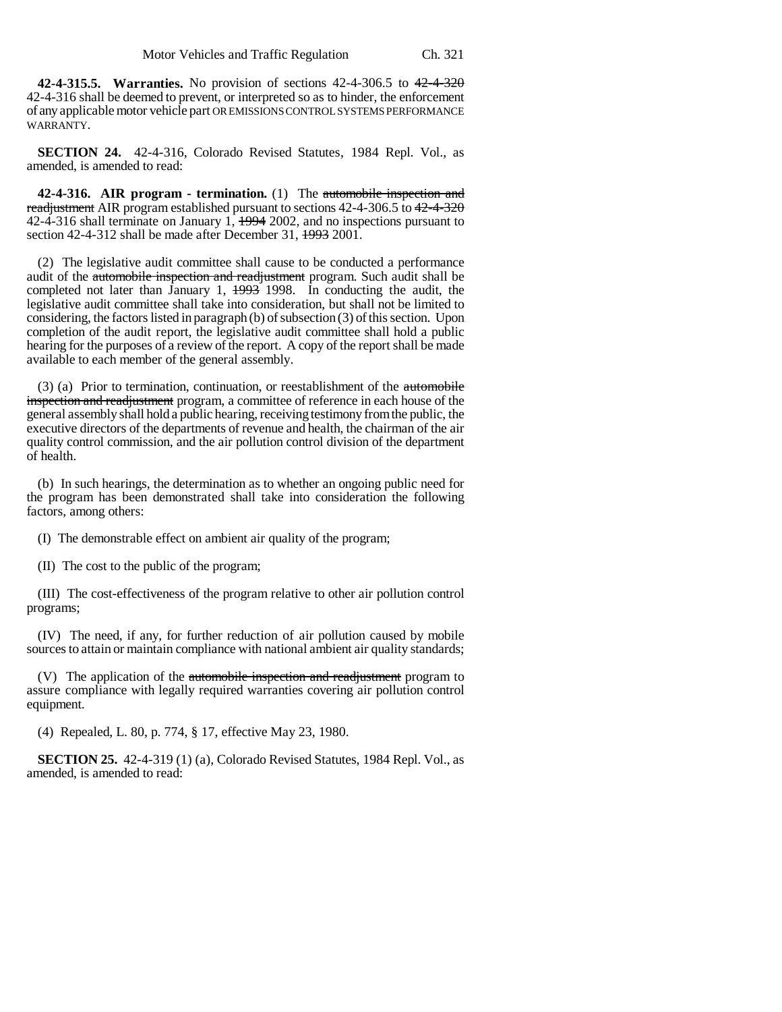**42-4-315.5. Warranties.** No provision of sections 42-4-306.5 to 42-4-320 42-4-316 shall be deemed to prevent, or interpreted so as to hinder, the enforcement of any applicable motor vehicle part OR EMISSIONS CONTROL SYSTEMS PERFORMANCE WARRANTY.

**SECTION 24.** 42-4-316, Colorado Revised Statutes, 1984 Repl. Vol., as amended, is amended to read:

**42-4-316. AIR program - termination.** (1) The automobile inspection and readjustment AIR program established pursuant to sections 42-4-306.5 to 42-4-320 42-4-316 shall terminate on January 1,  $\frac{1994}{2002}$ , and no inspections pursuant to section 42-4-312 shall be made after December 31, 1993 2001.

(2) The legislative audit committee shall cause to be conducted a performance audit of the automobile inspection and readjustment program. Such audit shall be completed not later than January 1,  $\frac{1993}{1998}$  1998. In conducting the audit, the legislative audit committee shall take into consideration, but shall not be limited to considering, the factors listed in paragraph (b) of subsection (3) of this section. Upon completion of the audit report, the legislative audit committee shall hold a public hearing for the purposes of a review of the report. A copy of the report shall be made available to each member of the general assembly.

(3) (a) Prior to termination, continuation, or reestablishment of the automobile inspection and readjustment program, a committee of reference in each house of the general assembly shall hold a public hearing, receiving testimony from the public, the executive directors of the departments of revenue and health, the chairman of the air quality control commission, and the air pollution control division of the department of health.

(b) In such hearings, the determination as to whether an ongoing public need for the program has been demonstrated shall take into consideration the following factors, among others:

(I) The demonstrable effect on ambient air quality of the program;

(II) The cost to the public of the program;

(III) The cost-effectiveness of the program relative to other air pollution control programs;

(IV) The need, if any, for further reduction of air pollution caused by mobile sources to attain or maintain compliance with national ambient air quality standards;

(V) The application of the automobile inspection and readjustment program to assure compliance with legally required warranties covering air pollution control equipment.

(4) Repealed, L. 80, p. 774, § 17, effective May 23, 1980.

**SECTION 25.** 42-4-319 (1) (a), Colorado Revised Statutes, 1984 Repl. Vol., as amended, is amended to read: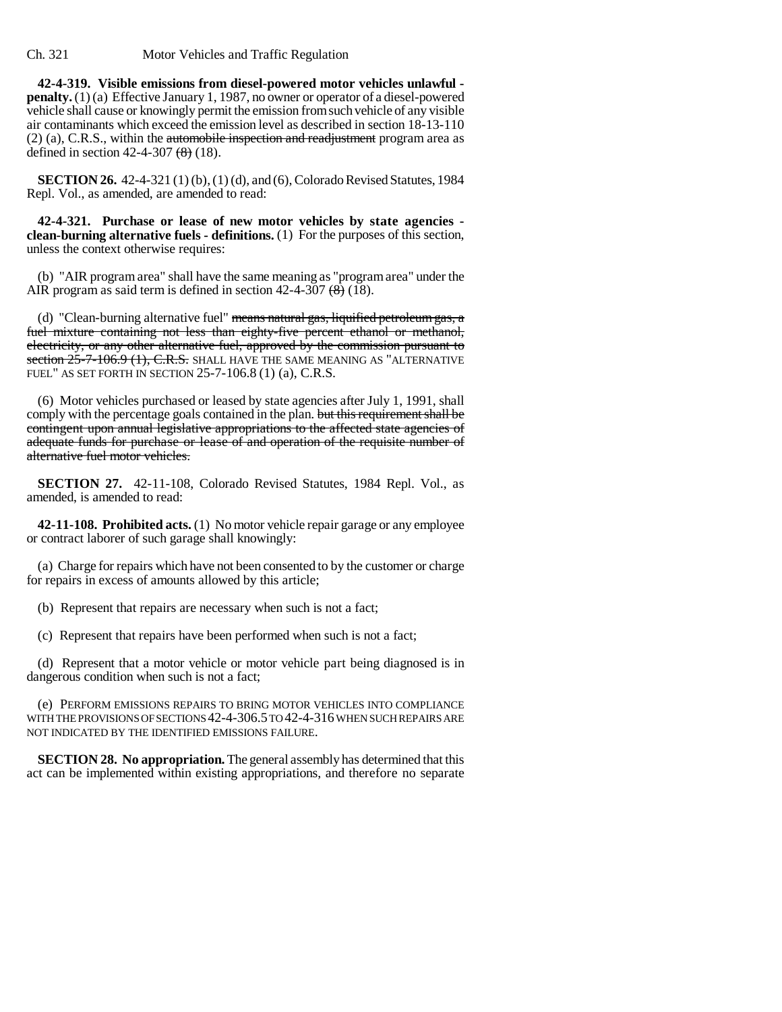**42-4-319. Visible emissions from diesel-powered motor vehicles unlawful penalty.** (1) (a) Effective January 1, 1987, no owner or operator of a diesel-powered vehicle shall cause or knowingly permit the emission from such vehicle of any visible air contaminants which exceed the emission level as described in section 18-13-110  $(2)$  (a), C.R.S., within the automobile inspection and readjustment program area as defined in section 42-4-307  $(8)$  (18).

**SECTION 26.** 42-4-321 (1) (b), (1) (d), and (6), Colorado Revised Statutes, 1984 Repl. Vol., as amended, are amended to read:

**42-4-321. Purchase or lease of new motor vehicles by state agencies clean-burning alternative fuels - definitions.** (1) For the purposes of this section, unless the context otherwise requires:

(b) "AIR program area" shall have the same meaning as "program area" under the AIR program as said term is defined in section  $42-4-307$   $\left(\frac{8}{6}\right)$  (18).

(d) "Clean-burning alternative fuel" means natural gas, liquified petroleum gas, a fuel mixture containing not less than eighty-five percent ethanol or methanol, electricity, or any other alternative fuel, approved by the commission pursuant to section  $25$ -7-106.9 (1), C.R.S. SHALL HAVE THE SAME MEANING AS "ALTERNATIVE FUEL" AS SET FORTH IN SECTION 25-7-106.8 (1) (a), C.R.S.

(6) Motor vehicles purchased or leased by state agencies after July 1, 1991, shall comply with the percentage goals contained in the plan. but this requirement shall be contingent upon annual legislative appropriations to the affected state agencies of adequate funds for purchase or lease of and operation of the requisite number of alternative fuel motor vehicles.

**SECTION 27.** 42-11-108, Colorado Revised Statutes, 1984 Repl. Vol., as amended, is amended to read:

**42-11-108. Prohibited acts.** (1) No motor vehicle repair garage or any employee or contract laborer of such garage shall knowingly:

(a) Charge for repairs which have not been consented to by the customer or charge for repairs in excess of amounts allowed by this article;

(b) Represent that repairs are necessary when such is not a fact;

(c) Represent that repairs have been performed when such is not a fact;

(d) Represent that a motor vehicle or motor vehicle part being diagnosed is in dangerous condition when such is not a fact;

(e) PERFORM EMISSIONS REPAIRS TO BRING MOTOR VEHICLES INTO COMPLIANCE WITH THE PROVISIONS OF SECTIONS 42-4-306.5 TO 42-4-316 WHEN SUCH REPAIRS ARE NOT INDICATED BY THE IDENTIFIED EMISSIONS FAILURE.

**SECTION 28. No appropriation.** The general assembly has determined that this act can be implemented within existing appropriations, and therefore no separate